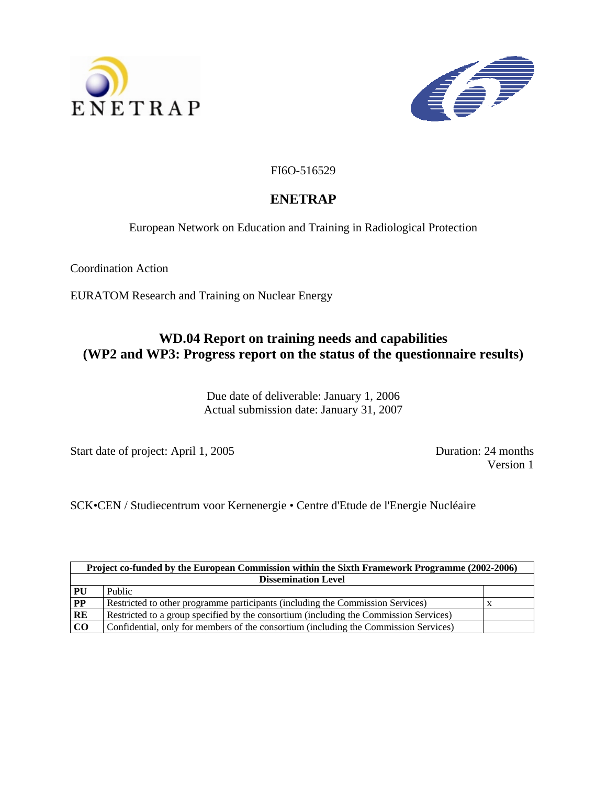



FI6O-516529

# **ENETRAP**

European Network on Education and Training in Radiological Protection

Coordination Action

EURATOM Research and Training on Nuclear Energy

# **WD.04 Report on training needs and capabilities (WP2 and WP3: Progress report on the status of the questionnaire results)**

Due date of deliverable: January 1, 2006 Actual submission date: January 31, 2007

Start date of project: April 1, 2005 Duration: 24 months

Version 1

SCK•CEN / Studiecentrum voor Kernenergie • Centre d'Etude de l'Energie Nucléaire

| Project co-funded by the European Commission within the Sixth Framework Programme (2002-2006) |                                                                                       |  |
|-----------------------------------------------------------------------------------------------|---------------------------------------------------------------------------------------|--|
| <b>Dissemination Level</b>                                                                    |                                                                                       |  |
| PU                                                                                            | Public                                                                                |  |
| PP                                                                                            | Restricted to other programme participants (including the Commission Services)        |  |
| RE                                                                                            | Restricted to a group specified by the consortium (including the Commission Services) |  |
| CO                                                                                            | Confidential, only for members of the consortium (including the Commission Services)  |  |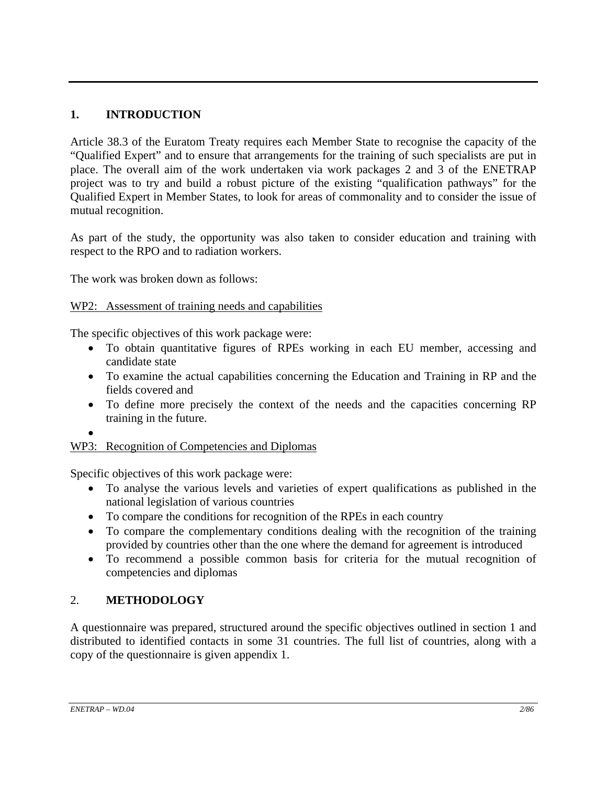# **1. INTRODUCTION**

Article 38.3 of the Euratom Treaty requires each Member State to recognise the capacity of the "Qualified Expert" and to ensure that arrangements for the training of such specialists are put in place. The overall aim of the work undertaken via work packages 2 and 3 of the ENETRAP project was to try and build a robust picture of the existing "qualification pathways" for the Qualified Expert in Member States, to look for areas of commonality and to consider the issue of mutual recognition.

As part of the study, the opportunity was also taken to consider education and training with respect to the RPO and to radiation workers.

The work was broken down as follows:

# WP2: Assessment of training needs and capabilities

The specific objectives of this work package were:

- To obtain quantitative figures of RPEs working in each EU member, accessing and candidate state
- To examine the actual capabilities concerning the Education and Training in RP and the fields covered and
- To define more precisely the context of the needs and the capacities concerning RP training in the future.

•

# WP3: Recognition of Competencies and Diplomas

Specific objectives of this work package were:

- To analyse the various levels and varieties of expert qualifications as published in the national legislation of various countries
- To compare the conditions for recognition of the RPEs in each country
- To compare the complementary conditions dealing with the recognition of the training provided by countries other than the one where the demand for agreement is introduced
- To recommend a possible common basis for criteria for the mutual recognition of competencies and diplomas

# 2. **METHODOLOGY**

A questionnaire was prepared, structured around the specific objectives outlined in section 1 and distributed to identified contacts in some 31 countries. The full list of countries, along with a copy of the questionnaire is given appendix 1.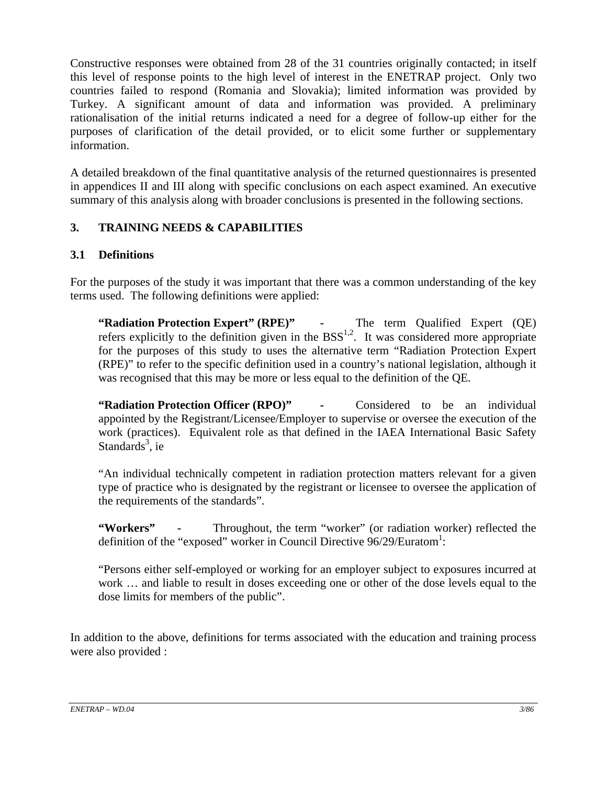Constructive responses were obtained from 28 of the 31 countries originally contacted; in itself this level of response points to the high level of interest in the ENETRAP project. Only two countries failed to respond (Romania and Slovakia); limited information was provided by Turkey. A significant amount of data and information was provided. A preliminary rationalisation of the initial returns indicated a need for a degree of follow-up either for the purposes of clarification of the detail provided, or to elicit some further or supplementary information.

A detailed breakdown of the final quantitative analysis of the returned questionnaires is presented in appendices II and III along with specific conclusions on each aspect examined. An executive summary of this analysis along with broader conclusions is presented in the following sections.

# **3. TRAINING NEEDS & CAPABILITIES**

# **3.1 Definitions**

For the purposes of the study it was important that there was a common understanding of the key terms used. The following definitions were applied:

**"Radiation Protection Expert" (RPE)" -** The term Qualified Expert (QE) refers explicitly to the definition given in the  $BSS<sup>1,2</sup>$ . It was considered more appropriate for the purposes of this study to uses the alternative term "Radiation Protection Expert (RPE)" to refer to the specific definition used in a country's national legislation, although it was recognised that this may be more or less equal to the definition of the QE.

**"Radiation Protection Officer (RPO)" -** Considered to be an individual appointed by the Registrant/Licensee/Employer to supervise or oversee the execution of the work (practices). Equivalent role as that defined in the IAEA International Basic Safety Standards<sup>3</sup>, ie

"An individual technically competent in radiation protection matters relevant for a given type of practice who is designated by the registrant or licensee to oversee the application of the requirements of the standards".

**"Workers" -** Throughout, the term "worker" (or radiation worker) reflected the definition of the "exposed" worker in Council Directive 96/29/Euratom<sup>1</sup>:

"Persons either self-employed or working for an employer subject to exposures incurred at work … and liable to result in doses exceeding one or other of the dose levels equal to the dose limits for members of the public".

In addition to the above, definitions for terms associated with the education and training process were also provided :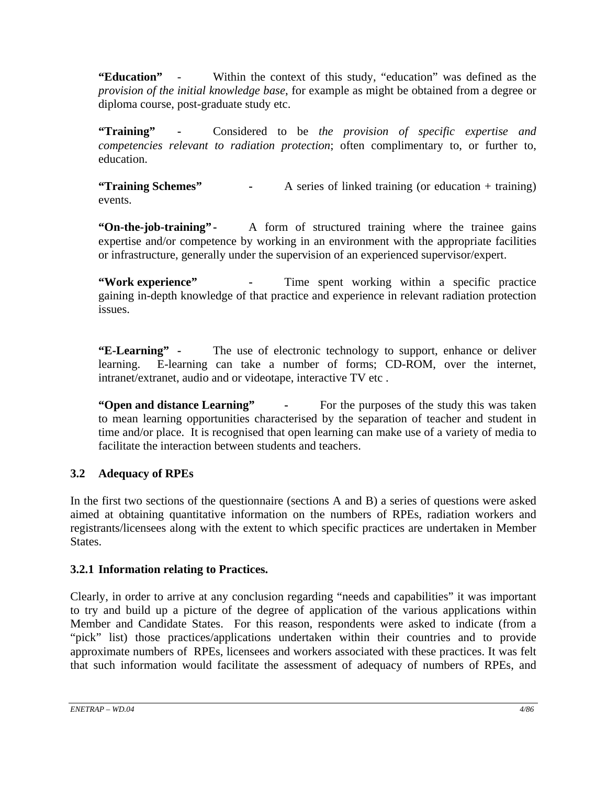**"Education"** - Within the context of this study, "education" was defined as the *provision of the initial knowledge base*, for example as might be obtained from a degree or diploma course, post-graduate study etc.

**"Training" -** Considered to be *the provision of specific expertise and competencies relevant to radiation protection*; often complimentary to, or further to, education.

**"Training Schemes" -** A series of linked training (or education + training) events.

**"On-the-job-training"** - A form of structured training where the trainee gains expertise and/or competence by working in an environment with the appropriate facilities or infrastructure, generally under the supervision of an experienced supervisor/expert.

**"Work experience"** - Time spent working within a specific practice gaining in-depth knowledge of that practice and experience in relevant radiation protection issues.

**"E-Learning" -** The use of electronic technology to support, enhance or deliver learning. E-learning can take a number of forms; CD-ROM, over the internet, intranet/extranet, audio and or videotape, interactive TV etc .

**"Open and distance Learning"** - For the purposes of the study this was taken to mean learning opportunities characterised by the separation of teacher and student in time and/or place. It is recognised that open learning can make use of a variety of media to facilitate the interaction between students and teachers.

# **3.2 Adequacy of RPEs**

In the first two sections of the questionnaire (sections A and B) a series of questions were asked aimed at obtaining quantitative information on the numbers of RPEs, radiation workers and registrants/licensees along with the extent to which specific practices are undertaken in Member States.

# **3.2.1 Information relating to Practices.**

Clearly, in order to arrive at any conclusion regarding "needs and capabilities" it was important to try and build up a picture of the degree of application of the various applications within Member and Candidate States. For this reason, respondents were asked to indicate (from a "pick" list) those practices/applications undertaken within their countries and to provide approximate numbers of RPEs, licensees and workers associated with these practices. It was felt that such information would facilitate the assessment of adequacy of numbers of RPEs, and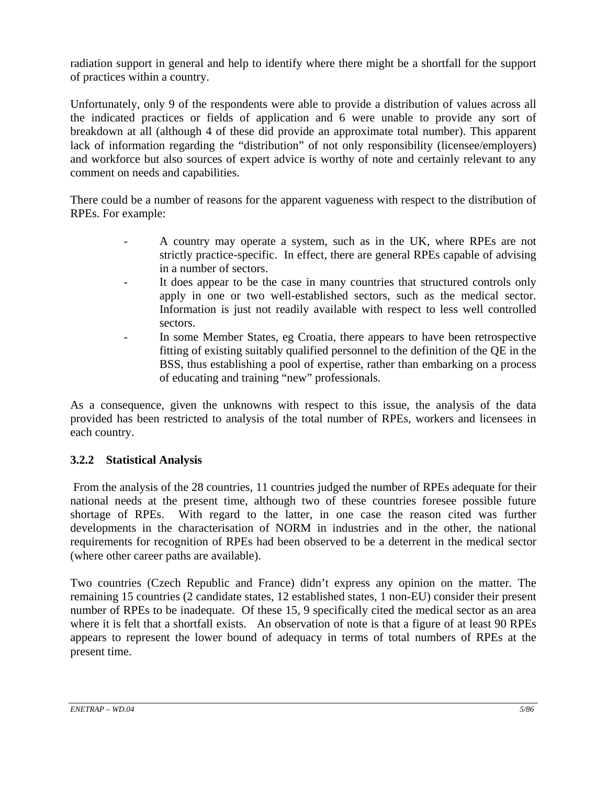radiation support in general and help to identify where there might be a shortfall for the support of practices within a country.

Unfortunately, only 9 of the respondents were able to provide a distribution of values across all the indicated practices or fields of application and 6 were unable to provide any sort of breakdown at all (although 4 of these did provide an approximate total number). This apparent lack of information regarding the "distribution" of not only responsibility (licensee/employers) and workforce but also sources of expert advice is worthy of note and certainly relevant to any comment on needs and capabilities.

There could be a number of reasons for the apparent vagueness with respect to the distribution of RPEs. For example:

- A country may operate a system, such as in the UK, where RPEs are not strictly practice-specific. In effect, there are general RPEs capable of advising in a number of sectors.
- It does appear to be the case in many countries that structured controls only apply in one or two well-established sectors, such as the medical sector. Information is just not readily available with respect to less well controlled sectors.
- In some Member States, eg Croatia, there appears to have been retrospective fitting of existing suitably qualified personnel to the definition of the QE in the BSS, thus establishing a pool of expertise, rather than embarking on a process of educating and training "new" professionals.

As a consequence, given the unknowns with respect to this issue, the analysis of the data provided has been restricted to analysis of the total number of RPEs, workers and licensees in each country.

# **3.2.2 Statistical Analysis**

 From the analysis of the 28 countries, 11 countries judged the number of RPEs adequate for their national needs at the present time, although two of these countries foresee possible future shortage of RPEs. With regard to the latter, in one case the reason cited was further developments in the characterisation of NORM in industries and in the other, the national requirements for recognition of RPEs had been observed to be a deterrent in the medical sector (where other career paths are available).

Two countries (Czech Republic and France) didn't express any opinion on the matter. The remaining 15 countries (2 candidate states, 12 established states, 1 non-EU) consider their present number of RPEs to be inadequate. Of these 15, 9 specifically cited the medical sector as an area where it is felt that a shortfall exists. An observation of note is that a figure of at least 90 RPEs appears to represent the lower bound of adequacy in terms of total numbers of RPEs at the present time.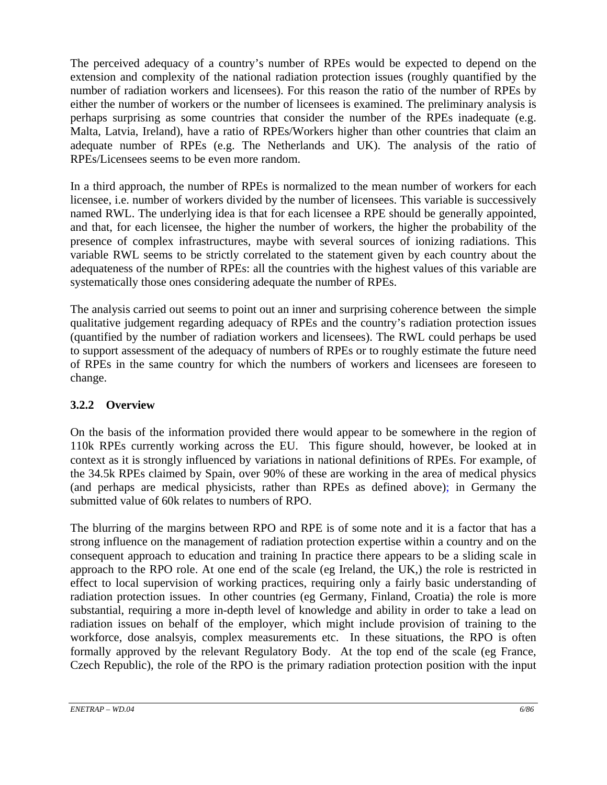The perceived adequacy of a country's number of RPEs would be expected to depend on the extension and complexity of the national radiation protection issues (roughly quantified by the number of radiation workers and licensees). For this reason the ratio of the number of RPEs by either the number of workers or the number of licensees is examined. The preliminary analysis is perhaps surprising as some countries that consider the number of the RPEs inadequate (e.g. Malta, Latvia, Ireland), have a ratio of RPEs/Workers higher than other countries that claim an adequate number of RPEs (e.g. The Netherlands and UK). The analysis of the ratio of RPEs/Licensees seems to be even more random.

In a third approach, the number of RPEs is normalized to the mean number of workers for each licensee, i.e. number of workers divided by the number of licensees. This variable is successively named RWL. The underlying idea is that for each licensee a RPE should be generally appointed, and that, for each licensee, the higher the number of workers, the higher the probability of the presence of complex infrastructures, maybe with several sources of ionizing radiations. This variable RWL seems to be strictly correlated to the statement given by each country about the adequateness of the number of RPEs: all the countries with the highest values of this variable are systematically those ones considering adequate the number of RPEs.

The analysis carried out seems to point out an inner and surprising coherence between the simple qualitative judgement regarding adequacy of RPEs and the country's radiation protection issues (quantified by the number of radiation workers and licensees). The RWL could perhaps be used to support assessment of the adequacy of numbers of RPEs or to roughly estimate the future need of RPEs in the same country for which the numbers of workers and licensees are foreseen to change.

# **3.2.2 Overview**

On the basis of the information provided there would appear to be somewhere in the region of 110k RPEs currently working across the EU. This figure should, however, be looked at in context as it is strongly influenced by variations in national definitions of RPEs. For example, of the 34.5k RPEs claimed by Spain, over 90% of these are working in the area of medical physics (and perhaps are medical physicists, rather than RPEs as defined above); in Germany the submitted value of 60k relates to numbers of RPO.

The blurring of the margins between RPO and RPE is of some note and it is a factor that has a strong influence on the management of radiation protection expertise within a country and on the consequent approach to education and training In practice there appears to be a sliding scale in approach to the RPO role. At one end of the scale (eg Ireland, the UK,) the role is restricted in effect to local supervision of working practices, requiring only a fairly basic understanding of radiation protection issues. In other countries (eg Germany, Finland, Croatia) the role is more substantial, requiring a more in-depth level of knowledge and ability in order to take a lead on radiation issues on behalf of the employer, which might include provision of training to the workforce, dose analsyis, complex measurements etc. In these situations, the RPO is often formally approved by the relevant Regulatory Body. At the top end of the scale (eg France, Czech Republic), the role of the RPO is the primary radiation protection position with the input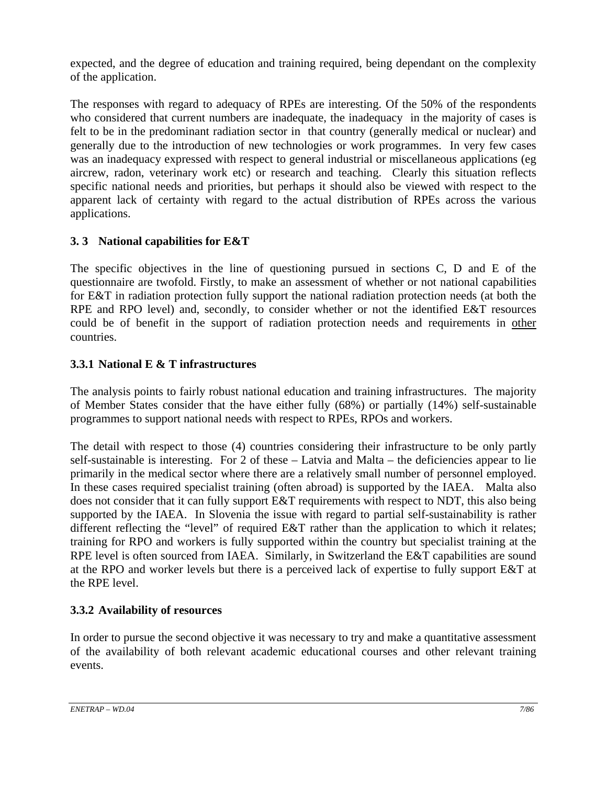expected, and the degree of education and training required, being dependant on the complexity of the application.

The responses with regard to adequacy of RPEs are interesting. Of the 50% of the respondents who considered that current numbers are inadequate, the inadequacy in the majority of cases is felt to be in the predominant radiation sector in that country (generally medical or nuclear) and generally due to the introduction of new technologies or work programmes. In very few cases was an inadequacy expressed with respect to general industrial or miscellaneous applications (eg aircrew, radon, veterinary work etc) or research and teaching. Clearly this situation reflects specific national needs and priorities, but perhaps it should also be viewed with respect to the apparent lack of certainty with regard to the actual distribution of RPEs across the various applications.

# **3. 3 National capabilities for E&T**

The specific objectives in the line of questioning pursued in sections C, D and E of the questionnaire are twofold. Firstly, to make an assessment of whether or not national capabilities for E&T in radiation protection fully support the national radiation protection needs (at both the RPE and RPO level) and, secondly, to consider whether or not the identified E&T resources could be of benefit in the support of radiation protection needs and requirements in other countries.

# **3.3.1 National E & T infrastructures**

The analysis points to fairly robust national education and training infrastructures. The majority of Member States consider that the have either fully (68%) or partially (14%) self-sustainable programmes to support national needs with respect to RPEs, RPOs and workers.

The detail with respect to those (4) countries considering their infrastructure to be only partly self-sustainable is interesting. For 2 of these – Latvia and Malta – the deficiencies appear to lie primarily in the medical sector where there are a relatively small number of personnel employed. In these cases required specialist training (often abroad) is supported by the IAEA. Malta also does not consider that it can fully support E&T requirements with respect to NDT, this also being supported by the IAEA. In Slovenia the issue with regard to partial self-sustainability is rather different reflecting the "level" of required E&T rather than the application to which it relates; training for RPO and workers is fully supported within the country but specialist training at the RPE level is often sourced from IAEA. Similarly, in Switzerland the E&T capabilities are sound at the RPO and worker levels but there is a perceived lack of expertise to fully support E&T at the RPE level.

# **3.3.2 Availability of resources**

In order to pursue the second objective it was necessary to try and make a quantitative assessment of the availability of both relevant academic educational courses and other relevant training events.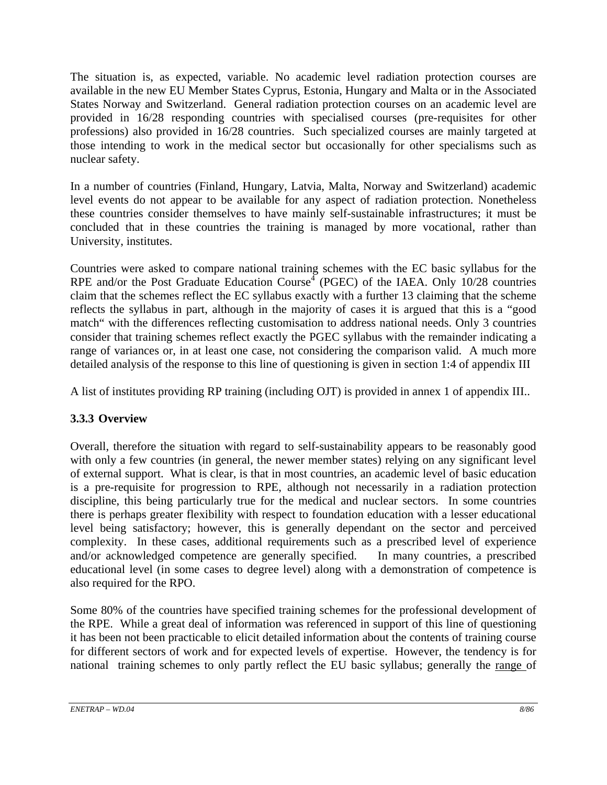The situation is, as expected, variable. No academic level radiation protection courses are available in the new EU Member States Cyprus, Estonia, Hungary and Malta or in the Associated States Norway and Switzerland. General radiation protection courses on an academic level are provided in 16/28 responding countries with specialised courses (pre-requisites for other professions) also provided in 16/28 countries. Such specialized courses are mainly targeted at those intending to work in the medical sector but occasionally for other specialisms such as nuclear safety.

In a number of countries (Finland, Hungary, Latvia, Malta, Norway and Switzerland) academic level events do not appear to be available for any aspect of radiation protection. Nonetheless these countries consider themselves to have mainly self-sustainable infrastructures; it must be concluded that in these countries the training is managed by more vocational, rather than University, institutes.

Countries were asked to compare national training schemes with the EC basic syllabus for the RPE and/or the Post Graduate Education Course<sup> $4$ </sup> (PGEC) of the IAEA. Only 10/28 countries claim that the schemes reflect the EC syllabus exactly with a further 13 claiming that the scheme reflects the syllabus in part, although in the majority of cases it is argued that this is a "good match" with the differences reflecting customisation to address national needs. Only 3 countries consider that training schemes reflect exactly the PGEC syllabus with the remainder indicating a range of variances or, in at least one case, not considering the comparison valid. A much more detailed analysis of the response to this line of questioning is given in section 1:4 of appendix III

A list of institutes providing RP training (including OJT) is provided in annex 1 of appendix III..

# **3.3.3 Overview**

Overall, therefore the situation with regard to self-sustainability appears to be reasonably good with only a few countries (in general, the newer member states) relying on any significant level of external support. What is clear, is that in most countries, an academic level of basic education is a pre-requisite for progression to RPE, although not necessarily in a radiation protection discipline, this being particularly true for the medical and nuclear sectors. In some countries there is perhaps greater flexibility with respect to foundation education with a lesser educational level being satisfactory; however, this is generally dependant on the sector and perceived complexity. In these cases, additional requirements such as a prescribed level of experience and/or acknowledged competence are generally specified. In many countries, a prescribed educational level (in some cases to degree level) along with a demonstration of competence is also required for the RPO.

Some 80% of the countries have specified training schemes for the professional development of the RPE. While a great deal of information was referenced in support of this line of questioning it has been not been practicable to elicit detailed information about the contents of training course for different sectors of work and for expected levels of expertise. However, the tendency is for national training schemes to only partly reflect the EU basic syllabus; generally the range of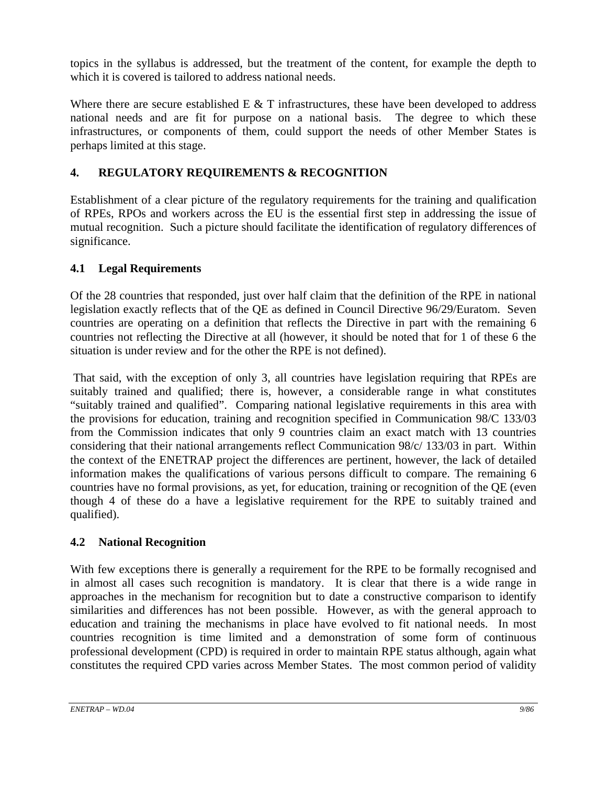topics in the syllabus is addressed, but the treatment of the content, for example the depth to which it is covered is tailored to address national needs.

Where there are secure established  $E \& T$  infrastructures, these have been developed to address national needs and are fit for purpose on a national basis. The degree to which these infrastructures, or components of them, could support the needs of other Member States is perhaps limited at this stage.

# **4. REGULATORY REQUIREMENTS & RECOGNITION**

Establishment of a clear picture of the regulatory requirements for the training and qualification of RPEs, RPOs and workers across the EU is the essential first step in addressing the issue of mutual recognition. Such a picture should facilitate the identification of regulatory differences of significance.

# **4.1 Legal Requirements**

Of the 28 countries that responded, just over half claim that the definition of the RPE in national legislation exactly reflects that of the QE as defined in Council Directive 96/29/Euratom. Seven countries are operating on a definition that reflects the Directive in part with the remaining 6 countries not reflecting the Directive at all (however, it should be noted that for 1 of these 6 the situation is under review and for the other the RPE is not defined).

 That said, with the exception of only 3, all countries have legislation requiring that RPEs are suitably trained and qualified; there is, however, a considerable range in what constitutes "suitably trained and qualified". Comparing national legislative requirements in this area with the provisions for education, training and recognition specified in Communication 98/C 133/03 from the Commission indicates that only 9 countries claim an exact match with 13 countries considering that their national arrangements reflect Communication 98/c/ 133/03 in part. Within the context of the ENETRAP project the differences are pertinent, however, the lack of detailed information makes the qualifications of various persons difficult to compare. The remaining 6 countries have no formal provisions, as yet, for education, training or recognition of the QE (even though 4 of these do a have a legislative requirement for the RPE to suitably trained and qualified).

# **4.2 National Recognition**

With few exceptions there is generally a requirement for the RPE to be formally recognised and in almost all cases such recognition is mandatory. It is clear that there is a wide range in approaches in the mechanism for recognition but to date a constructive comparison to identify similarities and differences has not been possible. However, as with the general approach to education and training the mechanisms in place have evolved to fit national needs. In most countries recognition is time limited and a demonstration of some form of continuous professional development (CPD) is required in order to maintain RPE status although, again what constitutes the required CPD varies across Member States. The most common period of validity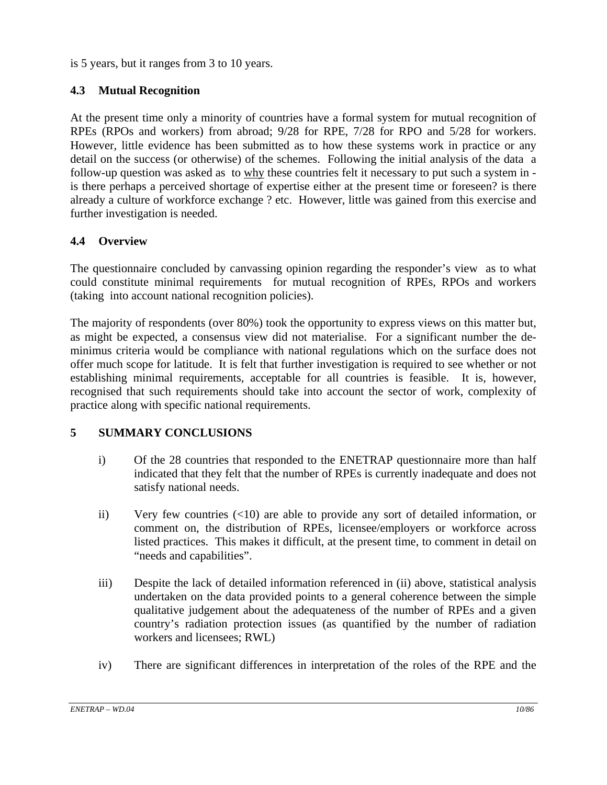is 5 years, but it ranges from 3 to 10 years.

# **4.3 Mutual Recognition**

At the present time only a minority of countries have a formal system for mutual recognition of RPEs (RPOs and workers) from abroad; 9/28 for RPE, 7/28 for RPO and 5/28 for workers. However, little evidence has been submitted as to how these systems work in practice or any detail on the success (or otherwise) of the schemes. Following the initial analysis of the data a follow-up question was asked as to why these countries felt it necessary to put such a system in is there perhaps a perceived shortage of expertise either at the present time or foreseen? is there already a culture of workforce exchange ? etc. However, little was gained from this exercise and further investigation is needed.

# **4.4 Overview**

The questionnaire concluded by canvassing opinion regarding the responder's view as to what could constitute minimal requirements for mutual recognition of RPEs, RPOs and workers (taking into account national recognition policies).

The majority of respondents (over 80%) took the opportunity to express views on this matter but, as might be expected, a consensus view did not materialise. For a significant number the deminimus criteria would be compliance with national regulations which on the surface does not offer much scope for latitude. It is felt that further investigation is required to see whether or not establishing minimal requirements, acceptable for all countries is feasible. It is, however, recognised that such requirements should take into account the sector of work, complexity of practice along with specific national requirements.

# **5 SUMMARY CONCLUSIONS**

- i) Of the 28 countries that responded to the ENETRAP questionnaire more than half indicated that they felt that the number of RPEs is currently inadequate and does not satisfy national needs.
- ii) Very few countries (<10) are able to provide any sort of detailed information, or comment on, the distribution of RPEs, licensee/employers or workforce across listed practices. This makes it difficult, at the present time, to comment in detail on "needs and capabilities".
- iii) Despite the lack of detailed information referenced in (ii) above, statistical analysis undertaken on the data provided points to a general coherence between the simple qualitative judgement about the adequateness of the number of RPEs and a given country's radiation protection issues (as quantified by the number of radiation workers and licensees; RWL)
- iv) There are significant differences in interpretation of the roles of the RPE and the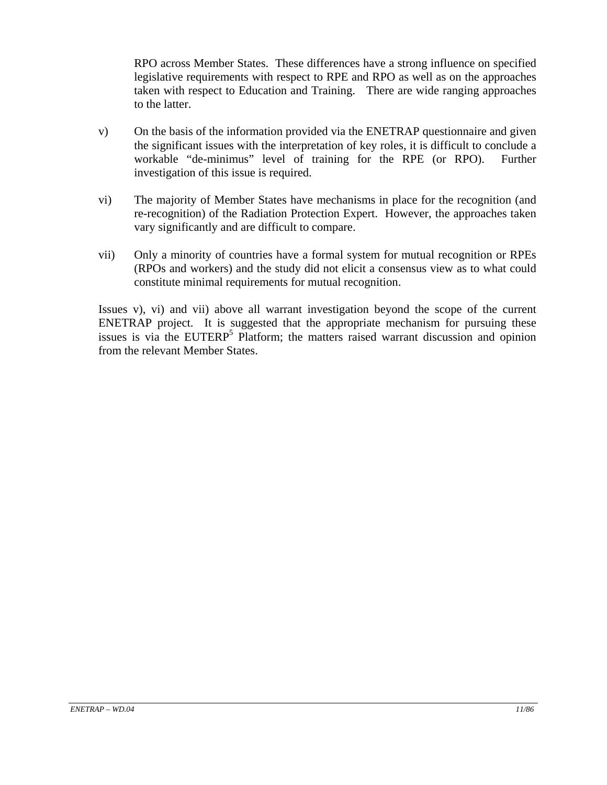RPO across Member States. These differences have a strong influence on specified legislative requirements with respect to RPE and RPO as well as on the approaches taken with respect to Education and Training. There are wide ranging approaches to the latter.

- v) On the basis of the information provided via the ENETRAP questionnaire and given the significant issues with the interpretation of key roles, it is difficult to conclude a workable "de-minimus" level of training for the RPE (or RPO). Further investigation of this issue is required.
- vi) The majority of Member States have mechanisms in place for the recognition (and re-recognition) of the Radiation Protection Expert. However, the approaches taken vary significantly and are difficult to compare.
- vii) Only a minority of countries have a formal system for mutual recognition or RPEs (RPOs and workers) and the study did not elicit a consensus view as to what could constitute minimal requirements for mutual recognition.

Issues v), vi) and vii) above all warrant investigation beyond the scope of the current ENETRAP project. It is suggested that the appropriate mechanism for pursuing these issues is via the EUTERP<sup>5</sup> Platform; the matters raised warrant discussion and opinion from the relevant Member States.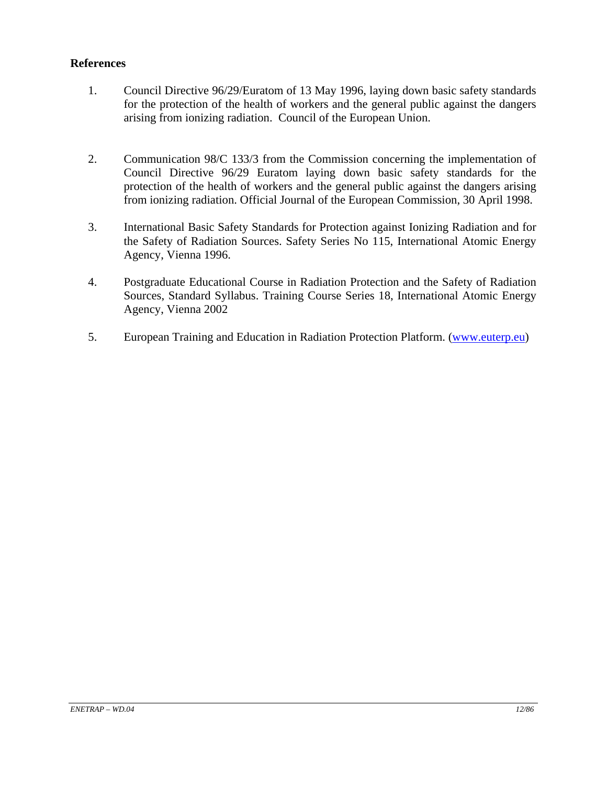### **References**

- 1. Council Directive 96/29/Euratom of 13 May 1996, laying down basic safety standards for the protection of the health of workers and the general public against the dangers arising from ionizing radiation. Council of the European Union.
- 2. Communication 98/C 133/3 from the Commission concerning the implementation of Council Directive 96/29 Euratom laying down basic safety standards for the protection of the health of workers and the general public against the dangers arising from ionizing radiation. Official Journal of the European Commission, 30 April 1998.
- 3. International Basic Safety Standards for Protection against Ionizing Radiation and for the Safety of Radiation Sources. Safety Series No 115, International Atomic Energy Agency, Vienna 1996.
- 4. Postgraduate Educational Course in Radiation Protection and the Safety of Radiation Sources, Standard Syllabus. Training Course Series 18, International Atomic Energy Agency, Vienna 2002
- 5. European Training and Education in Radiation Protection Platform. (www.euterp.eu)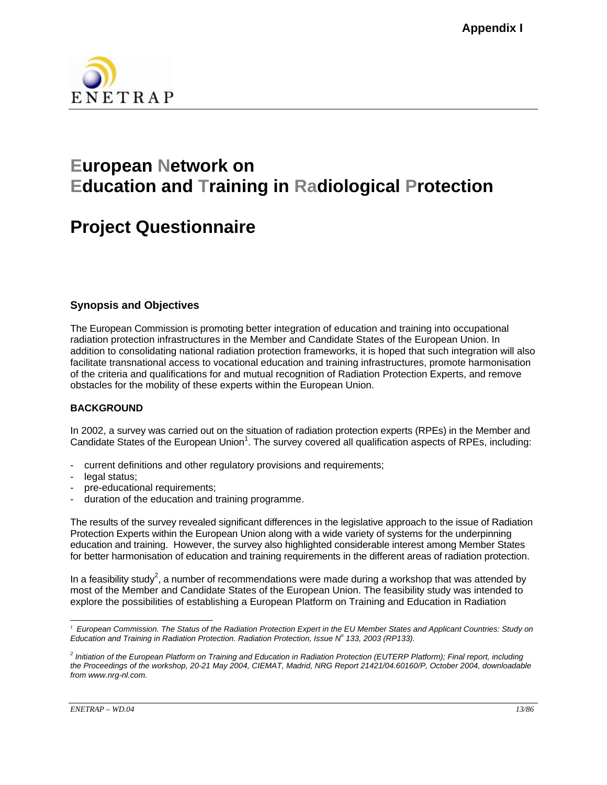

# **European Network on Education and Training in Radiological Protection**

# **Project Questionnaire**

### **Synopsis and Objectives**

The European Commission is promoting better integration of education and training into occupational radiation protection infrastructures in the Member and Candidate States of the European Union. In addition to consolidating national radiation protection frameworks, it is hoped that such integration will also facilitate transnational access to vocational education and training infrastructures, promote harmonisation of the criteria and qualifications for and mutual recognition of Radiation Protection Experts, and remove obstacles for the mobility of these experts within the European Union.

### **BACKGROUND**

In 2002, a survey was carried out on the situation of radiation protection experts (RPEs) in the Member and Candidate States of the European Union<sup>1</sup>. The survey covered all qualification aspects of RPEs, including:

- current definitions and other regulatory provisions and requirements;
- legal status;
- pre-educational requirements;
- duration of the education and training programme.

The results of the survey revealed significant differences in the legislative approach to the issue of Radiation Protection Experts within the European Union along with a wide variety of systems for the underpinning education and training. However, the survey also highlighted considerable interest among Member States for better harmonisation of education and training requirements in the different areas of radiation protection.

In a feasibility study<sup>2</sup>, a number of recommendations were made during a workshop that was attended by most of the Member and Candidate States of the European Union. The feasibility study was intended to explore the possibilities of establishing a European Platform on Training and Education in Radiation

 $\overline{\phantom{a}}$ <sup>1</sup> European Commission. The Status of the Radiation Protection Expert in the EU Member States and Applicant Countries: Study on *Education and Training in Radiation Protection. Radiation Protection, Issue N<sup>o</sup> 133, 2003 (RP133).* 

*<sup>2</sup> Initiation of the European Platform on Training and Education in Radiation Protection (EUTERP Platform); Final report, including the Proceedings of the workshop, 20-21 May 2004, CIEMAT, Madrid, NRG Report 21421/04.60160/P, October 2004, downloadable from www.nrg-nl.com.*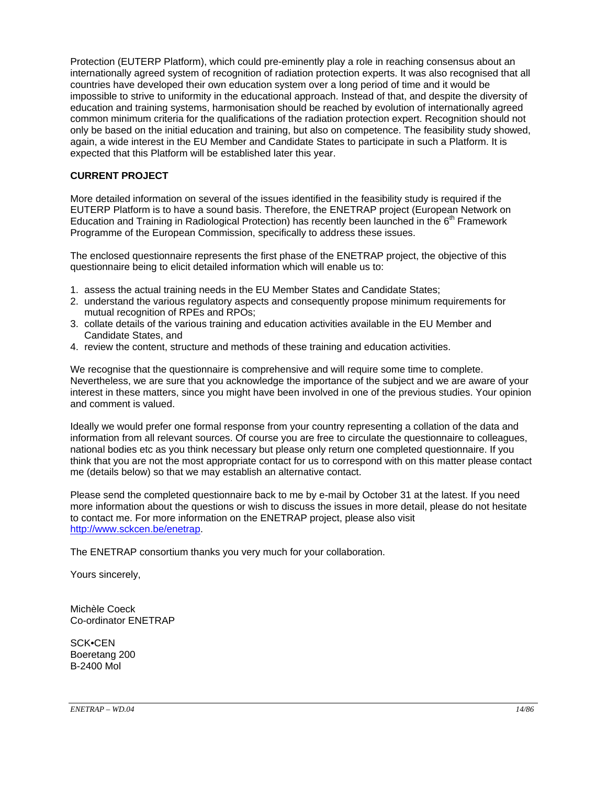Protection (EUTERP Platform), which could pre-eminently play a role in reaching consensus about an internationally agreed system of recognition of radiation protection experts. It was also recognised that all countries have developed their own education system over a long period of time and it would be impossible to strive to uniformity in the educational approach. Instead of that, and despite the diversity of education and training systems, harmonisation should be reached by evolution of internationally agreed common minimum criteria for the qualifications of the radiation protection expert. Recognition should not only be based on the initial education and training, but also on competence. The feasibility study showed, again, a wide interest in the EU Member and Candidate States to participate in such a Platform. It is expected that this Platform will be established later this year.

#### **CURRENT PROJECT**

More detailed information on several of the issues identified in the feasibility study is required if the EUTERP Platform is to have a sound basis. Therefore, the ENETRAP project (European Network on Education and Training in Radiological Protection) has recently been launched in the  $6<sup>th</sup>$  Framework Programme of the European Commission, specifically to address these issues.

The enclosed questionnaire represents the first phase of the ENETRAP project, the objective of this questionnaire being to elicit detailed information which will enable us to:

- 1. assess the actual training needs in the EU Member States and Candidate States;
- 2. understand the various regulatory aspects and consequently propose minimum requirements for mutual recognition of RPEs and RPOs;
- 3. collate details of the various training and education activities available in the EU Member and Candidate States, and
- 4. review the content, structure and methods of these training and education activities.

We recognise that the questionnaire is comprehensive and will require some time to complete. Nevertheless, we are sure that you acknowledge the importance of the subject and we are aware of your interest in these matters, since you might have been involved in one of the previous studies. Your opinion and comment is valued.

Ideally we would prefer one formal response from your country representing a collation of the data and information from all relevant sources. Of course you are free to circulate the questionnaire to colleagues, national bodies etc as you think necessary but please only return one completed questionnaire. If you think that you are not the most appropriate contact for us to correspond with on this matter please contact me (details below) so that we may establish an alternative contact.

Please send the completed questionnaire back to me by e-mail by October 31 at the latest. If you need more information about the questions or wish to discuss the issues in more detail, please do not hesitate to contact me. For more information on the ENETRAP project, please also visit http://www.sckcen.be/enetrap.

The ENETRAP consortium thanks you very much for your collaboration.

Yours sincerely,

Michèle Coeck Co-ordinator ENETRAP

SCK•CEN Boeretang 200 B-2400 Mol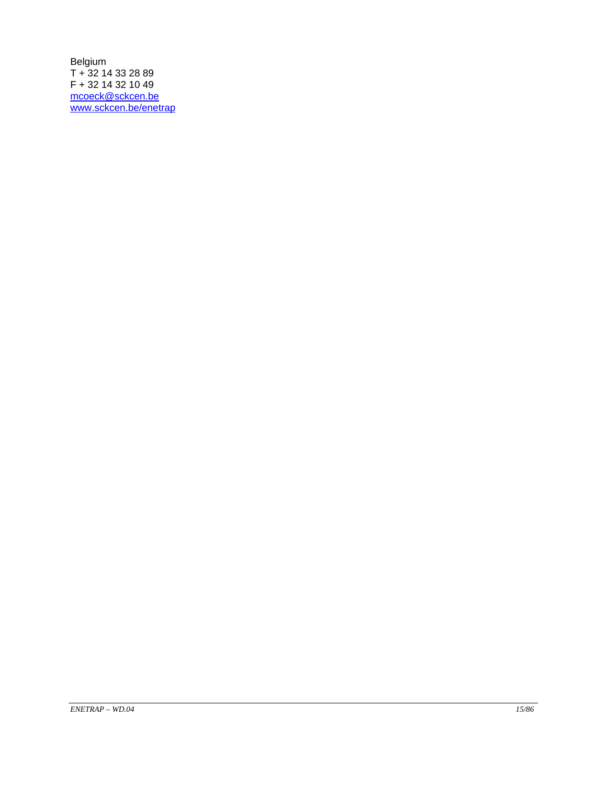Belgium T + 32 14 33 28 89 F + 32 14 32 10 49 mcoeck@sckcen.be www.sckcen.be/enetrap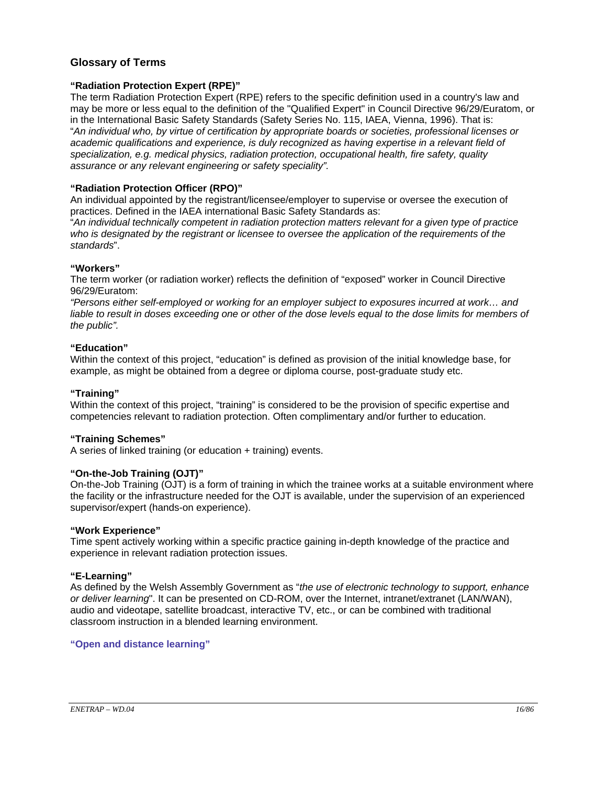### **Glossary of Terms**

#### **"Radiation Protection Expert (RPE)"**

The term Radiation Protection Expert (RPE) refers to the specific definition used in a country's law and may be more or less equal to the definition of the "Qualified Expert" in Council Directive 96/29/Euratom, or in the International Basic Safety Standards (Safety Series No. 115, IAEA, Vienna, 1996). That is: "*An individual who, by virtue of certification by appropriate boards or societies, professional licenses or academic qualifications and experience, is duly recognized as having expertise in a relevant field of specialization, e.g. medical physics, radiation protection, occupational health, fire safety, quality assurance or any relevant engineering or safety speciality".* 

#### **"Radiation Protection Officer (RPO)"**

An individual appointed by the registrant/licensee/employer to supervise or oversee the execution of practices. Defined in the IAEA international Basic Safety Standards as:

"*An individual technically competent in radiation protection matters relevant for a given type of practice*  who is designated by the registrant or licensee to oversee the application of the requirements of the *standards*".

#### **"Workers"**

The term worker (or radiation worker) reflects the definition of "exposed" worker in Council Directive 96/29/Euratom:

*"Persons either self-employed or working for an employer subject to exposures incurred at work… and liable to result in doses exceeding one or other of the dose levels equal to the dose limits for members of the public".* 

#### **"Education"**

Within the context of this project, "education" is defined as provision of the initial knowledge base, for example, as might be obtained from a degree or diploma course, post-graduate study etc.

#### **"Training"**

Within the context of this project, "training" is considered to be the provision of specific expertise and competencies relevant to radiation protection. Often complimentary and/or further to education.

#### **"Training Schemes"**

A series of linked training (or education + training) events.

#### **"On-the-Job Training (OJT)"**

On-the-Job Training (OJT) is a form of training in which the trainee works at a suitable environment where the facility or the infrastructure needed for the OJT is available, under the supervision of an experienced supervisor/expert (hands-on experience).

#### **"Work Experience"**

Time spent actively working within a specific practice gaining in-depth knowledge of the practice and experience in relevant radiation protection issues.

#### **"E-Learning"**

As defined by the Welsh Assembly Government as "*the use of electronic technology to support, enhance or deliver learning*". It can be presented on CD-ROM, over the Internet, intranet/extranet (LAN/WAN), audio and videotape, satellite broadcast, interactive TV, etc., or can be combined with traditional classroom instruction in a blended learning environment.

#### **"Open and distance learning"**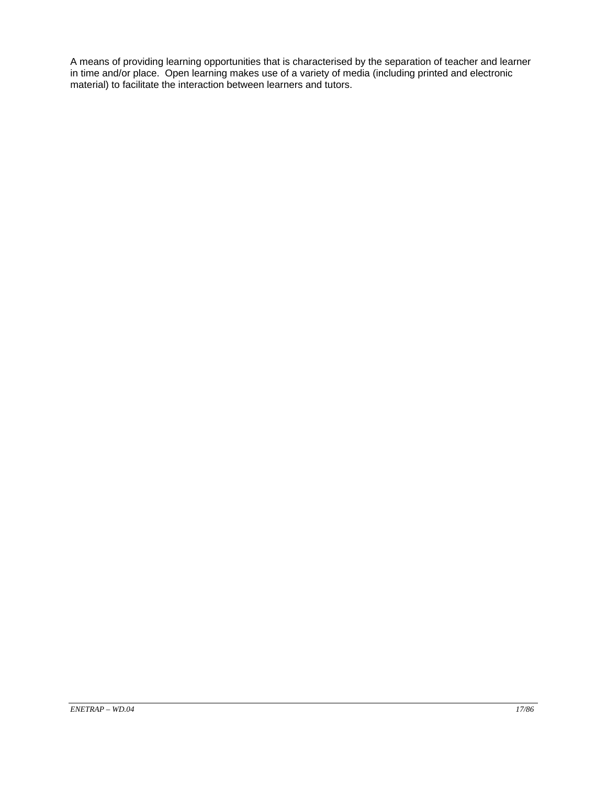A means of providing learning opportunities that is characterised by the separation of teacher and learner in time and/or place. Open learning makes use of a variety of media (including printed and electronic material) to facilitate the interaction between learners and tutors.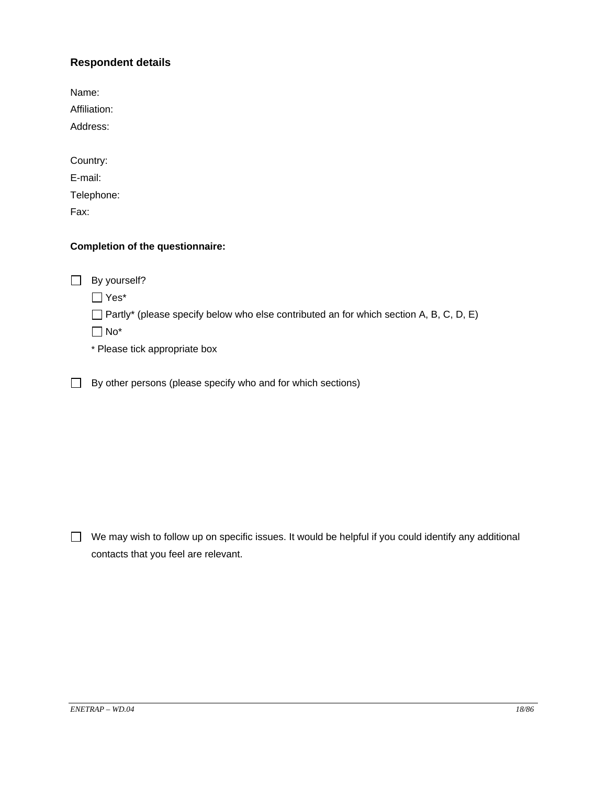### **Respondent details**

Name: Affiliation: Address: Country: E-mail: Telephone: Fax:

### **Completion of the questionnaire:**

By yourself?

Yes\*

 $\Box$  Partly\* (please specify below who else contributed an for which section A, B, C, D, E)

No\*

\* Please tick appropriate box

 $\Box$  By other persons (please specify who and for which sections)

 $\Box$  We may wish to follow up on specific issues. It would be helpful if you could identify any additional contacts that you feel are relevant.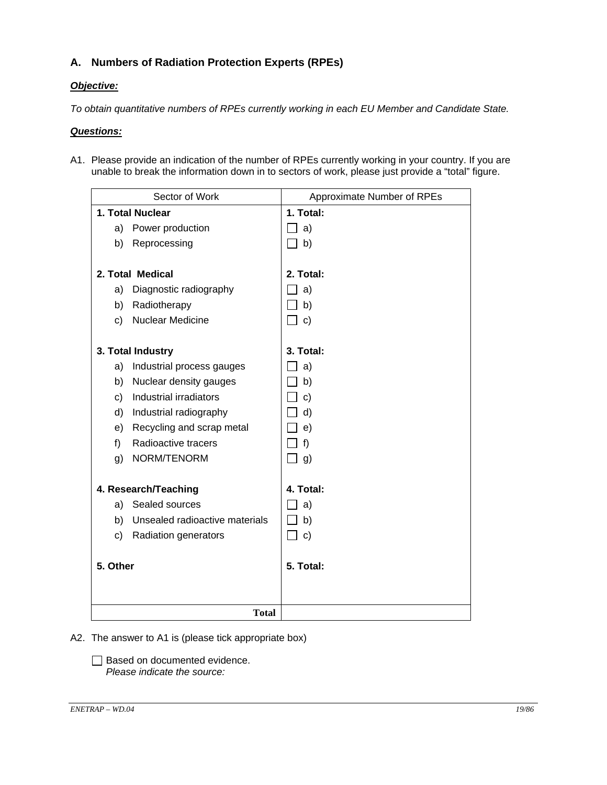# **A. Numbers of Radiation Protection Experts (RPEs)**

### *Objective:*

*To obtain quantitative numbers of RPEs currently working in each EU Member and Candidate State.* 

### *Questions:*

A1. Please provide an indication of the number of RPEs currently working in your country. If you are unable to break the information down in to sectors of work, please just provide a "total" figure.

| Sector of Work      |                                | Approximate Number of RPEs |
|---------------------|--------------------------------|----------------------------|
| 1. Total Nuclear    |                                | 1. Total:                  |
| a) Power production |                                | a)                         |
|                     | b) Reprocessing                | b)                         |
|                     |                                |                            |
|                     | 2. Total Medical               | 2. Total:                  |
|                     | a) Diagnostic radiography      | a)                         |
| b)                  | Radiotherapy                   | b)                         |
| C)                  | <b>Nuclear Medicine</b>        | $\mathbf{c}$               |
|                     |                                |                            |
|                     | 3. Total Industry              | 3. Total:                  |
|                     | a) Industrial process gauges   | a)                         |
| b)                  | Nuclear density gauges         | b)                         |
| c)                  | Industrial irradiators         | $\mathbf{C}$               |
| d)                  | Industrial radiography         | d)                         |
| e)                  | Recycling and scrap metal      | e)                         |
| f)                  | Radioactive tracers            | f)                         |
| g)                  | NORM/TENORM                    | $\perp$ g)                 |
|                     |                                |                            |
|                     | 4. Research/Teaching           | 4. Total:                  |
|                     | a) Sealed sources              | a)                         |
| b)                  | Unsealed radioactive materials | b)                         |
| c)                  | Radiation generators           | $\mathbf{C}$               |
|                     |                                |                            |
| 5. Other            |                                | 5. Total:                  |
|                     |                                |                            |
|                     |                                |                            |
|                     | <b>Total</b>                   |                            |

### A2. The answer to A1 is (please tick appropriate box)

Based on documented evidence. *Please indicate the source:*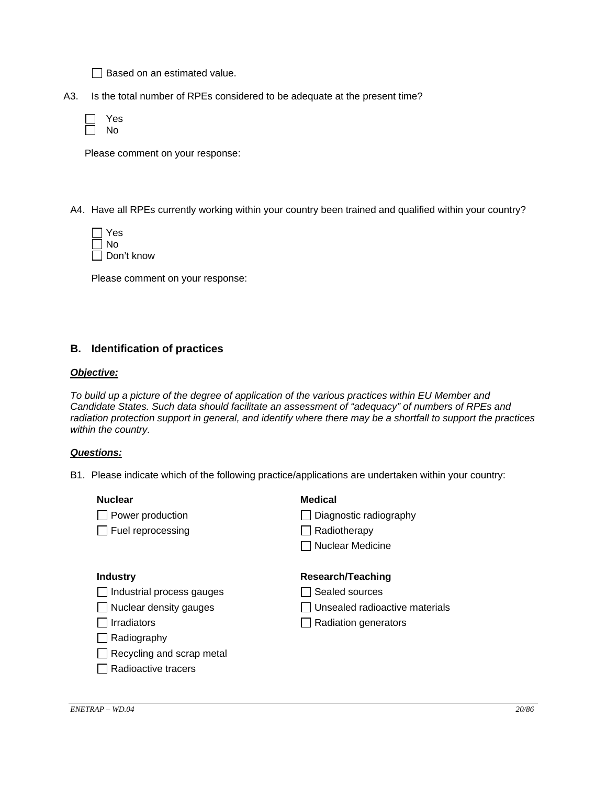$\Box$  Based on an estimated value.

A3. Is the total number of RPEs considered to be adequate at the present time?

| γ,<br>es |
|----------|
| N٥       |

Please comment on your response:

A4. Have all RPEs currently working within your country been trained and qualified within your country?

| Yes            |
|----------------|
| l INo          |
| l I Don't know |

Please comment on your response:

### **B. Identification of practices**

#### *Objective:*

*To build up a picture of the degree of application of the various practices within EU Member and Candidate States. Such data should facilitate an assessment of "adequacy" of numbers of RPEs and radiation protection support in general, and identify where there may be a shortfall to support the practices within the country.* 

#### *Questions:*

B1. Please indicate which of the following practice/applications are undertaken within your country:

| <b>Nuclear</b>                | <b>Medical</b>                 |
|-------------------------------|--------------------------------|
| Power production              | Diagnostic radiography         |
| $\Box$ Fuel reprocessing      | Radiotherapy                   |
|                               | Nuclear Medicine               |
|                               |                                |
| <b>Industry</b>               | Research/Teaching              |
| Industrial process gauges     | Sealed sources                 |
| $\Box$ Nuclear density gauges | Unsealed radioactive materials |
| <b>Irradiators</b>            | Radiation generators           |
| Radiography                   |                                |
| Recycling and scrap metal     |                                |
| Radioactive tracers           |                                |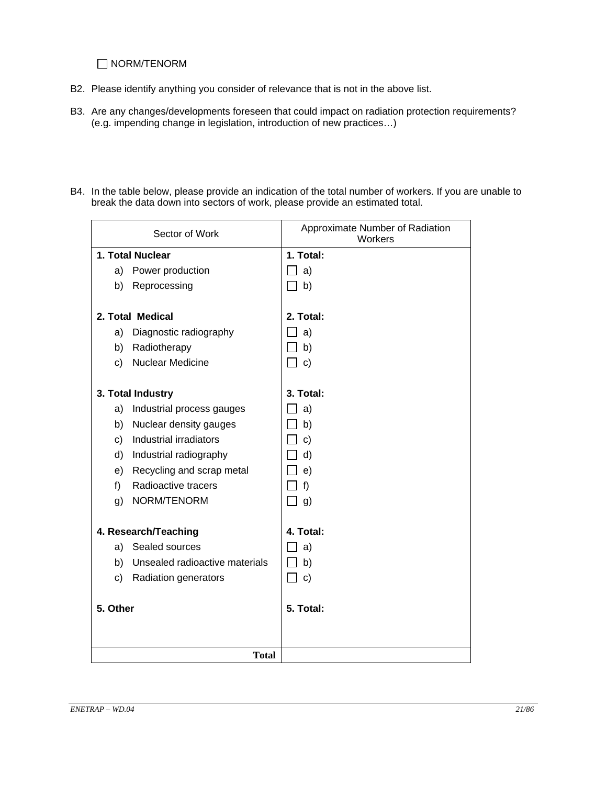### NORM/TENORM

- B2. Please identify anything you consider of relevance that is not in the above list.
- B3. Are any changes/developments foreseen that could impact on radiation protection requirements? (e.g. impending change in legislation, introduction of new practices…)
- B4. In the table below, please provide an indication of the total number of workers. If you are unable to break the data down into sectors of work, please provide an estimated total.

| Sector of Work                       | Approximate Number of Radiation<br>Workers |  |
|--------------------------------------|--------------------------------------------|--|
| 1. Total Nuclear                     | 1. Total:                                  |  |
| Power production<br>a)               | a)                                         |  |
| b)<br>Reprocessing                   | b)                                         |  |
| 2. Total Medical                     | 2. Total:                                  |  |
| a)<br>Diagnostic radiography         | a)                                         |  |
| b)<br>Radiotherapy                   | b)                                         |  |
| <b>Nuclear Medicine</b><br>c)        | $\mathbf{c}$                               |  |
|                                      |                                            |  |
| 3. Total Industry                    | 3. Total:                                  |  |
| Industrial process gauges<br>a)      | a)                                         |  |
| Nuclear density gauges<br>b)         | b)                                         |  |
| Industrial irradiators<br>c)         | $\mathbf{C}$                               |  |
| Industrial radiography<br>d)         | d)                                         |  |
| Recycling and scrap metal<br>e)      | e)                                         |  |
| Radioactive tracers<br>f)            | f)                                         |  |
| NORM/TENORM<br>g)                    | g)                                         |  |
|                                      | 4. Total:                                  |  |
| 4. Research/Teaching                 |                                            |  |
| a) Sealed sources                    | a)                                         |  |
| b)<br>Unsealed radioactive materials | b)                                         |  |
| c)<br><b>Radiation generators</b>    | $\mathbf{c}$                               |  |
| 5. Other                             | 5. Total:                                  |  |
|                                      |                                            |  |
|                                      |                                            |  |
| <b>Total</b>                         |                                            |  |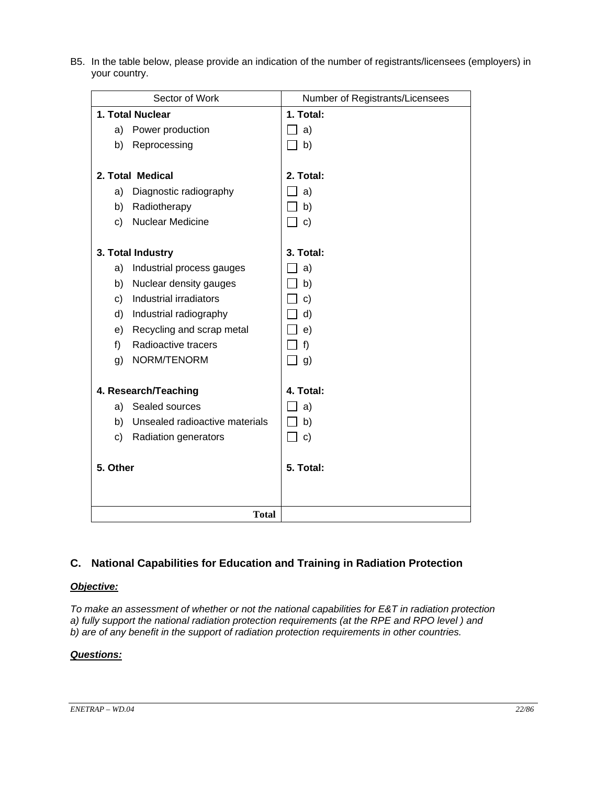|              | Sector of Work<br>Number of Registrants/Licensees |           |  |
|--------------|---------------------------------------------------|-----------|--|
|              | 1. Total Nuclear                                  | 1. Total: |  |
|              | a) Power production                               | a)        |  |
|              | b) Reprocessing                                   | $\Box$ b) |  |
|              | 2. Total Medical                                  | 2. Total: |  |
| a)           | Diagnostic radiography                            | a)        |  |
|              | b) Radiotherapy                                   | b)        |  |
| c)           | <b>Nuclear Medicine</b>                           | $\Box$ c) |  |
|              | 3. Total Industry                                 | 3. Total: |  |
| a)           | Industrial process gauges                         | 」a)       |  |
|              | b) Nuclear density gauges                         | b)        |  |
| c)           | Industrial irradiators                            | $\Box$ c) |  |
|              | d) Industrial radiography                         | $\Box$ d) |  |
|              | e) Recycling and scrap metal                      | _l e)     |  |
| f)           | Radioactive tracers                               | f)        |  |
| g)           | NORM/TENORM                                       | $\Box$ g) |  |
|              | 4. Research/Teaching                              | 4. Total: |  |
|              | a) Sealed sources                                 | a)        |  |
| b)           | Unsealed radioactive materials                    | b)        |  |
|              | c) Radiation generators                           | $\Box$ c) |  |
| 5. Other     |                                                   | 5. Total: |  |
| <b>Total</b> |                                                   |           |  |

B5. In the table below, please provide an indication of the number of registrants/licensees (employers) in your country.

# **C. National Capabilities for Education and Training in Radiation Protection**

# *Objective:*

*To make an assessment of whether or not the national capabilities for E&T in radiation protection a) fully support the national radiation protection requirements (at the RPE and RPO level ) and b) are of any benefit in the support of radiation protection requirements in other countries.* 

# *Questions:*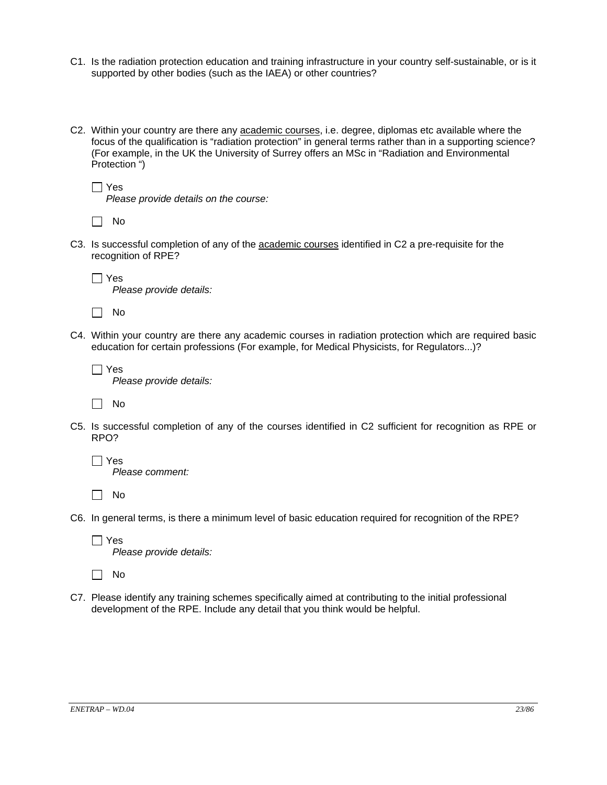- C1. Is the radiation protection education and training infrastructure in your country self-sustainable, or is it supported by other bodies (such as the IAEA) or other countries?
- C2. Within your country are there any academic courses, i.e. degree, diplomas etc available where the focus of the qualification is "radiation protection" in general terms rather than in a supporting science? (For example, in the UK the University of Surrey offers an MSc in "Radiation and Environmental Protection ")

```
\Box Yes
```
*Please provide details on the course:* 

| × |
|---|
|---|

- C3. Is successful completion of any of the academic courses identified in C2 a pre-requisite for the recognition of RPE?
	- Yes *Please provide details:*

 $\Box$  No

C4. Within your country are there any academic courses in radiation protection which are required basic education for certain professions (For example, for Medical Physicists, for Regulators...)?

 $\Box$  Yes *Please provide details:* 

 $\Box$  No

C5. Is successful completion of any of the courses identified in C2 sufficient for recognition as RPE or RPO?

 $\Box$  Yes *Please comment:* 

 $\Box$  No

C6. In general terms, is there a minimum level of basic education required for recognition of the RPE?

 $\Box$  Yes *Please provide details:* 

 $\Box$  No

C7. Please identify any training schemes specifically aimed at contributing to the initial professional development of the RPE. Include any detail that you think would be helpful.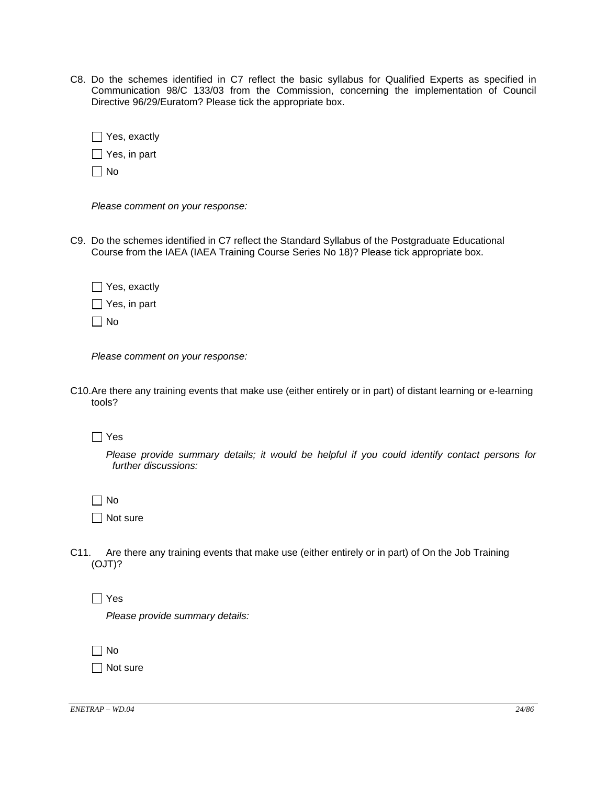C8. Do the schemes identified in C7 reflect the basic syllabus for Qualified Experts as specified in Communication 98/C 133/03 from the Commission, concerning the implementation of Council Directive 96/29/Euratom? Please tick the appropriate box.

|           | $\Box$ Yes, exactly |
|-----------|---------------------|
|           | $\Box$ Yes, in part |
| $\Box$ No |                     |

*Please comment on your response:*

C9. Do the schemes identified in C7 reflect the Standard Syllabus of the Postgraduate Educational Course from the IAEA (IAEA Training Course Series No 18)? Please tick appropriate box.

Yes, exactly

 $\Box$  Yes, in part

 $\Box$  No

*Please comment on your response:*

C10. Are there any training events that make use (either entirely or in part) of distant learning or e-learning tools?

Yes

*Please provide summary details; it would be helpful if you could identify contact persons for further discussions:*

 $\Box$  No

 $\Box$  Not sure

C11. Are there any training events that make use (either entirely or in part) of On the Job Training (OJT)?

 $\Box$  Yes

*Please provide summary details:*

 $\Box$  No

Not sure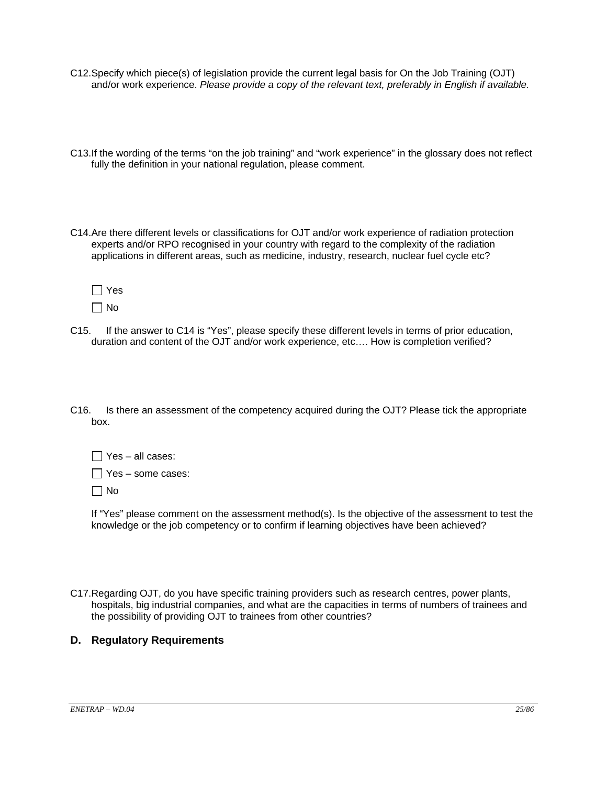- C12. Specify which piece(s) of legislation provide the current legal basis for On the Job Training (OJT) and/or work experience. *Please provide a copy of the relevant text, preferably in English if available.*
- C13. If the wording of the terms "on the job training" and "work experience" in the glossary does not reflect fully the definition in your national regulation, please comment.
- C14. Are there different levels or classifications for OJT and/or work experience of radiation protection experts and/or RPO recognised in your country with regard to the complexity of the radiation applications in different areas, such as medicine, industry, research, nuclear fuel cycle etc?

| s |
|---|
|   |

- C15. If the answer to C14 is "Yes", please specify these different levels in terms of prior education, duration and content of the OJT and/or work experience, etc…. How is completion verified?
- C16. Is there an assessment of the competency acquired during the OJT? Please tick the appropriate box.

 $\Box$  Yes – all cases:

 $\Box$  Yes – some cases:

 $\Box$  No

 If "Yes" please comment on the assessment method(s). Is the objective of the assessment to test the knowledge or the job competency or to confirm if learning objectives have been achieved?

C17. Regarding OJT, do you have specific training providers such as research centres, power plants, hospitals, big industrial companies, and what are the capacities in terms of numbers of trainees and the possibility of providing OJT to trainees from other countries?

### **D. Regulatory Requirements**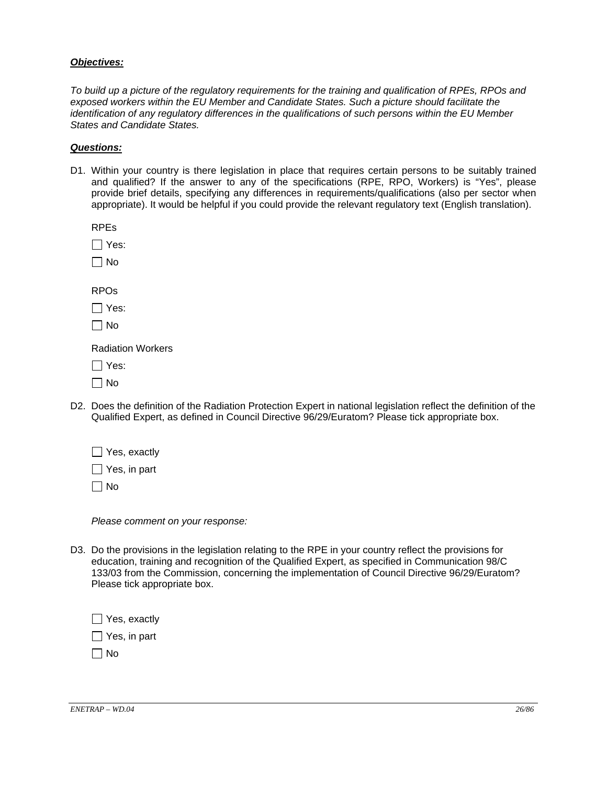#### *Objectives:*

*To build up a picture of the regulatory requirements for the training and qualification of RPEs, RPOs and exposed workers within the EU Member and Candidate States. Such a picture should facilitate the identification of any regulatory differences in the qualifications of such persons within the EU Member States and Candidate States.*

#### *Questions:*

D1. Within your country is there legislation in place that requires certain persons to be suitably trained and qualified? If the answer to any of the specifications (RPE, RPO, Workers) is "Yes", please provide brief details, specifying any differences in requirements/qualifications (also per sector when appropriate). It would be helpful if you could provide the relevant regulatory text (English translation).

RPEs

Yes:

 $\Box$  No

RPOs

 $\Box$  Yes:

 $\Box$  No

Radiation Workers

Yes:

 $\Box$  No

D2. Does the definition of the Radiation Protection Expert in national legislation reflect the definition of the Qualified Expert, as defined in Council Directive 96/29/Euratom? Please tick appropriate box.

Yes, exactly

 $\Box$  Yes, in part

 $\Box$  No

*Please comment on your response:*

D3. Do the provisions in the legislation relating to the RPE in your country reflect the provisions for education, training and recognition of the Qualified Expert, as specified in Communication 98/C 133/03 from the Commission, concerning the implementation of Council Directive 96/29/Euratom? Please tick appropriate box.

Yes, exactly  $\Box$  Yes, in part

 $\Box$  No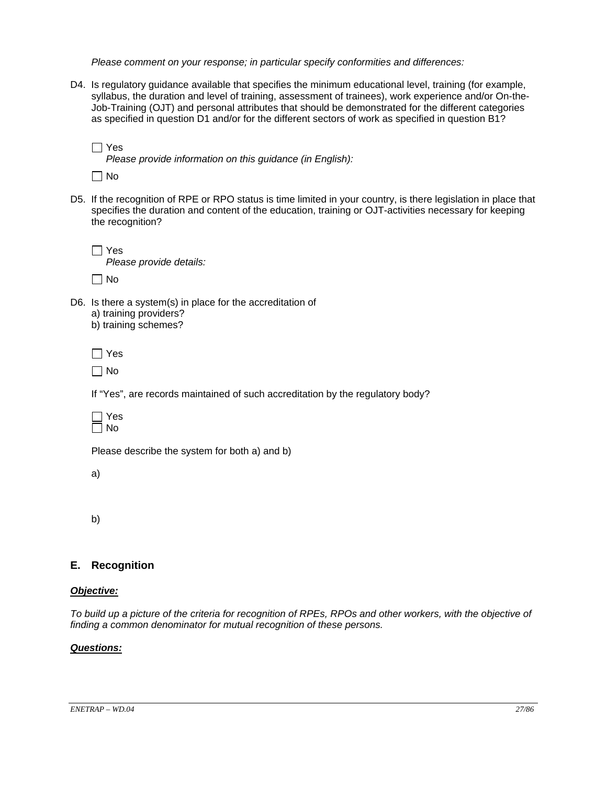*Please comment on your response; in particular specify conformities and differences:* 

- D4. Is regulatory guidance available that specifies the minimum educational level, training (for example, syllabus, the duration and level of training, assessment of trainees), work experience and/or On-the-Job-Training (OJT) and personal attributes that should be demonstrated for the different categories as specified in question D1 and/or for the different sectors of work as specified in question B1?
	- $\Box$  Yes *Please provide information on this guidance (in English):*

 $\Box$  No

- D5. If the recognition of RPE or RPO status is time limited in your country, is there legislation in place that specifies the duration and content of the education, training or OJT-activities necessary for keeping the recognition?
	- $\Box$  Yes *Please provide details:*   $\Box$  No
- D6. Is there a system(s) in place for the accreditation of a) training providers? b) training schemes?

Yes

 $\Box$  No

If "Yes", are records maintained of such accreditation by the regulatory body?



Please describe the system for both a) and b)

a)

b)

### **E. Recognition**

#### *Objective:*

*To build up a picture of the criteria for recognition of RPEs, RPOs and other workers, with the objective of finding a common denominator for mutual recognition of these persons.* 

#### *Questions:*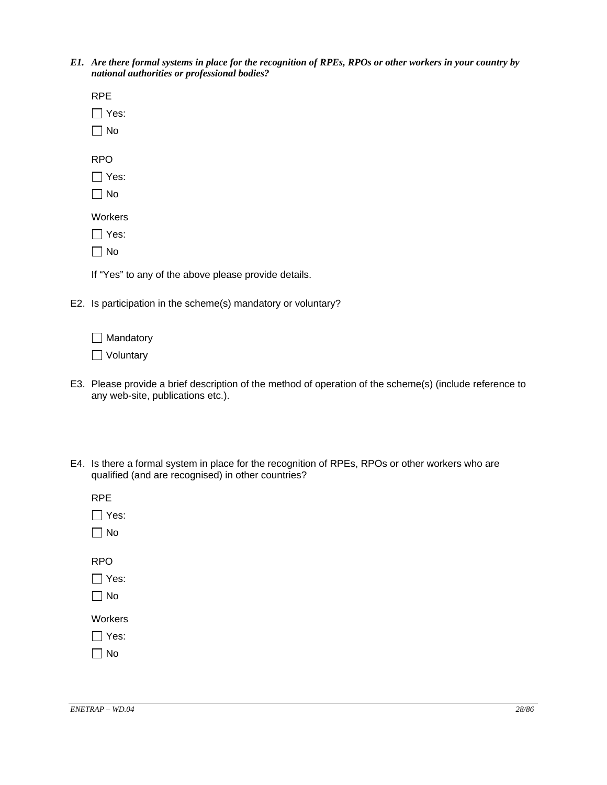*E1. Are there formal systems in place for the recognition of RPEs, RPOs or other workers in your country by national authorities or professional bodies?* 

| <b>RPE</b>  |
|-------------|
| $\Box$ Yes: |
| $\Box$ No   |
|             |
| <b>RPO</b>  |
| $\Box$ Yes: |
| $\Box$ No   |
| Workers     |
| $\Box$ Yes: |
|             |
| $\Box$ No   |
|             |

If "Yes" to any of the above please provide details.

E2. Is participation in the scheme(s) mandatory or voluntary?

□ Mandatory

□ Voluntary

- E3. Please provide a brief description of the method of operation of the scheme(s) (include reference to any web-site, publications etc.).
- E4. Is there a formal system in place for the recognition of RPEs, RPOs or other workers who are qualified (and are recognised) in other countries?

| RPE<br>$\Box$ Yes:<br>$\Box$ No |
|---------------------------------|
| RPO<br>$\Box$ Yes:<br>$\Box$ No |
| Workers<br>$\Box$ Yes:          |

No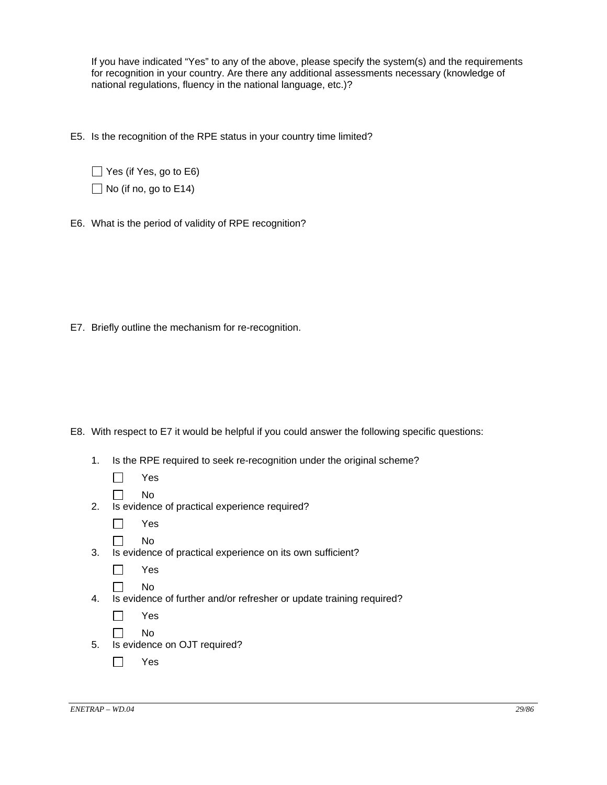If you have indicated "Yes" to any of the above, please specify the system(s) and the requirements for recognition in your country. Are there any additional assessments necessary (knowledge of national regulations, fluency in the national language, etc.)?

E5. Is the recognition of the RPE status in your country time limited?

 $\Box$  Yes (if Yes, go to E6)  $\Box$  No (if no, go to E14)

E6. What is the period of validity of RPE recognition?

E7. Briefly outline the mechanism for re-recognition.

- E8. With respect to E7 it would be helpful if you could answer the following specific questions:
	- 1. Is the RPE required to seek re-recognition under the original scheme?

| عیب<br>v |
|----------|
|          |

- $\Box$  No
- 2. Is evidence of practical experience required?
	- Yes
	- $\Box$  No
- 3. Is evidence of practical experience on its own sufficient?

 $\Box$  No 4. Is evidence of further and/or refresher or update training required?

| Yes |  |
|-----|--|
| No  |  |

- 5. Is evidence on OJT required?
	- Yes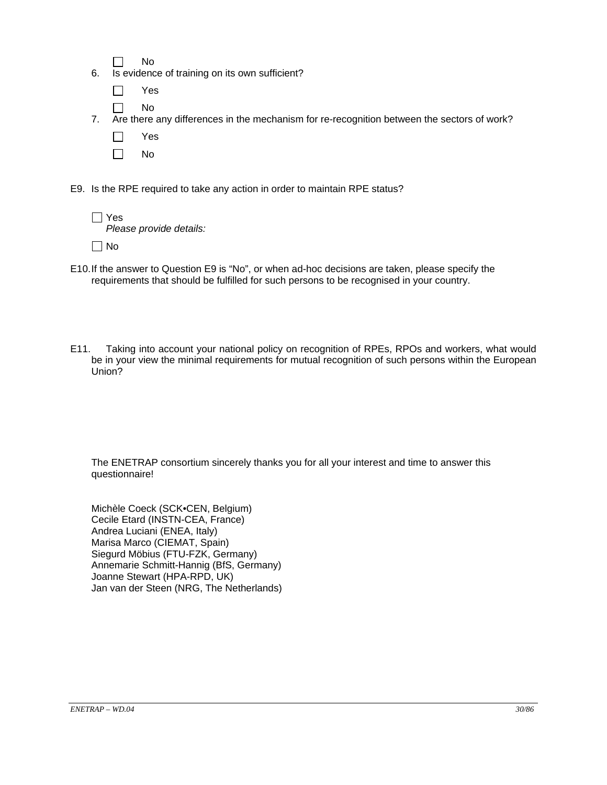$\Box$  No

6. Is evidence of training on its own sufficient?

- $\Box$  No
- 7. Are there any differences in the mechanism for re-recognition between the sectors of work?
	- Yes
	- $\Box$  No

E9. Is the RPE required to take any action in order to maintain RPE status?

| $\Box$ Yes<br>Please provide details: |
|---------------------------------------|
|                                       |

- $\Box$  No
- E10. If the answer to Question E9 is "No", or when ad-hoc decisions are taken, please specify the requirements that should be fulfilled for such persons to be recognised in your country.
- E11. Taking into account your national policy on recognition of RPEs, RPOs and workers, what would be in your view the minimal requirements for mutual recognition of such persons within the European Union?

The ENETRAP consortium sincerely thanks you for all your interest and time to answer this questionnaire!

Michèle Coeck (SCK•CEN, Belgium) Cecile Etard (INSTN-CEA, France) Andrea Luciani (ENEA, Italy) Marisa Marco (CIEMAT, Spain) Siegurd Möbius (FTU-FZK, Germany) Annemarie Schmitt-Hannig (BfS, Germany) Joanne Stewart (HPA-RPD, UK) Jan van der Steen (NRG, The Netherlands)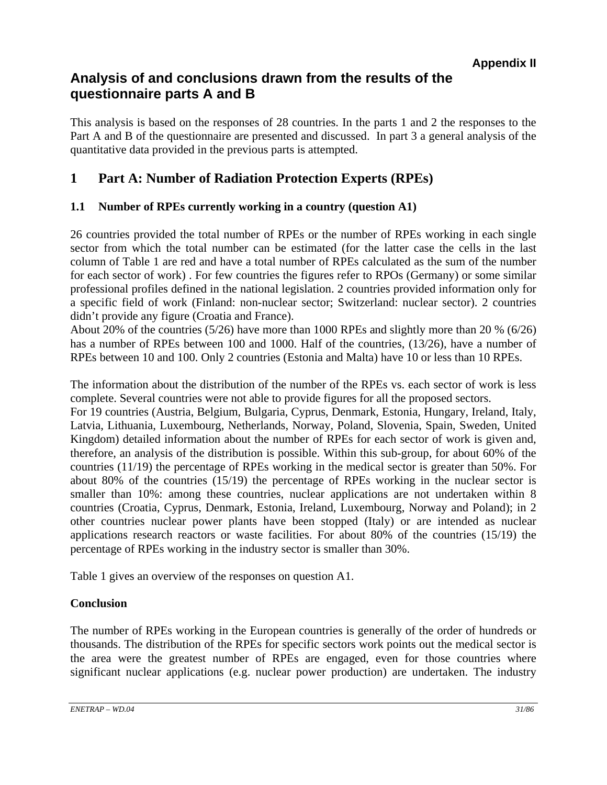# **Analysis of and conclusions drawn from the results of the questionnaire parts A and B**

This analysis is based on the responses of 28 countries. In the parts 1 and 2 the responses to the Part A and B of the questionnaire are presented and discussed. In part 3 a general analysis of the quantitative data provided in the previous parts is attempted.

# **1 Part A: Number of Radiation Protection Experts (RPEs)**

# **1.1 Number of RPEs currently working in a country (question A1)**

26 countries provided the total number of RPEs or the number of RPEs working in each single sector from which the total number can be estimated (for the latter case the cells in the last column of Table 1 are red and have a total number of RPEs calculated as the sum of the number for each sector of work) . For few countries the figures refer to RPOs (Germany) or some similar professional profiles defined in the national legislation. 2 countries provided information only for a specific field of work (Finland: non-nuclear sector; Switzerland: nuclear sector). 2 countries didn't provide any figure (Croatia and France).

About 20% of the countries (5/26) have more than 1000 RPEs and slightly more than 20 % (6/26) has a number of RPEs between 100 and 1000. Half of the countries, (13/26), have a number of RPEs between 10 and 100. Only 2 countries (Estonia and Malta) have 10 or less than 10 RPEs.

The information about the distribution of the number of the RPEs vs. each sector of work is less complete. Several countries were not able to provide figures for all the proposed sectors.

For 19 countries (Austria, Belgium, Bulgaria, Cyprus, Denmark, Estonia, Hungary, Ireland, Italy, Latvia, Lithuania, Luxembourg, Netherlands, Norway, Poland, Slovenia, Spain, Sweden, United Kingdom) detailed information about the number of RPEs for each sector of work is given and, therefore, an analysis of the distribution is possible. Within this sub-group, for about 60% of the countries (11/19) the percentage of RPEs working in the medical sector is greater than 50%. For about 80% of the countries (15/19) the percentage of RPEs working in the nuclear sector is smaller than 10%: among these countries, nuclear applications are not undertaken within 8 countries (Croatia, Cyprus, Denmark, Estonia, Ireland, Luxembourg, Norway and Poland); in 2 other countries nuclear power plants have been stopped (Italy) or are intended as nuclear applications research reactors or waste facilities. For about 80% of the countries (15/19) the percentage of RPEs working in the industry sector is smaller than 30%.

Table 1 gives an overview of the responses on question A1.

# **Conclusion**

The number of RPEs working in the European countries is generally of the order of hundreds or thousands. The distribution of the RPEs for specific sectors work points out the medical sector is the area were the greatest number of RPEs are engaged, even for those countries where significant nuclear applications (e.g. nuclear power production) are undertaken. The industry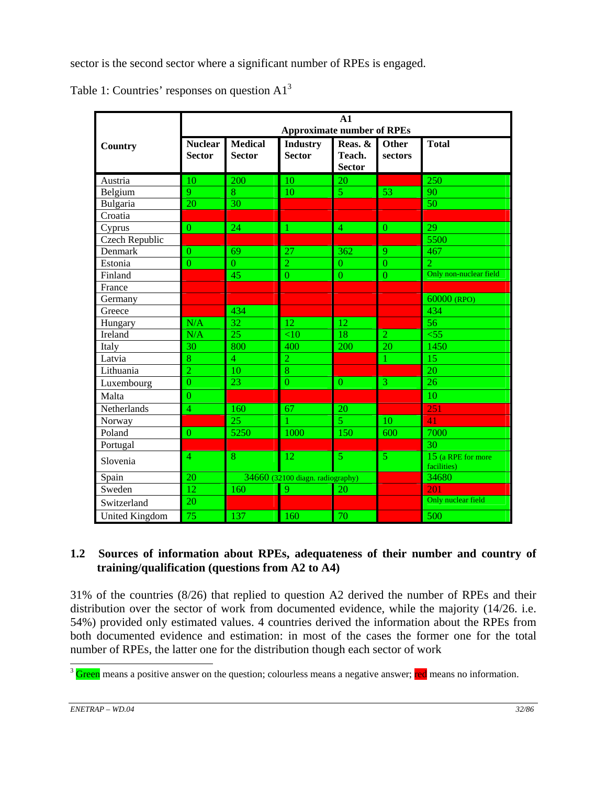sector is the second sector where a significant number of RPEs is engaged.

| Table 1: Countries' responses on question $A13$ |  |  |  |  |  |
|-------------------------------------------------|--|--|--|--|--|
|-------------------------------------------------|--|--|--|--|--|

|                       | A1<br><b>Approximate number of RPEs</b>         |                                 |                                  |                                    |                  |                                   |  |  |  |  |  |
|-----------------------|-------------------------------------------------|---------------------------------|----------------------------------|------------------------------------|------------------|-----------------------------------|--|--|--|--|--|
| Country               | $\overline{\mathbf{N}}$ uclear<br><b>Sector</b> | <b>Medical</b><br><b>Sector</b> | <b>Industry</b><br><b>Sector</b> | Reas. &<br>Teach.<br><b>Sector</b> | Other<br>sectors | <b>Total</b>                      |  |  |  |  |  |
| Austria               | 10                                              | 200                             | 10                               | 20                                 |                  | 250                               |  |  |  |  |  |
| Belgium               | $\overline{Q}$                                  | 8                               | 10                               | $\overline{5}$                     | 53               | 90                                |  |  |  |  |  |
| Bulgaria              | 20                                              | 30                              |                                  |                                    |                  | 50                                |  |  |  |  |  |
| Croatia               |                                                 |                                 |                                  |                                    |                  |                                   |  |  |  |  |  |
| Cyprus                | $\theta$                                        | 24                              | 1                                | $\overline{4}$                     | $\mathbf{0}$     | 29                                |  |  |  |  |  |
| Czech Republic        |                                                 |                                 |                                  |                                    |                  | 5500                              |  |  |  |  |  |
| Denmark               | $\theta$                                        | 69                              | 27                               | 362                                | 9                | 467                               |  |  |  |  |  |
| Estonia               | $\overline{0}$                                  | $\overline{0}$                  | $\overline{2}$                   | $\Omega$                           | $\overline{0}$   | $\overline{2}$                    |  |  |  |  |  |
| Finland               |                                                 | 45                              | $\theta$                         | $\overline{0}$                     | $\overline{0}$   | Only non-nuclear field            |  |  |  |  |  |
| France                |                                                 |                                 |                                  |                                    |                  |                                   |  |  |  |  |  |
| Germany               |                                                 |                                 |                                  |                                    |                  | 60000 (RPO)                       |  |  |  |  |  |
| Greece                |                                                 | 434                             |                                  |                                    |                  | 434                               |  |  |  |  |  |
| Hungary               | N/A                                             | 32                              | 12                               | 12                                 |                  | 56                                |  |  |  |  |  |
| Ireland               | N/A                                             | 25                              | <10                              | 18                                 | $\overline{2}$   | $<$ 55                            |  |  |  |  |  |
| Italy                 | 30                                              | 800                             | 400                              | 200                                | 20               | 1450                              |  |  |  |  |  |
| Latvia                | 8                                               | $\overline{4}$                  | $\overline{2}$                   |                                    | 1                | 15                                |  |  |  |  |  |
| Lithuania             | $\overline{2}$                                  | 10                              | 8                                |                                    |                  | 20                                |  |  |  |  |  |
| Luxembourg            | $\overline{0}$                                  | 23                              | $\overline{0}$                   | $\overline{0}$                     | $\overline{3}$   | 26                                |  |  |  |  |  |
| Malta                 | $\theta$                                        |                                 |                                  |                                    |                  | 10                                |  |  |  |  |  |
| Netherlands           | $\overline{4}$                                  | 160                             | 67                               | 20                                 |                  | 251                               |  |  |  |  |  |
| Norway                |                                                 | 25                              |                                  | $\overline{5}$                     | 10               | 41                                |  |  |  |  |  |
| Poland                | $\overline{0}$                                  | 5250                            | 1000                             | 150                                | 600              | 7000                              |  |  |  |  |  |
| Portugal              |                                                 |                                 |                                  |                                    |                  | 30                                |  |  |  |  |  |
| Slovenia              | $\overline{4}$                                  | 8                               | 12                               | $\mathfrak{S}$                     | 5                | 15 (a RPE for more<br>facilities) |  |  |  |  |  |
| Spain                 | 20                                              |                                 | 34660 (32100 diagn. radiography) |                                    |                  | 34680                             |  |  |  |  |  |
| Sweden                | $\overline{12}$                                 | 160                             | 9                                | 20                                 |                  | 201                               |  |  |  |  |  |
| Switzerland           | 20                                              |                                 |                                  |                                    |                  | Only nuclear field                |  |  |  |  |  |
| <b>United Kingdom</b> | 75                                              | 137                             | 160                              | 70                                 |                  | 500                               |  |  |  |  |  |

# **1.2 Sources of information about RPEs, adequateness of their number and country of training/qualification (questions from A2 to A4)**

31% of the countries (8/26) that replied to question A2 derived the number of RPEs and their distribution over the sector of work from documented evidence, while the majority (14/26. i.e. 54%) provided only estimated values. 4 countries derived the information about the RPEs from both documented evidence and estimation: in most of the cases the former one for the total number of RPEs, the latter one for the distribution though each sector of work

<sup>&</sup>lt;sup>3</sup> Green means a positive answer on the question; colourless means a negative answer; red means no information.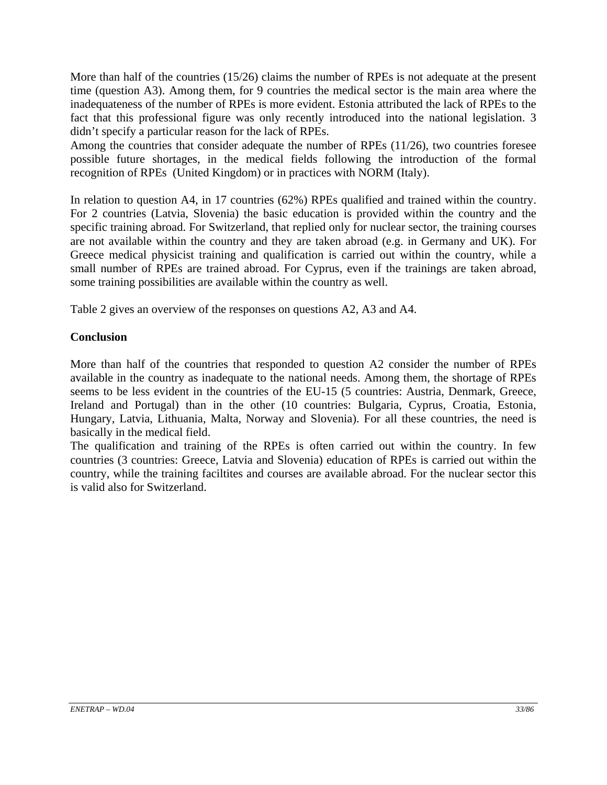More than half of the countries (15/26) claims the number of RPEs is not adequate at the present time (question A3). Among them, for 9 countries the medical sector is the main area where the inadequateness of the number of RPEs is more evident. Estonia attributed the lack of RPEs to the fact that this professional figure was only recently introduced into the national legislation. 3 didn't specify a particular reason for the lack of RPEs.

Among the countries that consider adequate the number of RPEs (11/26), two countries foresee possible future shortages, in the medical fields following the introduction of the formal recognition of RPEs (United Kingdom) or in practices with NORM (Italy).

In relation to question A4, in 17 countries (62%) RPEs qualified and trained within the country. For 2 countries (Latvia, Slovenia) the basic education is provided within the country and the specific training abroad. For Switzerland, that replied only for nuclear sector, the training courses are not available within the country and they are taken abroad (e.g. in Germany and UK). For Greece medical physicist training and qualification is carried out within the country, while a small number of RPEs are trained abroad. For Cyprus, even if the trainings are taken abroad, some training possibilities are available within the country as well.

Table 2 gives an overview of the responses on questions A2, A3 and A4.

# **Conclusion**

More than half of the countries that responded to question A2 consider the number of RPEs available in the country as inadequate to the national needs. Among them, the shortage of RPEs seems to be less evident in the countries of the EU-15 (5 countries: Austria, Denmark, Greece, Ireland and Portugal) than in the other (10 countries: Bulgaria, Cyprus, Croatia, Estonia, Hungary, Latvia, Lithuania, Malta, Norway and Slovenia). For all these countries, the need is basically in the medical field.

The qualification and training of the RPEs is often carried out within the country. In few countries (3 countries: Greece, Latvia and Slovenia) education of RPEs is carried out within the country, while the training faciltites and courses are available abroad. For the nuclear sector this is valid also for Switzerland.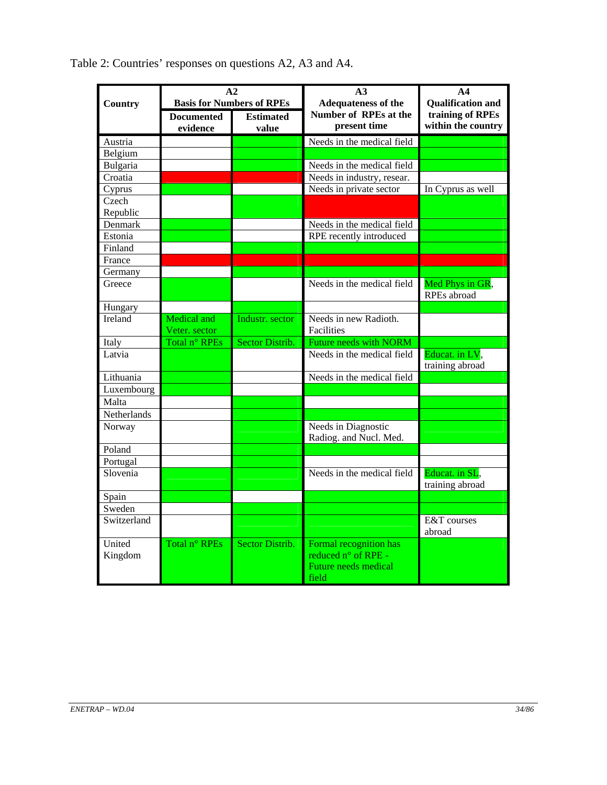|                |                   | A <sub>2</sub>                   | A <sub>3</sub>                                       | A <sub>4</sub>                         |  |  |
|----------------|-------------------|----------------------------------|------------------------------------------------------|----------------------------------------|--|--|
| <b>Country</b> |                   | <b>Basis for Numbers of RPEs</b> | <b>Adequateness of the</b>                           | <b>Qualification and</b>               |  |  |
|                | <b>Documented</b> | <b>Estimated</b>                 | Number of RPEs at the<br>present time                | training of RPEs<br>within the country |  |  |
|                | evidence          | value                            |                                                      |                                        |  |  |
| Austria        |                   |                                  | Needs in the medical field                           |                                        |  |  |
| Belgium        |                   |                                  |                                                      |                                        |  |  |
| Bulgaria       |                   |                                  | Needs in the medical field                           |                                        |  |  |
| Croatia        |                   |                                  | Needs in industry, resear.                           |                                        |  |  |
| Cyprus         |                   |                                  | Needs in private sector                              | In Cyprus as well                      |  |  |
| Czech          |                   |                                  |                                                      |                                        |  |  |
| Republic       |                   |                                  |                                                      |                                        |  |  |
| Denmark        |                   |                                  | Needs in the medical field                           |                                        |  |  |
| Estonia        |                   |                                  | RPE recently introduced                              |                                        |  |  |
| Finland        |                   |                                  |                                                      |                                        |  |  |
| France         |                   |                                  |                                                      |                                        |  |  |
| Germany        |                   |                                  |                                                      |                                        |  |  |
| Greece         |                   |                                  | Needs in the medical field                           | Med Phys in GR,<br>RPEs abroad         |  |  |
| Hungary        |                   |                                  |                                                      |                                        |  |  |
| Ireland        | Medical and       | Industr. sector                  | Needs in new Radioth.                                |                                        |  |  |
|                | Veter. sector     |                                  | Facilities                                           |                                        |  |  |
| Italy          | Total n° RPEs     | Sector Distrib.                  | <b>Future needs with NORM</b>                        |                                        |  |  |
| Latvia         |                   |                                  | Needs in the medical field                           | Educat. in LV,<br>training abroad      |  |  |
| Lithuania      |                   |                                  | Needs in the medical field                           |                                        |  |  |
| Luxembourg     |                   |                                  |                                                      |                                        |  |  |
| Malta          |                   |                                  |                                                      |                                        |  |  |
| Netherlands    |                   |                                  |                                                      |                                        |  |  |
| Norway         |                   |                                  | Needs in Diagnostic<br>Radiog. and Nucl. Med.        |                                        |  |  |
| Poland         |                   |                                  |                                                      |                                        |  |  |
| Portugal       |                   |                                  |                                                      |                                        |  |  |
| Slovenia       |                   |                                  | Needs in the medical field                           |                                        |  |  |
|                |                   |                                  |                                                      | Educat. in SL,<br>training abroad      |  |  |
| Spain          |                   |                                  |                                                      |                                        |  |  |
| Sweden         |                   |                                  |                                                      |                                        |  |  |
| Switzerland    |                   |                                  |                                                      | E&T courses<br>abroad                  |  |  |
| United         | Total n° RPEs     | Sector Distrib.                  | Formal recognition has                               |                                        |  |  |
| Kingdom        |                   |                                  | reduced n° of RPE -<br>Future needs medical<br>field |                                        |  |  |

Table 2: Countries' responses on questions A2, A3 and A4.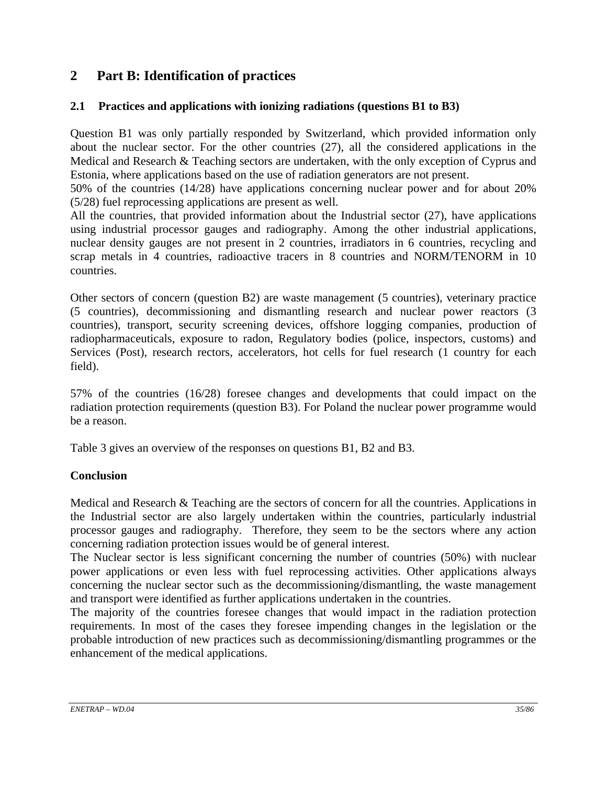# **2 Part B: Identification of practices**

# **2.1 Practices and applications with ionizing radiations (questions B1 to B3)**

Question B1 was only partially responded by Switzerland, which provided information only about the nuclear sector. For the other countries (27), all the considered applications in the Medical and Research & Teaching sectors are undertaken, with the only exception of Cyprus and Estonia, where applications based on the use of radiation generators are not present.

50% of the countries (14/28) have applications concerning nuclear power and for about 20% (5/28) fuel reprocessing applications are present as well.

All the countries, that provided information about the Industrial sector (27), have applications using industrial processor gauges and radiography. Among the other industrial applications, nuclear density gauges are not present in 2 countries, irradiators in 6 countries, recycling and scrap metals in 4 countries, radioactive tracers in 8 countries and NORM/TENORM in 10 countries.

Other sectors of concern (question B2) are waste management (5 countries), veterinary practice (5 countries), decommissioning and dismantling research and nuclear power reactors (3 countries), transport, security screening devices, offshore logging companies, production of radiopharmaceuticals, exposure to radon, Regulatory bodies (police, inspectors, customs) and Services (Post), research rectors, accelerators, hot cells for fuel research (1 country for each field).

57% of the countries (16/28) foresee changes and developments that could impact on the radiation protection requirements (question B3). For Poland the nuclear power programme would be a reason.

Table 3 gives an overview of the responses on questions B1, B2 and B3.

# **Conclusion**

Medical and Research & Teaching are the sectors of concern for all the countries. Applications in the Industrial sector are also largely undertaken within the countries, particularly industrial processor gauges and radiography. Therefore, they seem to be the sectors where any action concerning radiation protection issues would be of general interest.

The Nuclear sector is less significant concerning the number of countries (50%) with nuclear power applications or even less with fuel reprocessing activities. Other applications always concerning the nuclear sector such as the decommissioning/dismantling, the waste management and transport were identified as further applications undertaken in the countries.

The majority of the countries foresee changes that would impact in the radiation protection requirements. In most of the cases they foresee impending changes in the legislation or the probable introduction of new practices such as decommissioning/dismantling programmes or the enhancement of the medical applications.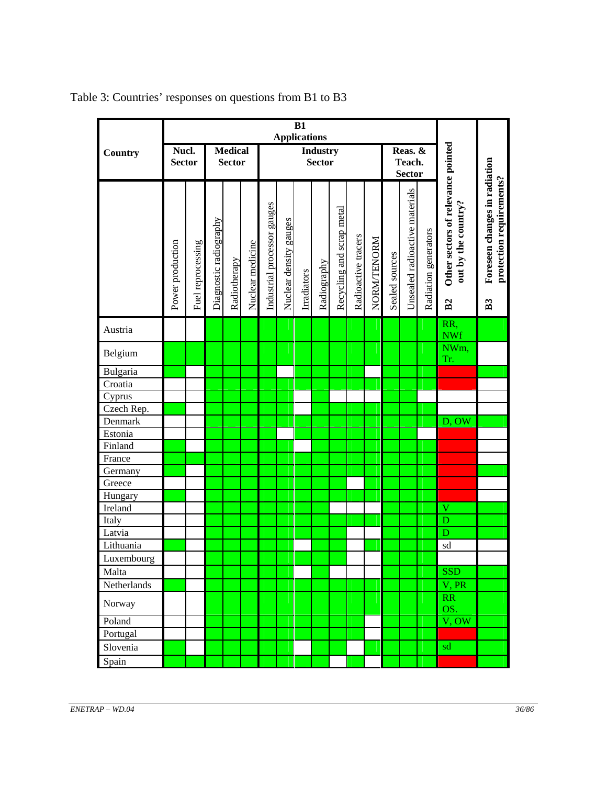|                                |                        |                   |                        | B1<br><b>Applications</b>       |                  |                             |                           |             |             |                           |                     |             |                                    |                                |                      |                                                                 |                                                                             |
|--------------------------------|------------------------|-------------------|------------------------|---------------------------------|------------------|-----------------------------|---------------------------|-------------|-------------|---------------------------|---------------------|-------------|------------------------------------|--------------------------------|----------------------|-----------------------------------------------------------------|-----------------------------------------------------------------------------|
| Country                        | Nucl.<br><b>Sector</b> |                   |                        | <b>Medical</b><br><b>Sector</b> |                  |                             | Industry<br><b>Sector</b> |             |             |                           |                     |             | Reas. &<br>Teach.<br><b>Sector</b> |                                |                      |                                                                 |                                                                             |
|                                | Power production       | Fuel reprocessing | Diagnostic radiography | Radiotherapy                    | Nuclear medicine | Industrial processor gauges | Nuclear density gauges    | Irradiators | Radiography | Recycling and scrap metal | Radioactive tracers | NORM/TENORM | Sealed sources                     | Unsealed radioactive materials | Radiation generators | Other sectors of relevance pointed<br>out by the country?<br>B2 | Foreseen changes in radiation<br>protection requirements?<br>B <sub>3</sub> |
| Austria                        |                        |                   |                        |                                 |                  |                             |                           |             |             |                           |                     |             |                                    |                                |                      | RR,<br><b>NWf</b>                                               |                                                                             |
| Belgium                        |                        |                   |                        |                                 |                  |                             |                           |             |             |                           |                     |             |                                    |                                |                      | NWm,<br>Tr.                                                     |                                                                             |
| Bulgaria                       |                        |                   |                        |                                 |                  |                             |                           |             |             |                           |                     |             |                                    |                                |                      |                                                                 |                                                                             |
| Croatia                        |                        |                   |                        |                                 |                  |                             |                           |             |             |                           |                     |             |                                    |                                |                      |                                                                 |                                                                             |
| Cyprus                         |                        |                   |                        |                                 |                  |                             |                           |             |             |                           |                     |             |                                    |                                |                      |                                                                 |                                                                             |
| $\overline{\text{Czech}}$ Rep. |                        |                   |                        |                                 |                  |                             |                           |             |             |                           |                     |             |                                    |                                |                      |                                                                 |                                                                             |
| Denmark                        |                        |                   |                        |                                 |                  |                             |                           |             |             |                           |                     |             |                                    |                                |                      | D, OW                                                           |                                                                             |
| Estonia                        |                        |                   |                        |                                 |                  |                             |                           |             |             |                           |                     |             |                                    |                                |                      |                                                                 |                                                                             |
| Finland                        |                        |                   |                        |                                 |                  |                             |                           |             |             |                           |                     |             |                                    |                                |                      |                                                                 |                                                                             |
| France                         |                        |                   |                        |                                 |                  |                             |                           |             |             |                           |                     |             |                                    |                                |                      |                                                                 |                                                                             |
| Germany<br>Greece              |                        |                   |                        |                                 |                  |                             |                           |             |             |                           |                     |             |                                    |                                |                      |                                                                 |                                                                             |
| Hungary                        |                        |                   |                        |                                 |                  |                             |                           |             |             |                           |                     |             |                                    |                                |                      |                                                                 |                                                                             |
| Ireland                        |                        |                   |                        |                                 |                  |                             |                           |             |             |                           |                     |             |                                    |                                |                      | $\mathbf V$                                                     |                                                                             |
| Italy                          |                        |                   |                        |                                 |                  |                             |                           |             |             |                           |                     |             |                                    |                                |                      | D                                                               |                                                                             |
| Latvia                         |                        |                   |                        |                                 |                  |                             |                           |             |             |                           |                     |             |                                    |                                |                      | D                                                               |                                                                             |
| Lithuania                      |                        |                   |                        |                                 |                  |                             |                           |             |             |                           |                     |             |                                    |                                |                      | sd                                                              |                                                                             |
| Luxembourg                     |                        |                   |                        |                                 |                  |                             |                           |             |             |                           |                     |             |                                    |                                |                      |                                                                 |                                                                             |
| Malta                          |                        |                   |                        |                                 |                  |                             |                           |             |             |                           |                     |             |                                    |                                |                      | <b>SSD</b>                                                      |                                                                             |
| Netherlands                    |                        |                   |                        |                                 |                  |                             |                           |             |             |                           |                     |             |                                    |                                |                      | V, PR                                                           |                                                                             |
| Norway                         |                        |                   |                        |                                 |                  |                             |                           |             |             |                           |                     |             |                                    |                                |                      | RR<br>OS.                                                       |                                                                             |
| Poland                         |                        |                   |                        |                                 |                  |                             |                           |             |             |                           |                     |             |                                    |                                |                      | V, OW                                                           |                                                                             |
| Portugal                       |                        |                   |                        |                                 |                  |                             |                           |             |             |                           |                     |             |                                    |                                |                      |                                                                 |                                                                             |
| Slovenia                       |                        |                   |                        |                                 |                  |                             |                           |             |             |                           |                     |             |                                    |                                |                      | sd                                                              |                                                                             |
| Spain                          |                        |                   |                        |                                 |                  |                             |                           |             |             |                           |                     |             |                                    |                                |                      |                                                                 |                                                                             |

Table 3: Countries' responses on questions from B1 to B3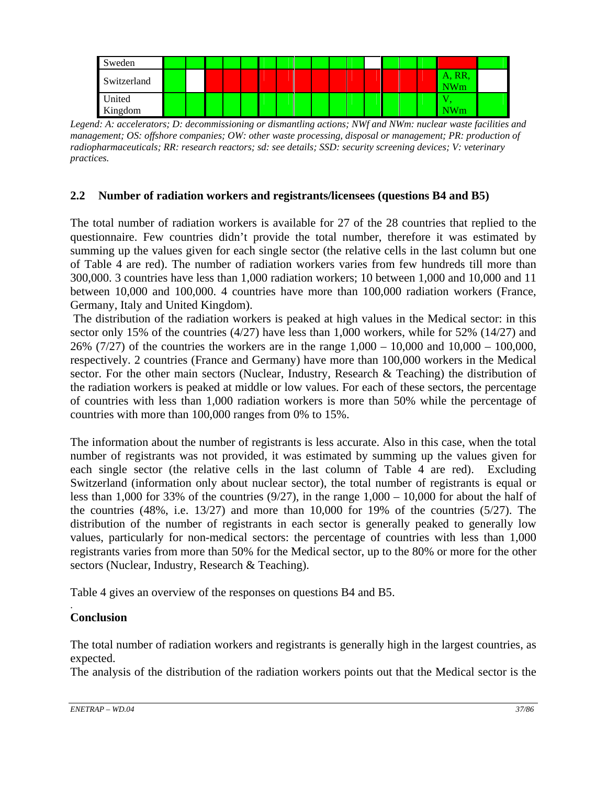

*Legend: A: accelerators; D: decommissioning or dismantling actions; NWf and NWm: nuclear waste facilities and management; OS: offshore companies; OW: other waste processing, disposal or management; PR: production of radiopharmaceuticals; RR: research reactors; sd: see details; SSD: security screening devices; V: veterinary practices.* 

# **2.2 Number of radiation workers and registrants/licensees (questions B4 and B5)**

The total number of radiation workers is available for 27 of the 28 countries that replied to the questionnaire. Few countries didn't provide the total number, therefore it was estimated by summing up the values given for each single sector (the relative cells in the last column but one of Table 4 are red). The number of radiation workers varies from few hundreds till more than 300,000. 3 countries have less than 1,000 radiation workers; 10 between 1,000 and 10,000 and 11 between 10,000 and 100,000. 4 countries have more than 100,000 radiation workers (France, Germany, Italy and United Kingdom).

 The distribution of the radiation workers is peaked at high values in the Medical sector: in this sector only 15% of the countries (4/27) have less than 1,000 workers, while for 52% (14/27) and 26% (7/27) of the countries the workers are in the range 1,000 – 10,000 and 10,000 – 100,000, respectively. 2 countries (France and Germany) have more than 100,000 workers in the Medical sector. For the other main sectors (Nuclear, Industry, Research & Teaching) the distribution of the radiation workers is peaked at middle or low values. For each of these sectors, the percentage of countries with less than 1,000 radiation workers is more than 50% while the percentage of countries with more than 100,000 ranges from 0% to 15%.

The information about the number of registrants is less accurate. Also in this case, when the total number of registrants was not provided, it was estimated by summing up the values given for each single sector (the relative cells in the last column of Table 4 are red). Excluding Switzerland (information only about nuclear sector), the total number of registrants is equal or less than 1,000 for 33% of the countries  $(9/27)$ , in the range  $1,000 - 10,000$  for about the half of the countries (48%, i.e. 13/27) and more than 10,000 for 19% of the countries (5/27). The distribution of the number of registrants in each sector is generally peaked to generally low values, particularly for non-medical sectors: the percentage of countries with less than 1,000 registrants varies from more than 50% for the Medical sector, up to the 80% or more for the other sectors (Nuclear, Industry, Research & Teaching).

Table 4 gives an overview of the responses on questions B4 and B5.

#### . **Conclusion**

The total number of radiation workers and registrants is generally high in the largest countries, as expected.

The analysis of the distribution of the radiation workers points out that the Medical sector is the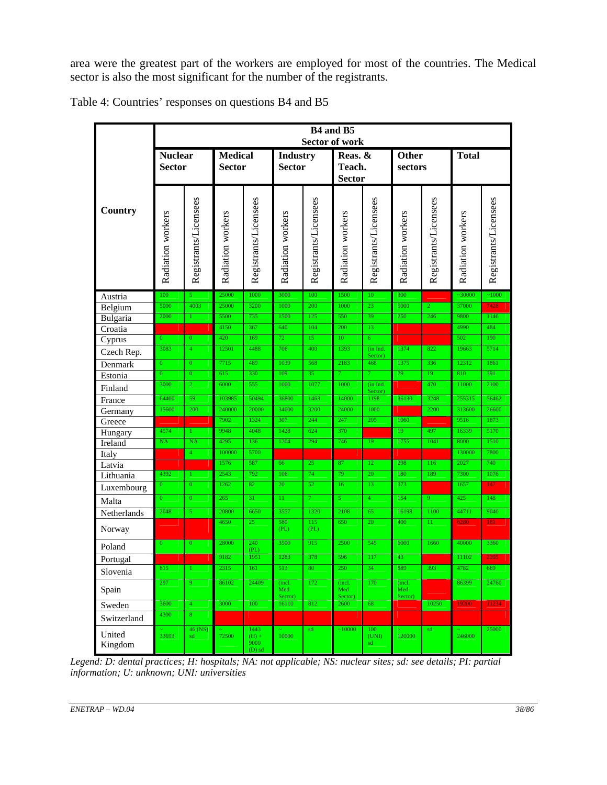area were the greatest part of the workers are employed for most of the countries. The Medical sector is also the most significant for the number of the registrants.

|                    | B4 and B5<br><b>Sector of work</b> |                                |                                 |                             |                          |                                  |                          |                                    |                          |                       |                   |                       |
|--------------------|------------------------------------|--------------------------------|---------------------------------|-----------------------------|--------------------------|----------------------------------|--------------------------|------------------------------------|--------------------------|-----------------------|-------------------|-----------------------|
|                    | <b>Nuclear</b><br><b>Sector</b>    |                                | <b>Medical</b><br><b>Sector</b> |                             |                          | <b>Industry</b><br><b>Sector</b> |                          | Reas. &<br>Teach.<br><b>Sector</b> |                          | Other<br>sectors      | <b>Total</b>      |                       |
| Country            | Radiation workers                  | Registrants/Licensees          | Radiation workers               | Registrants/Licensees       | Radiation workers        | Registrants/Licensees            | Radiation workers        | Registrants/Licensees              | Radiation workers        | Registrants/Licensees | Radiation workers | Registrants/Licensees |
| Austria            | 100                                | 5 <sup>1</sup>                 | 25000                           | 1000                        | 3000                     | 100                              | 1500                     | 10                                 | 300                      |                       | ~10000            | ~1000                 |
| Belgium            | 5000                               | 4003                           | 25000                           | 3200                        | 1000                     | 200                              | 1000                     | 23                                 | 5000                     | $\overline{2}$        | 37000             | 7428                  |
| Bulgaria           | 2000                               | $\mathbf{1}$                   | 5500<br>4150                    | 735<br>367                  | 1500<br>640              | 125<br>104                       | 550<br>200               | 39<br>13                           | 250                      | 246                   | 9800<br>4990      | 1146<br>484           |
| Croatia            | $\overline{0}$                     | $\overline{0}$                 | 420                             | 169                         | 72                       | 15                               | 10                       | $\overline{6}$                     |                          |                       | 502               | 190                   |
| Cyprus             | 3083                               | $\overline{4}$                 | 12501                           | 4488                        | 706                      | 400                              | 1393                     | (in Ind.                           | 1374                     | 822                   | 19663             | 5714                  |
| Czech Rep.         |                                    |                                | 7715                            | 489                         | 1039                     | 568                              |                          | Sector)                            |                          | 336                   | 12312             | 1861                  |
| Denmark            | $\mathbf{0}$<br>$\overline{0}$     | $\mathbf{0}$<br>$\overline{0}$ | 615                             | 330                         | 109                      | 35                               | 2183                     | 468<br>$\overline{7}$              | 1375<br>79               | 19                    | 810               | 391                   |
| Estonia            | 3000                               | $\overline{2}$                 | 6000                            | 555                         | 1000                     | 1077                             | 1000                     | (in Ind.                           |                          | 470                   | 11000             | 2100                  |
| Finland            |                                    |                                |                                 |                             |                          |                                  |                          | Sector)                            |                          |                       |                   |                       |
| France             | 64400<br>15600                     | 59<br>200                      | 103985<br>240000                | 50494<br>20000              | 36800<br>34000           | 1463<br>3200                     | 14000<br>24000           | 1198<br>1000                       | 36130                    | 3248<br>2200          | 255315<br>313600  | 56462<br>26600        |
| Germany            |                                    |                                | 7902                            | 1324                        | 307                      | 244                              | 247                      | 205                                | 1060                     |                       | 9516              | 1873                  |
| Greece             | 4574                               | $\mathbf{1}$                   | 9948                            | 4048                        | 1428                     | 624                              | 370                      |                                    | 19                       | 497                   | 16339             | 5170                  |
| Hungary<br>Ireland | <b>NA</b>                          | <b>NA</b>                      | 4295                            | 136                         | 1204                     | 294                              | 746                      | 19                                 | 1755                     | 1041                  | 8000              | 1510                  |
| Italy              |                                    | $\overline{4}$                 | 100000                          | 5700                        |                          |                                  |                          |                                    |                          |                       | 130000            | 7800                  |
| Latvia             |                                    |                                | 1576                            | 587                         | 66                       | 25                               | 87                       | 12                                 | 298                      | 116                   | 2027              | 740                   |
| Lithuania          | 4392                               | $\mathbf{1}$                   | 2543                            | 792                         | 106                      | 74                               | 79                       | 20                                 | 180                      | 189                   | 7300              | 1076                  |
| Luxembourg         | $\overline{0}$                     | $\mathbf{0}$                   | 1262                            | 82                          | 20                       | 52                               | 16                       | 13                                 | 373                      |                       | 1657              | 147                   |
| Malta              | $\Omega$                           | $\overline{0}$                 | 265                             | 31                          | 11                       | $\tau$                           | 5                        | $\overline{4}$                     | 154                      | $\overline{9}$        | 425               | 148                   |
| Netherlands        | 2048                               | $\overline{5}$                 | 20800                           | 6650                        | 3557                     | 1320                             | 2108                     | 65                                 | 16198                    | 1100                  | 44711             | 9040                  |
| Norway             |                                    |                                | 4650                            | 25                          | 580<br>(PL)              | 115<br>(PL)                      | 650                      | 20                                 | 400                      | 11                    | 6280              | 181                   |
| Poland             | $\mathbf{0}$                       | $\mathbf{0}$                   | 28000                           | 240<br>(PI.)                | 3500                     | 915                              | 2500                     | 545                                | 6000                     | 1660                  | 40000             | 3360                  |
| Portugal           |                                    |                                | 9182                            | 1951                        | 1283                     | 378                              | 596                      | 117                                | 43                       |                       | 11102             | 2395                  |
| Slovenia           | 815                                | 1                              | 2315                            | 161                         | 513                      | 80                               | 250                      | 34                                 | 889                      | 393                   | 4782              | 669                   |
| Spain              | 297                                | $\overline{9}$                 | 86102                           | 24409                       | (incl.<br>Med<br>Sector) | 172                              | (incl.<br>Med<br>Sector) | 170                                | (incl.<br>Med<br>Sector) |                       | 86399             | 24760                 |
| Sweden             | 3600                               | $\overline{4}$                 | 3000                            | 100                         | 16110                    | 812                              | 2600                     | 68                                 |                          | 10250                 | 19200             | 11234                 |
| Switzerland        | 4300                               | $\overline{8}$                 |                                 |                             |                          |                                  |                          |                                    |                          |                       |                   |                       |
|                    |                                    | 46 (NS)                        |                                 | 1443                        |                          | $\operatorname{\sf sd}$          | ~10000                   | 100                                |                          | sd                    |                   | 25000                 |
| United<br>Kingdom  | 33693                              | sd                             | 72500                           | $(H) +$<br>9000<br>$(D)$ sd | 10000                    |                                  |                          | (UNI)<br>sd                        | 120000                   |                       | 246000            |                       |

*Legend: D: dental practices; H: hospitals; NA: not applicable; NS: nuclear sites; sd: see details; PI: partial information; U: unknown; UNI: universities*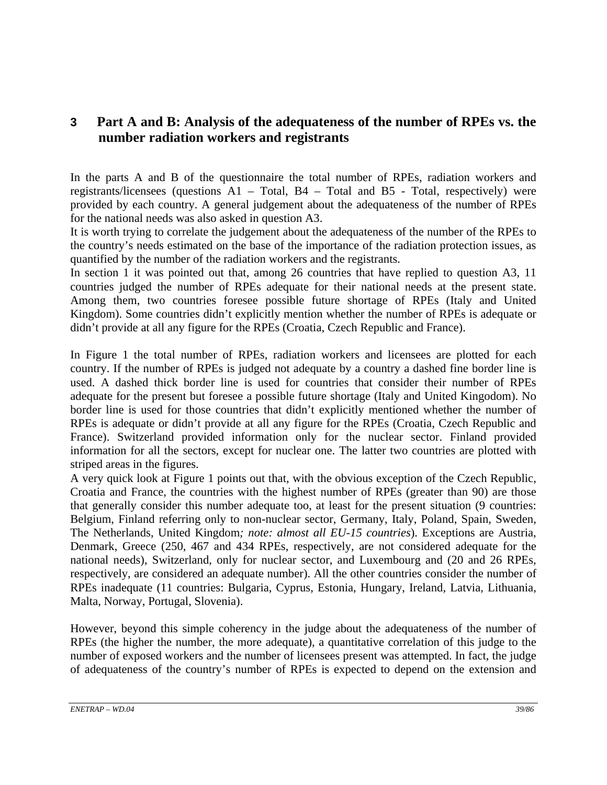# **3 Part A and B: Analysis of the adequateness of the number of RPEs vs. the number radiation workers and registrants**

In the parts A and B of the questionnaire the total number of RPEs, radiation workers and registrants/licensees (questions A1 – Total, B4 – Total and B5 - Total, respectively) were provided by each country. A general judgement about the adequateness of the number of RPEs for the national needs was also asked in question A3.

It is worth trying to correlate the judgement about the adequateness of the number of the RPEs to the country's needs estimated on the base of the importance of the radiation protection issues, as quantified by the number of the radiation workers and the registrants.

In section 1 it was pointed out that, among 26 countries that have replied to question A3, 11 countries judged the number of RPEs adequate for their national needs at the present state. Among them, two countries foresee possible future shortage of RPEs (Italy and United Kingdom). Some countries didn't explicitly mention whether the number of RPEs is adequate or didn't provide at all any figure for the RPEs (Croatia, Czech Republic and France).

In Figure 1 the total number of RPEs, radiation workers and licensees are plotted for each country. If the number of RPEs is judged not adequate by a country a dashed fine border line is used. A dashed thick border line is used for countries that consider their number of RPEs adequate for the present but foresee a possible future shortage (Italy and United Kingodom). No border line is used for those countries that didn't explicitly mentioned whether the number of RPEs is adequate or didn't provide at all any figure for the RPEs (Croatia, Czech Republic and France). Switzerland provided information only for the nuclear sector. Finland provided information for all the sectors, except for nuclear one. The latter two countries are plotted with striped areas in the figures.

A very quick look at Figure 1 points out that, with the obvious exception of the Czech Republic, Croatia and France, the countries with the highest number of RPEs (greater than 90) are those that generally consider this number adequate too, at least for the present situation (9 countries: Belgium, Finland referring only to non-nuclear sector, Germany, Italy, Poland, Spain, Sweden, The Netherlands, United Kingdom*; note: almost all EU-15 countries*). Exceptions are Austria, Denmark, Greece (250, 467 and 434 RPEs, respectively, are not considered adequate for the national needs), Switzerland, only for nuclear sector, and Luxembourg and (20 and 26 RPEs, respectively, are considered an adequate number). All the other countries consider the number of RPEs inadequate (11 countries: Bulgaria, Cyprus, Estonia, Hungary, Ireland, Latvia, Lithuania, Malta, Norway, Portugal, Slovenia).

However, beyond this simple coherency in the judge about the adequateness of the number of RPEs (the higher the number, the more adequate), a quantitative correlation of this judge to the number of exposed workers and the number of licensees present was attempted. In fact, the judge of adequateness of the country's number of RPEs is expected to depend on the extension and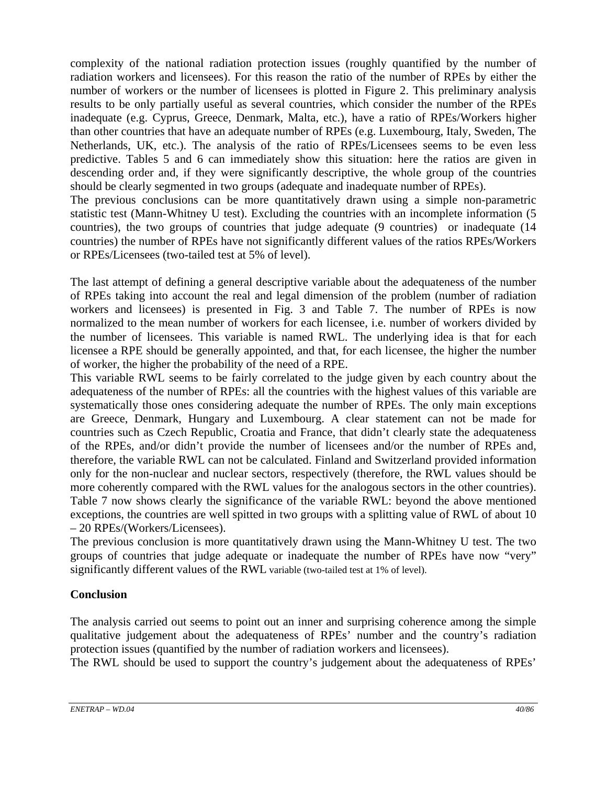complexity of the national radiation protection issues (roughly quantified by the number of radiation workers and licensees). For this reason the ratio of the number of RPEs by either the number of workers or the number of licensees is plotted in Figure 2. This preliminary analysis results to be only partially useful as several countries, which consider the number of the RPEs inadequate (e.g. Cyprus, Greece, Denmark, Malta, etc.), have a ratio of RPEs/Workers higher than other countries that have an adequate number of RPEs (e.g. Luxembourg, Italy, Sweden, The Netherlands, UK, etc.). The analysis of the ratio of RPEs/Licensees seems to be even less predictive. Tables 5 and 6 can immediately show this situation: here the ratios are given in descending order and, if they were significantly descriptive, the whole group of the countries should be clearly segmented in two groups (adequate and inadequate number of RPEs).

The previous conclusions can be more quantitatively drawn using a simple non-parametric statistic test (Mann-Whitney U test). Excluding the countries with an incomplete information (5 countries), the two groups of countries that judge adequate (9 countries) or inadequate (14 countries) the number of RPEs have not significantly different values of the ratios RPEs/Workers or RPEs/Licensees (two-tailed test at 5% of level).

The last attempt of defining a general descriptive variable about the adequateness of the number of RPEs taking into account the real and legal dimension of the problem (number of radiation workers and licensees) is presented in Fig. 3 and Table 7. The number of RPEs is now normalized to the mean number of workers for each licensee, i.e. number of workers divided by the number of licensees. This variable is named RWL. The underlying idea is that for each licensee a RPE should be generally appointed, and that, for each licensee, the higher the number of worker, the higher the probability of the need of a RPE.

This variable RWL seems to be fairly correlated to the judge given by each country about the adequateness of the number of RPEs: all the countries with the highest values of this variable are systematically those ones considering adequate the number of RPEs. The only main exceptions are Greece, Denmark, Hungary and Luxembourg. A clear statement can not be made for countries such as Czech Republic, Croatia and France, that didn't clearly state the adequateness of the RPEs, and/or didn't provide the number of licensees and/or the number of RPEs and, therefore, the variable RWL can not be calculated. Finland and Switzerland provided information only for the non-nuclear and nuclear sectors, respectively (therefore, the RWL values should be more coherently compared with the RWL values for the analogous sectors in the other countries). Table 7 now shows clearly the significance of the variable RWL: beyond the above mentioned exceptions, the countries are well spitted in two groups with a splitting value of RWL of about 10 – 20 RPEs/(Workers/Licensees).

The previous conclusion is more quantitatively drawn using the Mann-Whitney U test. The two groups of countries that judge adequate or inadequate the number of RPEs have now "very" significantly different values of the RWL variable (two-tailed test at 1% of level).

# **Conclusion**

The analysis carried out seems to point out an inner and surprising coherence among the simple qualitative judgement about the adequateness of RPEs' number and the country's radiation protection issues (quantified by the number of radiation workers and licensees).

The RWL should be used to support the country's judgement about the adequateness of RPEs'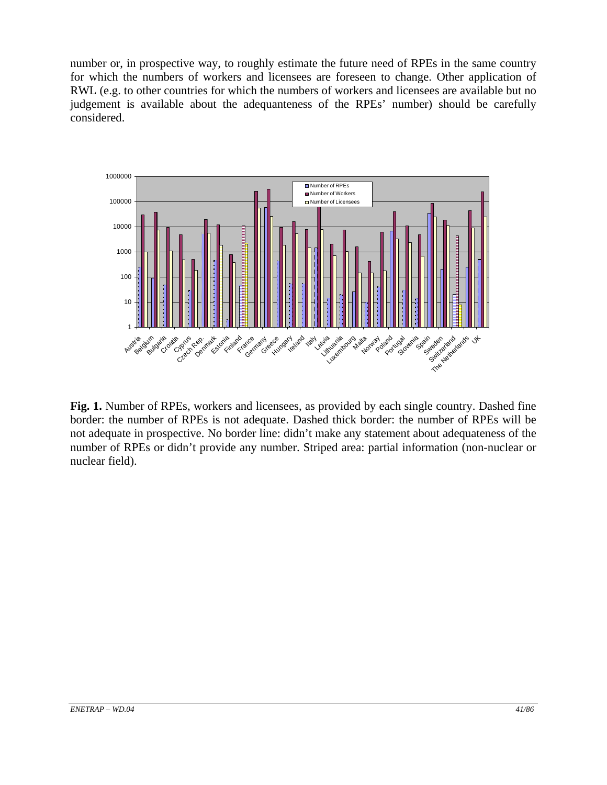number or, in prospective way, to roughly estimate the future need of RPEs in the same country for which the numbers of workers and licensees are foreseen to change. Other application of RWL (e.g. to other countries for which the numbers of workers and licensees are available but no judgement is available about the adequanteness of the RPEs' number) should be carefully considered.



**Fig. 1.** Number of RPEs, workers and licensees, as provided by each single country. Dashed fine border: the number of RPEs is not adequate. Dashed thick border: the number of RPEs will be not adequate in prospective. No border line: didn't make any statement about adequateness of the number of RPEs or didn't provide any number. Striped area: partial information (non-nuclear or nuclear field).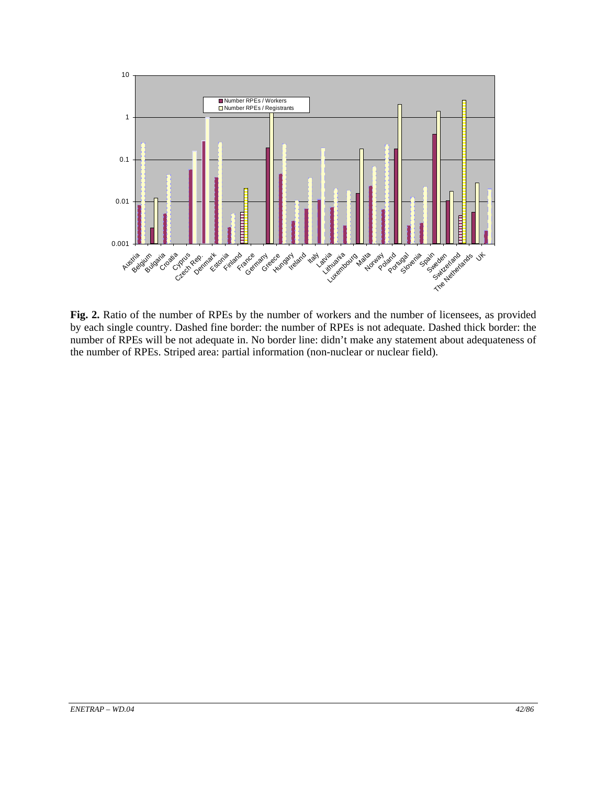

**Fig. 2.** Ratio of the number of RPEs by the number of workers and the number of licensees, as provided by each single country. Dashed fine border: the number of RPEs is not adequate. Dashed thick border: the number of RPEs will be not adequate in. No border line: didn't make any statement about adequateness of the number of RPEs. Striped area: partial information (non-nuclear or nuclear field).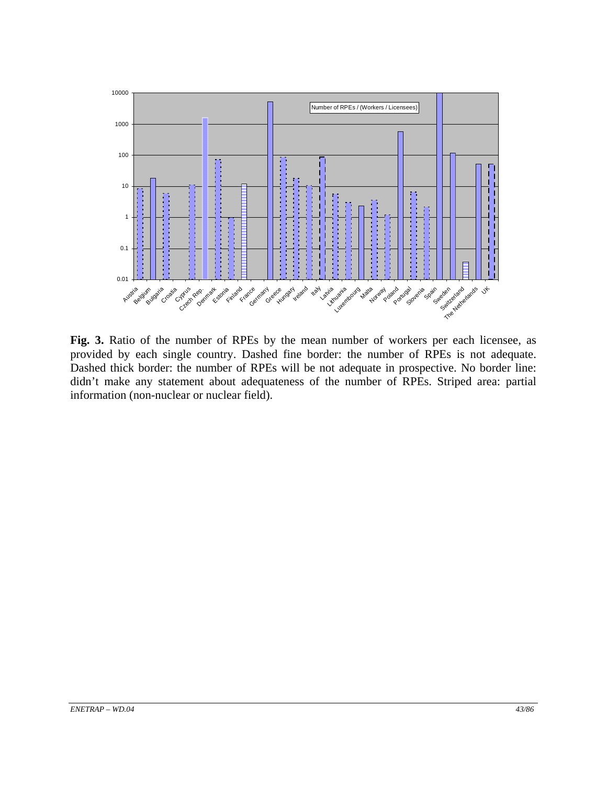

**Fig. 3.** Ratio of the number of RPEs by the mean number of workers per each licensee, as provided by each single country. Dashed fine border: the number of RPEs is not adequate. Dashed thick border: the number of RPEs will be not adequate in prospective. No border line: didn't make any statement about adequateness of the number of RPEs. Striped area: partial information (non-nuclear or nuclear field).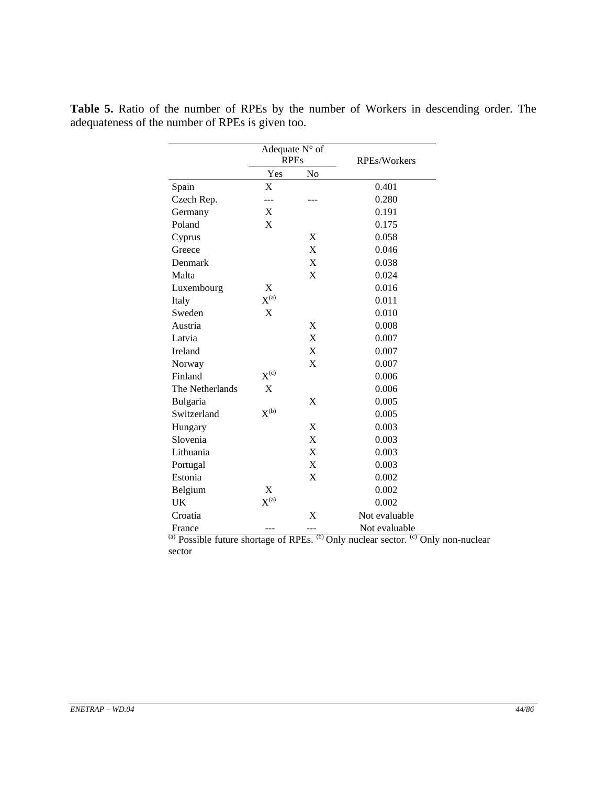|                 | Adequate N° of<br><b>RPEs</b> |                           | <b>RPEs/Workers</b> |
|-----------------|-------------------------------|---------------------------|---------------------|
|                 | Yes                           | No                        |                     |
| Spain           | X                             |                           | 0.401               |
| Czech Rep.      | ---                           |                           | 0.280               |
| Germany         | X                             |                           | 0.191               |
| Poland          | X                             |                           | 0.175               |
| Cyprus          |                               | X                         | 0.058               |
| Greece          |                               | X                         | 0.046               |
| Denmark         |                               | X                         | 0.038               |
| Malta           |                               | $\boldsymbol{\mathrm{X}}$ | 0.024               |
| Luxembourg      | X                             |                           | 0.016               |
| Italy           | $X^{(a)}$                     |                           | 0.011               |
| Sweden          | X                             |                           | 0.010               |
| Austria         |                               | X                         | 0.008               |
| Latvia          |                               | X                         | 0.007               |
| Ireland         |                               | $\boldsymbol{\mathrm{X}}$ | 0.007               |
| Norway          |                               | X                         | 0.007               |
| Finland         | $X^{(c)}$                     |                           | 0.006               |
| The Netherlands | $\mathbf X$                   |                           | 0.006               |
| Bulgaria        |                               | X                         | 0.005               |
| Switzerland     | $X^{(b)}$                     |                           | 0.005               |
| Hungary         |                               | X                         | 0.003               |
| Slovenia        |                               | X                         | 0.003               |
| Lithuania       |                               | $\mathbf X$               | 0.003               |
| Portugal        |                               | X                         | 0.003               |
| Estonia         |                               | X                         | 0.002               |
| Belgium         | X                             |                           | 0.002               |
| UK              | $X^{(a)}$                     |                           | 0.002               |
| Croatia         |                               | X                         | Not evaluable       |
| France          |                               |                           | Not evaluable       |

**Table 5.** Ratio of the number of RPEs by the number of Workers in descending order. The adequateness of the number of RPEs is given too.

> $\overline{a}$ ) Possible future shortage of RPEs.  $\overline{b}$ ) Only nuclear sector.  $\overline{c}$ ) Only non-nuclear sector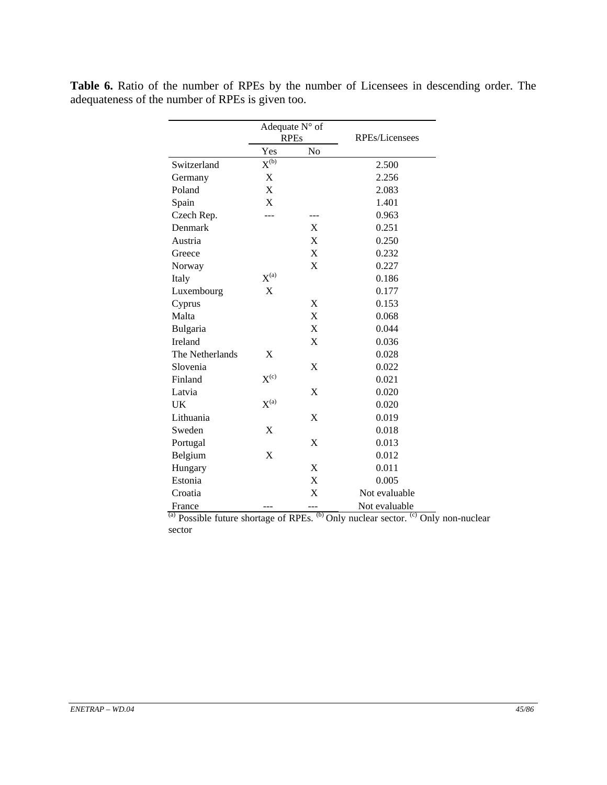|                 |                                 | Adequate N° of |                |
|-----------------|---------------------------------|----------------|----------------|
|                 |                                 | <b>RPEs</b>    | RPEs/Licensees |
|                 | Yes                             | No             |                |
| Switzerland     | $X^{(\overline{\mathfrak{b}})}$ |                | 2.500          |
| Germany         | X                               |                | 2.256          |
| Poland          | X                               |                | 2.083          |
| Spain           | X                               |                | 1.401          |
| Czech Rep.      |                                 |                | 0.963          |
| Denmark         |                                 | X              | 0.251          |
| Austria         |                                 | X              | 0.250          |
| Greece          |                                 | X              | 0.232          |
| Norway          |                                 | X              | 0.227          |
| Italy           | $X^{(a)}$                       |                | 0.186          |
| Luxembourg      | X                               |                | 0.177          |
| Cyprus          |                                 | X              | 0.153          |
| Malta           |                                 | X              | 0.068          |
| Bulgaria        |                                 | X              | 0.044          |
| Ireland         |                                 | X              | 0.036          |
| The Netherlands | X                               |                | 0.028          |
| Slovenia        |                                 | X              | 0.022          |
| Finland         | $X^{(c)}$                       |                | 0.021          |
| Latvia          |                                 | X              | 0.020          |
| UK              | $X^{(a)}$                       |                | 0.020          |
| Lithuania       |                                 | X              | 0.019          |
| Sweden          | X                               |                | 0.018          |
| Portugal        |                                 | X              | 0.013          |
| Belgium         | X                               |                | 0.012          |
| Hungary         |                                 | X              | 0.011          |
| Estonia         |                                 | X              | 0.005          |
| Croatia         |                                 | X              | Not evaluable  |
| France          |                                 | ---            | Not evaluable  |

Table 6. Ratio of the number of RPEs by the number of Licensees in descending order. The adequateness of the number of RPEs is given too.

> $^{(a)}$  Possible future shortage of RPEs.  $^{(b)}$  Only nuclear sector.  $^{(c)}$  Only non-nuclear sector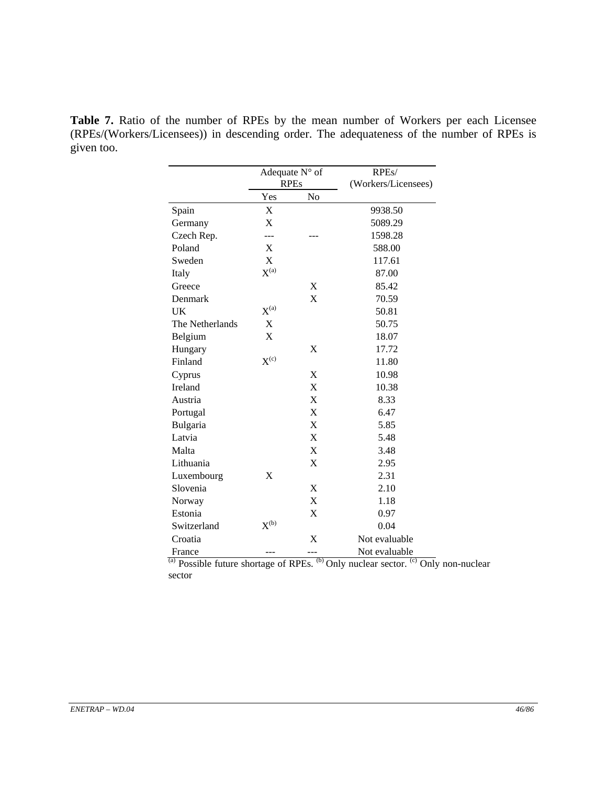**Table 7.** Ratio of the number of RPEs by the mean number of Workers per each Licensee (RPEs/(Workers/Licensees)) in descending order. The adequateness of the number of RPEs is given too.

|                 | <b>RPEs</b> | Adequate N° of            | RPEs/<br>(Workers/Licensees) |
|-----------------|-------------|---------------------------|------------------------------|
|                 | Yes         | N <sub>o</sub>            |                              |
| Spain           | X           |                           | 9938.50                      |
| Germany         | $\mathbf X$ |                           | 5089.29                      |
| Czech Rep.      | ---         |                           | 1598.28                      |
| Poland          | X           |                           | 588.00                       |
| Sweden          | X           |                           | 117.61                       |
| Italy           | $X^{(a)}$   |                           | 87.00                        |
| Greece          |             | X                         | 85.42                        |
| Denmark         |             | X                         | 70.59                        |
| UK              | $X^{(a)}$   |                           | 50.81                        |
| The Netherlands | X           |                           | 50.75                        |
| Belgium         | X           |                           | 18.07                        |
| Hungary         |             | X                         | 17.72                        |
| Finland         | $X^{(c)}$   |                           | 11.80                        |
| Cyprus          |             | X                         | 10.98                        |
| Ireland         |             | $\boldsymbol{\mathrm{X}}$ | 10.38                        |
| Austria         |             | X                         | 8.33                         |
| Portugal        |             | X                         | 6.47                         |
| Bulgaria        |             | $\boldsymbol{\mathrm{X}}$ | 5.85                         |
| Latvia          |             | X                         | 5.48                         |
| Malta           |             | X                         | 3.48                         |
| Lithuania       |             | X                         | 2.95                         |
| Luxembourg      | X           |                           | 2.31                         |
| Slovenia        |             | X                         | 2.10                         |
| Norway          |             | X                         | 1.18                         |
| Estonia         |             | X                         | 0.97                         |
| Switzerland     | $X^{(b)}$   |                           | 0.04                         |
| Croatia         |             | X                         | Not evaluable                |
| France          |             | ---                       | Not evaluable                |

 $^{(a)}$  Possible future shortage of RPEs.  $^{(b)}$  Only nuclear sector.  $^{(c)}$  Only non-nuclear sector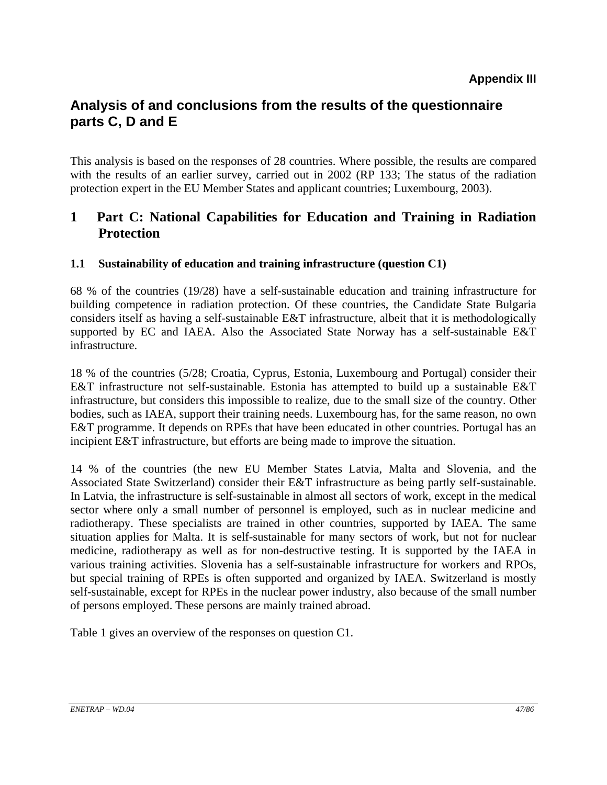# **Analysis of and conclusions from the results of the questionnaire parts C, D and E**

This analysis is based on the responses of 28 countries. Where possible, the results are compared with the results of an earlier survey, carried out in 2002 (RP 133; The status of the radiation protection expert in the EU Member States and applicant countries; Luxembourg, 2003).

# **1 Part C: National Capabilities for Education and Training in Radiation Protection**

# **1.1 Sustainability of education and training infrastructure (question C1)**

68 % of the countries (19/28) have a self-sustainable education and training infrastructure for building competence in radiation protection. Of these countries, the Candidate State Bulgaria considers itself as having a self-sustainable E&T infrastructure, albeit that it is methodologically supported by EC and IAEA. Also the Associated State Norway has a self-sustainable E&T infrastructure.

18 % of the countries (5/28; Croatia, Cyprus, Estonia, Luxembourg and Portugal) consider their E&T infrastructure not self-sustainable. Estonia has attempted to build up a sustainable E&T infrastructure, but considers this impossible to realize, due to the small size of the country. Other bodies, such as IAEA, support their training needs. Luxembourg has, for the same reason, no own E&T programme. It depends on RPEs that have been educated in other countries. Portugal has an incipient E&T infrastructure, but efforts are being made to improve the situation.

14 % of the countries (the new EU Member States Latvia, Malta and Slovenia, and the Associated State Switzerland) consider their E&T infrastructure as being partly self-sustainable. In Latvia, the infrastructure is self-sustainable in almost all sectors of work, except in the medical sector where only a small number of personnel is employed, such as in nuclear medicine and radiotherapy. These specialists are trained in other countries, supported by IAEA. The same situation applies for Malta. It is self-sustainable for many sectors of work, but not for nuclear medicine, radiotherapy as well as for non-destructive testing. It is supported by the IAEA in various training activities. Slovenia has a self-sustainable infrastructure for workers and RPOs, but special training of RPEs is often supported and organized by IAEA. Switzerland is mostly self-sustainable, except for RPEs in the nuclear power industry, also because of the small number of persons employed. These persons are mainly trained abroad.

Table 1 gives an overview of the responses on question C1.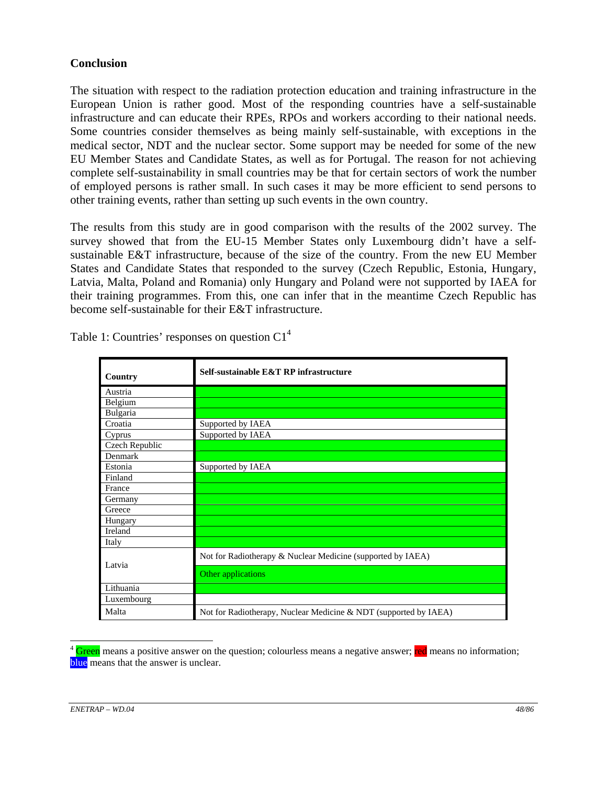#### **Conclusion**

The situation with respect to the radiation protection education and training infrastructure in the European Union is rather good. Most of the responding countries have a self-sustainable infrastructure and can educate their RPEs, RPOs and workers according to their national needs. Some countries consider themselves as being mainly self-sustainable, with exceptions in the medical sector, NDT and the nuclear sector. Some support may be needed for some of the new EU Member States and Candidate States, as well as for Portugal. The reason for not achieving complete self-sustainability in small countries may be that for certain sectors of work the number of employed persons is rather small. In such cases it may be more efficient to send persons to other training events, rather than setting up such events in the own country.

The results from this study are in good comparison with the results of the 2002 survey. The survey showed that from the EU-15 Member States only Luxembourg didn't have a selfsustainable E&T infrastructure, because of the size of the country. From the new EU Member States and Candidate States that responded to the survey (Czech Republic, Estonia, Hungary, Latvia, Malta, Poland and Romania) only Hungary and Poland were not supported by IAEA for their training programmes. From this, one can infer that in the meantime Czech Republic has become self-sustainable for their E&T infrastructure.

| Country        | Self-sustainable E&T RP infrastructure                           |
|----------------|------------------------------------------------------------------|
| Austria        |                                                                  |
| Belgium        |                                                                  |
| Bulgaria       |                                                                  |
| Croatia        | Supported by IAEA                                                |
| Cyprus         | Supported by IAEA                                                |
| Czech Republic |                                                                  |
| Denmark        |                                                                  |
| Estonia        | Supported by IAEA                                                |
| Finland        |                                                                  |
| France         |                                                                  |
| Germany        |                                                                  |
| Greece         |                                                                  |
| Hungary        |                                                                  |
| Ireland        |                                                                  |
| Italy          |                                                                  |
| Latvia         | Not for Radiotherapy & Nuclear Medicine (supported by IAEA)      |
|                | Other applications                                               |
| Lithuania      |                                                                  |
| Luxembourg     |                                                                  |
| Malta          | Not for Radiotherapy, Nuclear Medicine & NDT (supported by IAEA) |

Table 1: Countries' responses on question  $Cl<sup>4</sup>$ 

 $\overline{a}$ <sup>4</sup> Green means a positive answer on the question; colourless means a negative answer; red means no information; blue means that the answer is unclear.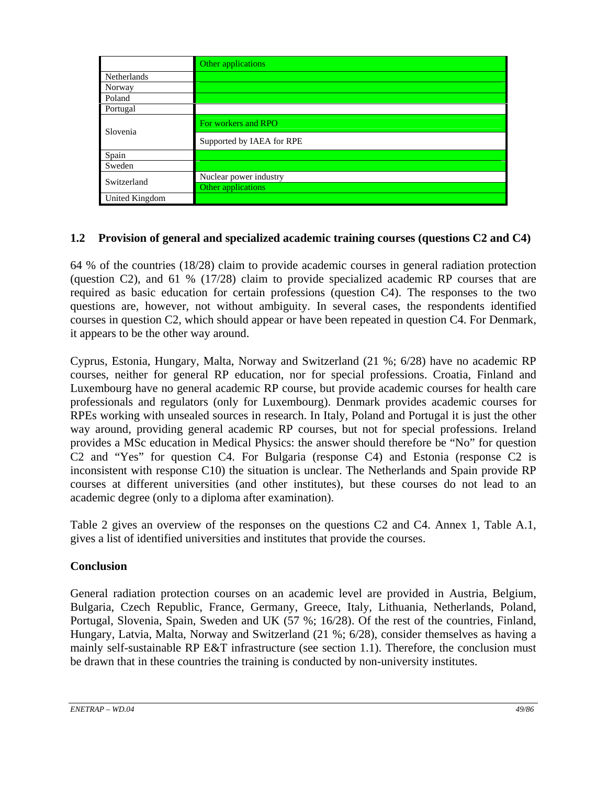|                | Other applications        |
|----------------|---------------------------|
| Netherlands    |                           |
| Norway         |                           |
| Poland         |                           |
| Portugal       |                           |
| Slovenia       | For workers and RPO       |
|                | Supported by IAEA for RPE |
| Spain          |                           |
| Sweden         |                           |
| Switzerland    | Nuclear power industry    |
|                | Other applications        |
| United Kingdom |                           |

# **1.2 Provision of general and specialized academic training courses (questions C2 and C4)**

64 % of the countries (18/28) claim to provide academic courses in general radiation protection (question C2), and 61 % (17/28) claim to provide specialized academic RP courses that are required as basic education for certain professions (question C4). The responses to the two questions are, however, not without ambiguity. In several cases, the respondents identified courses in question C2, which should appear or have been repeated in question C4. For Denmark, it appears to be the other way around.

Cyprus, Estonia, Hungary, Malta, Norway and Switzerland (21 %; 6/28) have no academic RP courses, neither for general RP education, nor for special professions. Croatia, Finland and Luxembourg have no general academic RP course, but provide academic courses for health care professionals and regulators (only for Luxembourg). Denmark provides academic courses for RPEs working with unsealed sources in research. In Italy, Poland and Portugal it is just the other way around, providing general academic RP courses, but not for special professions. Ireland provides a MSc education in Medical Physics: the answer should therefore be "No" for question C2 and "Yes" for question C4. For Bulgaria (response C4) and Estonia (response C2 is inconsistent with response C10) the situation is unclear. The Netherlands and Spain provide RP courses at different universities (and other institutes), but these courses do not lead to an academic degree (only to a diploma after examination).

Table 2 gives an overview of the responses on the questions C2 and C4. Annex 1, Table A.1, gives a list of identified universities and institutes that provide the courses.

### **Conclusion**

General radiation protection courses on an academic level are provided in Austria, Belgium, Bulgaria, Czech Republic, France, Germany, Greece, Italy, Lithuania, Netherlands, Poland, Portugal, Slovenia, Spain, Sweden and UK (57 %; 16/28). Of the rest of the countries, Finland, Hungary, Latvia, Malta, Norway and Switzerland (21 %; 6/28), consider themselves as having a mainly self-sustainable RP E&T infrastructure (see section 1.1). Therefore, the conclusion must be drawn that in these countries the training is conducted by non-university institutes.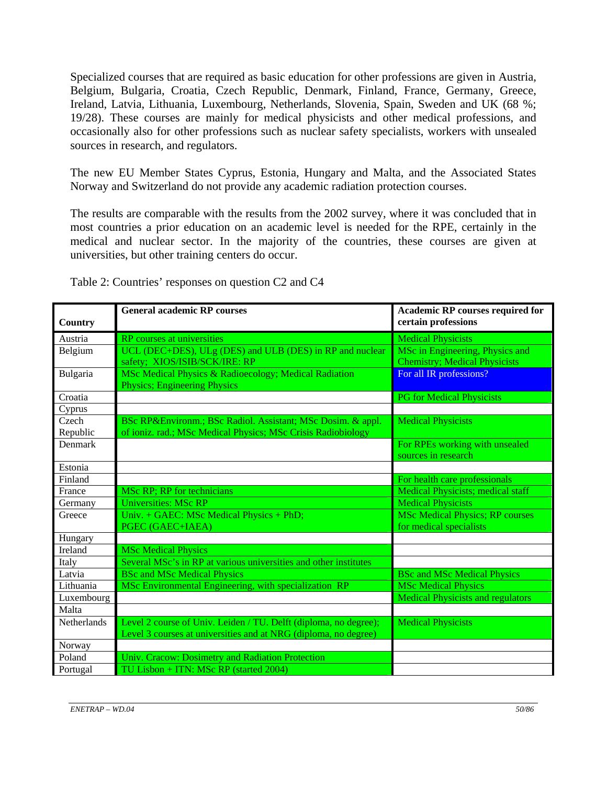Specialized courses that are required as basic education for other professions are given in Austria, Belgium, Bulgaria, Croatia, Czech Republic, Denmark, Finland, France, Germany, Greece, Ireland, Latvia, Lithuania, Luxembourg, Netherlands, Slovenia, Spain, Sweden and UK (68 %; 19/28). These courses are mainly for medical physicists and other medical professions, and occasionally also for other professions such as nuclear safety specialists, workers with unsealed sources in research, and regulators.

The new EU Member States Cyprus, Estonia, Hungary and Malta, and the Associated States Norway and Switzerland do not provide any academic radiation protection courses.

The results are comparable with the results from the 2002 survey, where it was concluded that in most countries a prior education on an academic level is needed for the RPE, certainly in the medical and nuclear sector. In the majority of the countries, these courses are given at universities, but other training centers do occur.

| <b>Country</b>    | <b>General academic RP courses</b>                                                                                                  | Academic RP courses required for<br>certain professions                 |
|-------------------|-------------------------------------------------------------------------------------------------------------------------------------|-------------------------------------------------------------------------|
| Austria           | RP courses at universities                                                                                                          | <b>Medical Physicists</b>                                               |
| Belgium           | UCL (DEC+DES), ULg (DES) and ULB (DES) in RP and nuclear<br>safety; XIOS/ISIB/SCK/IRE: RP                                           | MSc in Engineering, Physics and<br><b>Chemistry; Medical Physicists</b> |
| Bulgaria          | MSc Medical Physics & Radioecology; Medical Radiation<br><b>Physics</b> ; Engineering Physics                                       | For all IR professions?                                                 |
| Croatia           |                                                                                                                                     | <b>PG</b> for Medical Physicists                                        |
| Cyprus            |                                                                                                                                     |                                                                         |
| Czech<br>Republic | BSc RP&Environm. BSc Radiol. Assistant; MSc Dosim. & appl.<br>of ioniz. rad.; MSc Medical Physics; MSc Crisis Radiobiology          | <b>Medical Physicists</b>                                               |
| Denmark           |                                                                                                                                     | For RPEs working with unsealed<br>sources in research                   |
| Estonia           |                                                                                                                                     |                                                                         |
| Finland           |                                                                                                                                     | For health care professionals                                           |
| France            | MSc RP; RP for technicians                                                                                                          | <b>Medical Physicists; medical staff</b>                                |
| Germany           | <b>Universities: MSc RP</b>                                                                                                         | <b>Medical Physicists</b>                                               |
| Greece            | Univ. + GAEC: MSc Medical Physics + PhD;<br>PGEC (GAEC+IAEA)                                                                        | <b>MSc Medical Physics; RP courses</b><br>for medical specialists       |
| Hungary           |                                                                                                                                     |                                                                         |
| Ireland           | <b>MSc Medical Physics</b>                                                                                                          |                                                                         |
| Italy             | Several MSc's in RP at various universities and other institutes                                                                    |                                                                         |
| Latvia            | <b>BSc and MSc Medical Physics</b>                                                                                                  | <b>BSc and MSc Medical Physics</b>                                      |
| Lithuania         | MSc Environmental Engineering, with specialization RP                                                                               | <b>MSc Medical Physics</b>                                              |
| Luxembourg        |                                                                                                                                     | <b>Medical Physicists and regulators</b>                                |
| Malta             |                                                                                                                                     |                                                                         |
| Netherlands       | Level 2 course of Univ. Leiden / TU. Delft (diploma, no degree);<br>Level 3 courses at universities and at NRG (diploma, no degree) | <b>Medical Physicists</b>                                               |
| Norway            |                                                                                                                                     |                                                                         |
| Poland            | Univ. Cracow: Dosimetry and Radiation Protection                                                                                    |                                                                         |
| Portugal          | TU Lisbon + ITN: MSc RP (started 2004)                                                                                              |                                                                         |

Table 2: Countries' responses on question C2 and C4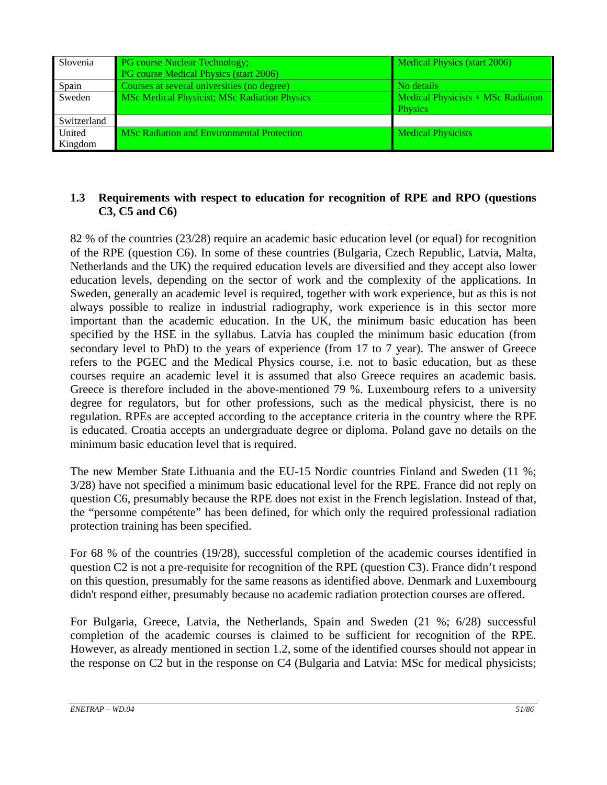| Slovenia      | <b>PG</b> course Nuclear Technology;              | Medical Physics (start 2006)                                          |
|---------------|---------------------------------------------------|-----------------------------------------------------------------------|
|               | PG course Medical Physics (start 2006)            |                                                                       |
| Spain         | Courses at several universities (no degree)       | No details                                                            |
| Sweden        | MSc Medical Physicist; MSc Radiation Physics      | $\blacksquare$ Medical Physicists $+$ MSc Radiation<br><b>Physics</b> |
| Switzerland   |                                                   |                                                                       |
| <b>United</b> | <b>MSc Radiation and Environmental Protection</b> | <b>Medical Physicists</b>                                             |
| Kingdom       |                                                   |                                                                       |

### **1.3 Requirements with respect to education for recognition of RPE and RPO (questions C3, C5 and C6)**

82 % of the countries (23/28) require an academic basic education level (or equal) for recognition of the RPE (question C6). In some of these countries (Bulgaria, Czech Republic, Latvia, Malta, Netherlands and the UK) the required education levels are diversified and they accept also lower education levels, depending on the sector of work and the complexity of the applications. In Sweden, generally an academic level is required, together with work experience, but as this is not always possible to realize in industrial radiography, work experience is in this sector more important than the academic education. In the UK, the minimum basic education has been specified by the HSE in the syllabus. Latvia has coupled the minimum basic education (from secondary level to PhD) to the years of experience (from 17 to 7 year). The answer of Greece refers to the PGEC and the Medical Physics course, i.e. not to basic education, but as these courses require an academic level it is assumed that also Greece requires an academic basis. Greece is therefore included in the above-mentioned 79 %. Luxembourg refers to a university degree for regulators, but for other professions, such as the medical physicist, there is no regulation. RPEs are accepted according to the acceptance criteria in the country where the RPE is educated. Croatia accepts an undergraduate degree or diploma. Poland gave no details on the minimum basic education level that is required.

The new Member State Lithuania and the EU-15 Nordic countries Finland and Sweden (11 %; 3/28) have not specified a minimum basic educational level for the RPE. France did not reply on question C6, presumably because the RPE does not exist in the French legislation. Instead of that, the "personne compétente" has been defined, for which only the required professional radiation protection training has been specified.

For 68 % of the countries (19/28), successful completion of the academic courses identified in question C2 is not a pre-requisite for recognition of the RPE (question C3). France didn't respond on this question, presumably for the same reasons as identified above. Denmark and Luxembourg didn't respond either, presumably because no academic radiation protection courses are offered.

For Bulgaria, Greece, Latvia, the Netherlands, Spain and Sweden (21 %; 6/28) successful completion of the academic courses is claimed to be sufficient for recognition of the RPE. However, as already mentioned in section 1.2, some of the identified courses should not appear in the response on C2 but in the response on C4 (Bulgaria and Latvia: MSc for medical physicists;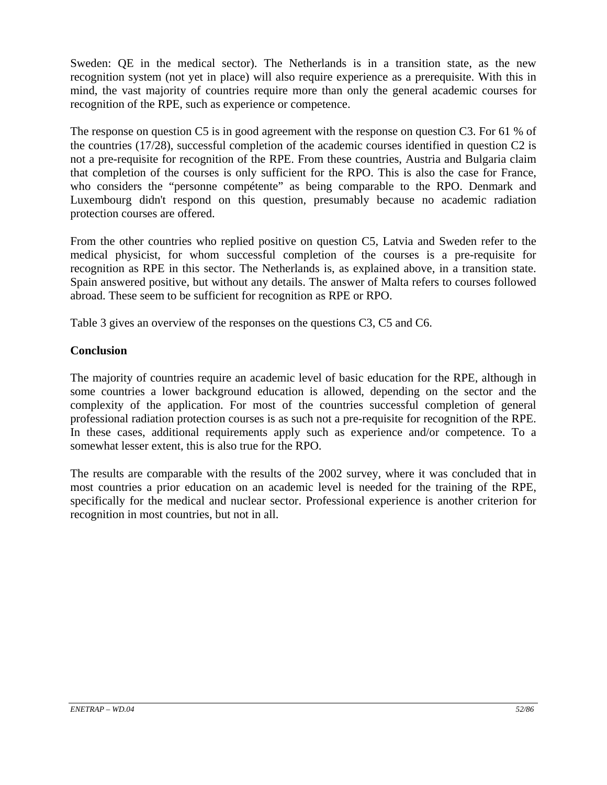Sweden: QE in the medical sector). The Netherlands is in a transition state, as the new recognition system (not yet in place) will also require experience as a prerequisite. With this in mind, the vast majority of countries require more than only the general academic courses for recognition of the RPE, such as experience or competence.

The response on question C5 is in good agreement with the response on question C3. For 61 % of the countries (17/28), successful completion of the academic courses identified in question C2 is not a pre-requisite for recognition of the RPE. From these countries, Austria and Bulgaria claim that completion of the courses is only sufficient for the RPO. This is also the case for France, who considers the "personne compétente" as being comparable to the RPO. Denmark and Luxembourg didn't respond on this question, presumably because no academic radiation protection courses are offered.

From the other countries who replied positive on question C5, Latvia and Sweden refer to the medical physicist, for whom successful completion of the courses is a pre-requisite for recognition as RPE in this sector. The Netherlands is, as explained above, in a transition state. Spain answered positive, but without any details. The answer of Malta refers to courses followed abroad. These seem to be sufficient for recognition as RPE or RPO.

Table 3 gives an overview of the responses on the questions C3, C5 and C6.

### **Conclusion**

The majority of countries require an academic level of basic education for the RPE, although in some countries a lower background education is allowed, depending on the sector and the complexity of the application. For most of the countries successful completion of general professional radiation protection courses is as such not a pre-requisite for recognition of the RPE. In these cases, additional requirements apply such as experience and/or competence. To a somewhat lesser extent, this is also true for the RPO.

The results are comparable with the results of the 2002 survey, where it was concluded that in most countries a prior education on an academic level is needed for the training of the RPE, specifically for the medical and nuclear sector. Professional experience is another criterion for recognition in most countries, but not in all.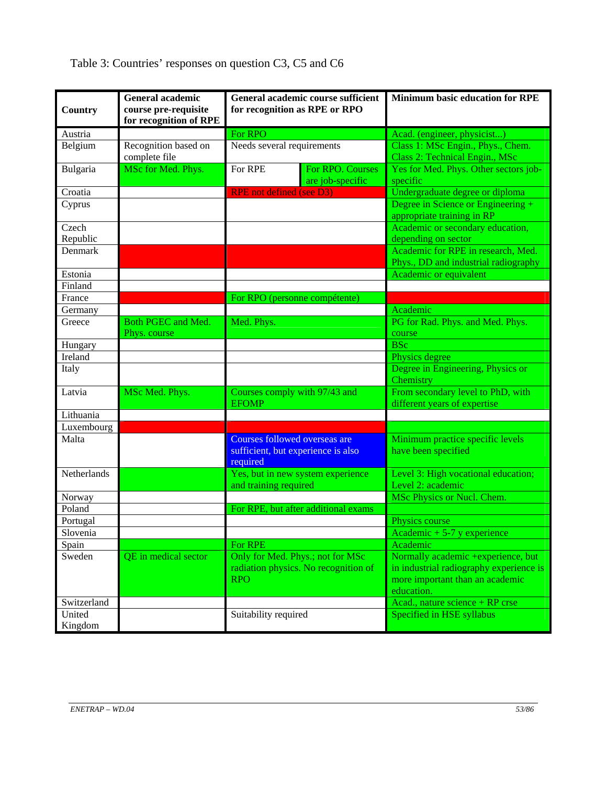| Country           | <b>General academic</b><br>course pre-requisite<br>for recognition of RPE | General academic course sufficient<br>for recognition as RPE or RPO                    | <b>Minimum basic education for RPE</b>                                                                                         |
|-------------------|---------------------------------------------------------------------------|----------------------------------------------------------------------------------------|--------------------------------------------------------------------------------------------------------------------------------|
| Austria           |                                                                           | For RPO                                                                                | Acad. (engineer, physicist)                                                                                                    |
| Belgium           | Recognition based on<br>complete file                                     | Needs several requirements                                                             | Class 1: MSc Engin., Phys., Chem.<br>Class 2: Technical Engin., MSc                                                            |
| Bulgaria          | MSc for Med. Phys.                                                        | For RPE<br>For RPO. Courses<br>are job-specific                                        | Yes for Med. Phys. Other sectors job-<br>specific                                                                              |
| Croatia           |                                                                           | <b>RPE</b> not defined (see D3)                                                        | Undergraduate degree or diploma                                                                                                |
| Cyprus            |                                                                           |                                                                                        | Degree in Science or Engineering $+$<br>appropriate training in RP                                                             |
| Czech<br>Republic |                                                                           |                                                                                        | Academic or secondary education,<br>depending on sector                                                                        |
| Denmark           |                                                                           |                                                                                        | Academic for RPE in research, Med.<br>Phys., DD and industrial radiography                                                     |
| Estonia           |                                                                           |                                                                                        | <b>Academic or equivalent</b>                                                                                                  |
| Finland           |                                                                           |                                                                                        |                                                                                                                                |
| France            |                                                                           | For RPO (personne compétente)                                                          |                                                                                                                                |
| Germany           |                                                                           |                                                                                        | Academic                                                                                                                       |
| Greece            | Both PGEC and Med.<br>Phys. course                                        | Med. Phys.                                                                             | PG for Rad. Phys. and Med. Phys.<br>course                                                                                     |
| Hungary           |                                                                           |                                                                                        | <b>BSc</b>                                                                                                                     |
| Ireland           |                                                                           |                                                                                        | Physics degree                                                                                                                 |
| Italy             |                                                                           |                                                                                        | Degree in Engineering, Physics or<br>Chemistry                                                                                 |
| Latvia            | MSc Med. Phys.                                                            | Courses comply with 97/43 and<br><b>EFOMP</b>                                          | From secondary level to PhD, with<br>different years of expertise                                                              |
| Lithuania         |                                                                           |                                                                                        |                                                                                                                                |
| Luxembourg        |                                                                           |                                                                                        |                                                                                                                                |
| Malta             |                                                                           | Courses followed overseas are<br>sufficient, but experience is also<br>required        | Minimum practice specific levels<br>have been specified                                                                        |
| Netherlands       |                                                                           | Yes, but in new system experience<br>and training required                             | Level 3: High vocational education;<br>Level 2: academic                                                                       |
| Norway            |                                                                           |                                                                                        | MSc Physics or Nucl. Chem.                                                                                                     |
| Poland            |                                                                           | For RPE, but after additional exams                                                    |                                                                                                                                |
| Portugal          |                                                                           |                                                                                        | Physics course                                                                                                                 |
| Slovenia          |                                                                           |                                                                                        | Academic $+5-7$ y experience                                                                                                   |
| Spain             |                                                                           | For RPE                                                                                | Academic                                                                                                                       |
| Sweden            | QE in medical sector                                                      | Only for Med. Phys.; not for MSc<br>radiation physics. No recognition of<br><b>RPO</b> | Normally academic +experience, but<br>in industrial radiography experience is<br>more important than an academic<br>education. |
| Switzerland       |                                                                           |                                                                                        | Acad., nature science + RP crse                                                                                                |
| United<br>Kingdom |                                                                           | Suitability required                                                                   | Specified in HSE syllabus                                                                                                      |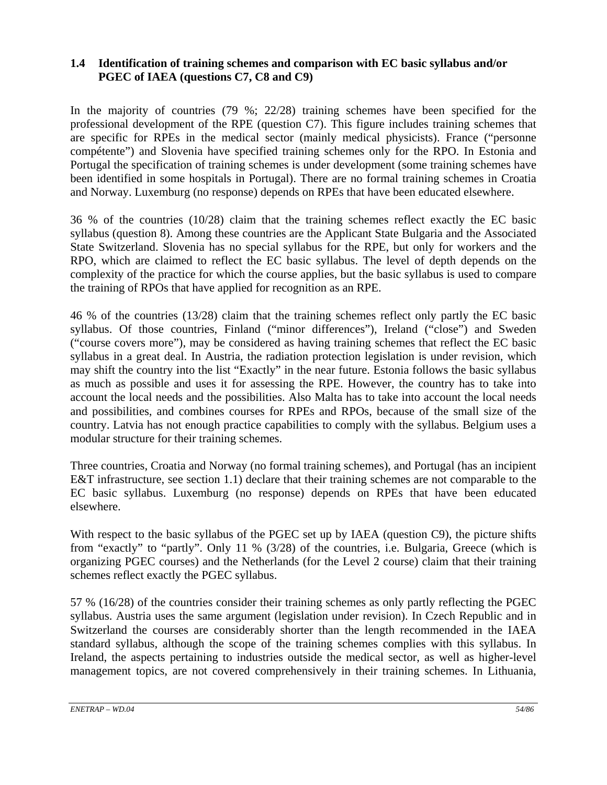# **1.4 Identification of training schemes and comparison with EC basic syllabus and/or PGEC of IAEA (questions C7, C8 and C9)**

In the majority of countries (79 %; 22/28) training schemes have been specified for the professional development of the RPE (question C7). This figure includes training schemes that are specific for RPEs in the medical sector (mainly medical physicists). France ("personne compétente") and Slovenia have specified training schemes only for the RPO. In Estonia and Portugal the specification of training schemes is under development (some training schemes have been identified in some hospitals in Portugal). There are no formal training schemes in Croatia and Norway. Luxemburg (no response) depends on RPEs that have been educated elsewhere.

36 % of the countries (10/28) claim that the training schemes reflect exactly the EC basic syllabus (question 8). Among these countries are the Applicant State Bulgaria and the Associated State Switzerland. Slovenia has no special syllabus for the RPE, but only for workers and the RPO, which are claimed to reflect the EC basic syllabus. The level of depth depends on the complexity of the practice for which the course applies, but the basic syllabus is used to compare the training of RPOs that have applied for recognition as an RPE.

46 % of the countries (13/28) claim that the training schemes reflect only partly the EC basic syllabus. Of those countries, Finland ("minor differences"), Ireland ("close") and Sweden ("course covers more"), may be considered as having training schemes that reflect the EC basic syllabus in a great deal. In Austria, the radiation protection legislation is under revision, which may shift the country into the list "Exactly" in the near future. Estonia follows the basic syllabus as much as possible and uses it for assessing the RPE. However, the country has to take into account the local needs and the possibilities. Also Malta has to take into account the local needs and possibilities, and combines courses for RPEs and RPOs, because of the small size of the country. Latvia has not enough practice capabilities to comply with the syllabus. Belgium uses a modular structure for their training schemes.

Three countries, Croatia and Norway (no formal training schemes), and Portugal (has an incipient E&T infrastructure, see section 1.1) declare that their training schemes are not comparable to the EC basic syllabus. Luxemburg (no response) depends on RPEs that have been educated elsewhere.

With respect to the basic syllabus of the PGEC set up by IAEA (question C9), the picture shifts from "exactly" to "partly". Only 11 % (3/28) of the countries, i.e. Bulgaria, Greece (which is organizing PGEC courses) and the Netherlands (for the Level 2 course) claim that their training schemes reflect exactly the PGEC syllabus.

57 % (16/28) of the countries consider their training schemes as only partly reflecting the PGEC syllabus. Austria uses the same argument (legislation under revision). In Czech Republic and in Switzerland the courses are considerably shorter than the length recommended in the IAEA standard syllabus, although the scope of the training schemes complies with this syllabus. In Ireland, the aspects pertaining to industries outside the medical sector, as well as higher-level management topics, are not covered comprehensively in their training schemes. In Lithuania,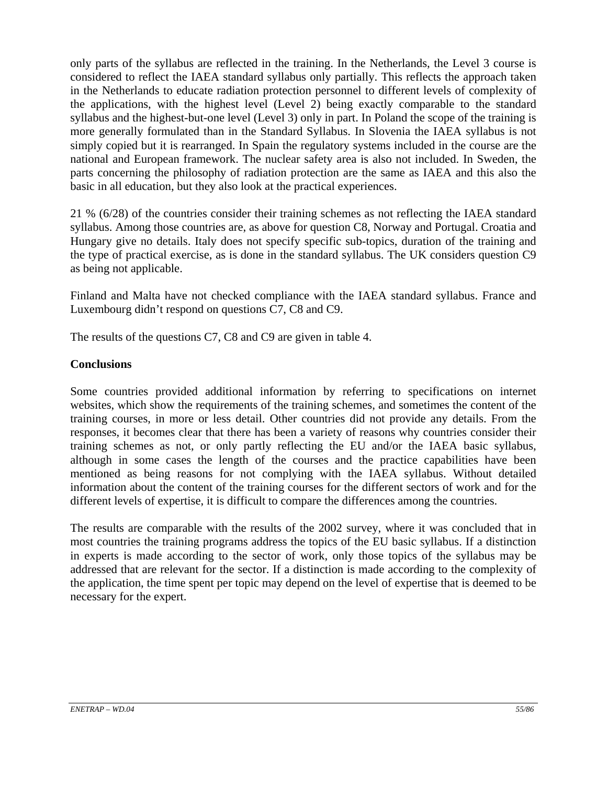only parts of the syllabus are reflected in the training. In the Netherlands, the Level 3 course is considered to reflect the IAEA standard syllabus only partially. This reflects the approach taken in the Netherlands to educate radiation protection personnel to different levels of complexity of the applications, with the highest level (Level 2) being exactly comparable to the standard syllabus and the highest-but-one level (Level 3) only in part. In Poland the scope of the training is more generally formulated than in the Standard Syllabus. In Slovenia the IAEA syllabus is not simply copied but it is rearranged. In Spain the regulatory systems included in the course are the national and European framework. The nuclear safety area is also not included. In Sweden, the parts concerning the philosophy of radiation protection are the same as IAEA and this also the basic in all education, but they also look at the practical experiences.

21 % (6/28) of the countries consider their training schemes as not reflecting the IAEA standard syllabus. Among those countries are, as above for question C8, Norway and Portugal. Croatia and Hungary give no details. Italy does not specify specific sub-topics, duration of the training and the type of practical exercise, as is done in the standard syllabus. The UK considers question C9 as being not applicable.

Finland and Malta have not checked compliance with the IAEA standard syllabus. France and Luxembourg didn't respond on questions C7, C8 and C9.

The results of the questions C7, C8 and C9 are given in table 4.

#### **Conclusions**

Some countries provided additional information by referring to specifications on internet websites, which show the requirements of the training schemes, and sometimes the content of the training courses, in more or less detail. Other countries did not provide any details. From the responses, it becomes clear that there has been a variety of reasons why countries consider their training schemes as not, or only partly reflecting the EU and/or the IAEA basic syllabus, although in some cases the length of the courses and the practice capabilities have been mentioned as being reasons for not complying with the IAEA syllabus. Without detailed information about the content of the training courses for the different sectors of work and for the different levels of expertise, it is difficult to compare the differences among the countries.

The results are comparable with the results of the 2002 survey, where it was concluded that in most countries the training programs address the topics of the EU basic syllabus. If a distinction in experts is made according to the sector of work, only those topics of the syllabus may be addressed that are relevant for the sector. If a distinction is made according to the complexity of the application, the time spent per topic may depend on the level of expertise that is deemed to be necessary for the expert.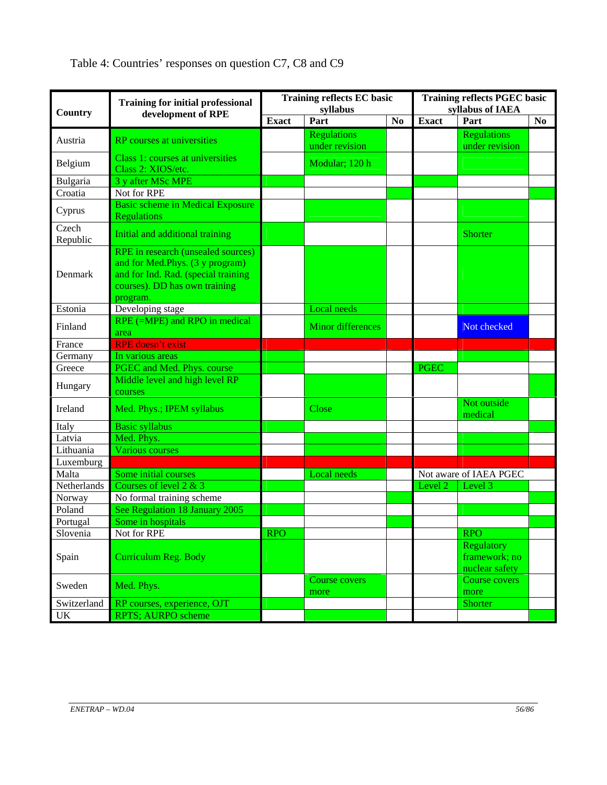| Country           | <b>Training for initial professional</b><br>development of RPE                                                                                            |              | <b>Training reflects EC basic</b><br>syllabus | <b>Training reflects PGEC basic</b><br>syllabus of IAEA |              |                                                      |    |
|-------------------|-----------------------------------------------------------------------------------------------------------------------------------------------------------|--------------|-----------------------------------------------|---------------------------------------------------------|--------------|------------------------------------------------------|----|
|                   |                                                                                                                                                           | <b>Exact</b> | Part                                          | N <sub>0</sub>                                          | <b>Exact</b> | Part                                                 | No |
| Austria           | <b>RP</b> courses at universities                                                                                                                         |              | <b>Regulations</b><br>under revision          |                                                         |              | <b>Regulations</b><br>under revision                 |    |
| Belgium           | Class 1: courses at universities<br>Class 2: XIOS/etc.                                                                                                    |              | Modular; 120 h                                |                                                         |              |                                                      |    |
| Bulgaria          | 3 y after MSc MPE                                                                                                                                         |              |                                               |                                                         |              |                                                      |    |
| Croatia           | Not for RPE                                                                                                                                               |              |                                               |                                                         |              |                                                      |    |
| Cyprus            | <b>Basic scheme in Medical Exposure</b><br><b>Regulations</b>                                                                                             |              |                                               |                                                         |              |                                                      |    |
| Czech<br>Republic | Initial and additional training                                                                                                                           |              |                                               |                                                         |              | <b>Shorter</b>                                       |    |
| Denmark           | RPE in research (unsealed sources)<br>and for Med.Phys. (3 y program)<br>and for Ind. Rad. (special training<br>courses). DD has own training<br>program. |              |                                               |                                                         |              |                                                      |    |
| Estonia           | Developing stage                                                                                                                                          |              | <b>Local</b> needs                            |                                                         |              |                                                      |    |
| Finland           | RPE (=MPE) and RPO in medical<br>area                                                                                                                     |              | <b>Minor differences</b>                      |                                                         |              | Not checked                                          |    |
| France            | <b>RPE</b> doesn't exist                                                                                                                                  |              |                                               |                                                         |              |                                                      |    |
| Germany           | In various areas                                                                                                                                          |              |                                               |                                                         |              |                                                      |    |
| Greece            | PGEC and Med. Phys. course                                                                                                                                |              |                                               |                                                         | <b>PGEC</b>  |                                                      |    |
| Hungary           | Middle level and high level RP<br>courses                                                                                                                 |              |                                               |                                                         |              |                                                      |    |
| Ireland           | Med. Phys.; IPEM syllabus                                                                                                                                 |              | Close                                         |                                                         |              | Not outside<br>medical                               |    |
| Italy             | <b>Basic syllabus</b>                                                                                                                                     |              |                                               |                                                         |              |                                                      |    |
| Latvia            | Med. Phys.                                                                                                                                                |              |                                               |                                                         |              |                                                      |    |
| Lithuania         | <b>Various courses</b>                                                                                                                                    |              |                                               |                                                         |              |                                                      |    |
| Luxemburg         |                                                                                                                                                           |              |                                               |                                                         |              |                                                      |    |
| Malta             | Some initial courses                                                                                                                                      |              | <b>Local</b> needs                            |                                                         |              | Not aware of IAEA PGEC                               |    |
| Netherlands       | Courses of level $2 & 3$                                                                                                                                  |              |                                               |                                                         | Level 2      | Level 3                                              |    |
| Norway            | No formal training scheme                                                                                                                                 |              |                                               |                                                         |              |                                                      |    |
| Poland            | See Regulation 18 January 2005                                                                                                                            |              |                                               |                                                         |              |                                                      |    |
| Portugal          | Some in hospitals                                                                                                                                         |              |                                               |                                                         |              |                                                      |    |
| Slovenia          | Not for RPE                                                                                                                                               | <b>RPO</b>   |                                               |                                                         |              | <b>RPO</b>                                           |    |
| Spain             | Curriculum Reg. Body                                                                                                                                      |              |                                               |                                                         |              | <b>Regulatory</b><br>framework; no<br>nuclear safety |    |
| Sweden            | Med. Phys.                                                                                                                                                |              | <b>Course covers</b><br>more                  |                                                         |              | Course covers<br>more                                |    |
| Switzerland       | RP courses, experience, OJT                                                                                                                               |              |                                               |                                                         |              | Shorter                                              |    |
| $U\overline{K}$   | RPTS; AURPO scheme                                                                                                                                        |              |                                               |                                                         |              |                                                      |    |

Table 4: Countries' responses on question C7, C8 and C9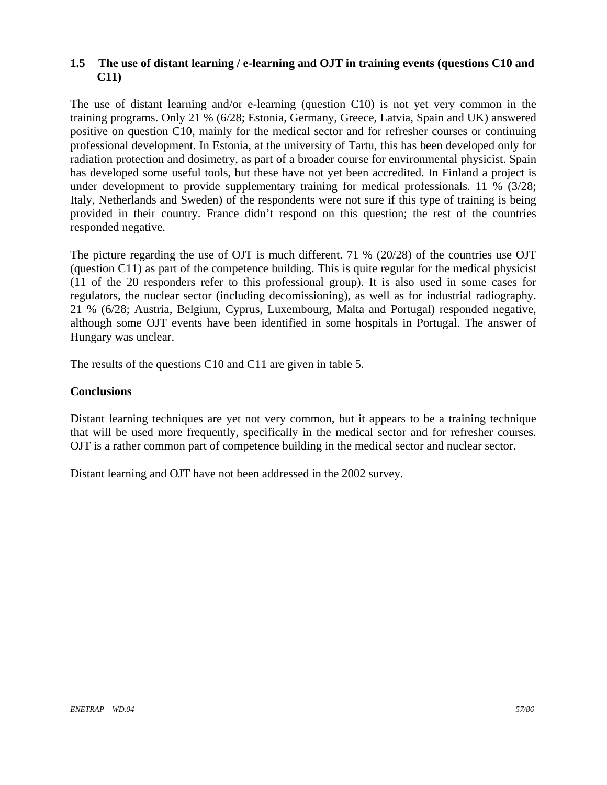### **1.5 The use of distant learning / e-learning and OJT in training events (questions C10 and C11)**

The use of distant learning and/or e-learning (question C10) is not yet very common in the training programs. Only 21 % (6/28; Estonia, Germany, Greece, Latvia, Spain and UK) answered positive on question C10, mainly for the medical sector and for refresher courses or continuing professional development. In Estonia, at the university of Tartu, this has been developed only for radiation protection and dosimetry, as part of a broader course for environmental physicist. Spain has developed some useful tools, but these have not yet been accredited. In Finland a project is under development to provide supplementary training for medical professionals. 11 % (3/28; Italy, Netherlands and Sweden) of the respondents were not sure if this type of training is being provided in their country. France didn't respond on this question; the rest of the countries responded negative.

The picture regarding the use of OJT is much different. 71 % (20/28) of the countries use OJT (question C11) as part of the competence building. This is quite regular for the medical physicist (11 of the 20 responders refer to this professional group). It is also used in some cases for regulators, the nuclear sector (including decomissioning), as well as for industrial radiography. 21 % (6/28; Austria, Belgium, Cyprus, Luxembourg, Malta and Portugal) responded negative, although some OJT events have been identified in some hospitals in Portugal. The answer of Hungary was unclear.

The results of the questions C10 and C11 are given in table 5.

# **Conclusions**

Distant learning techniques are yet not very common, but it appears to be a training technique that will be used more frequently, specifically in the medical sector and for refresher courses. OJT is a rather common part of competence building in the medical sector and nuclear sector.

Distant learning and OJT have not been addressed in the 2002 survey.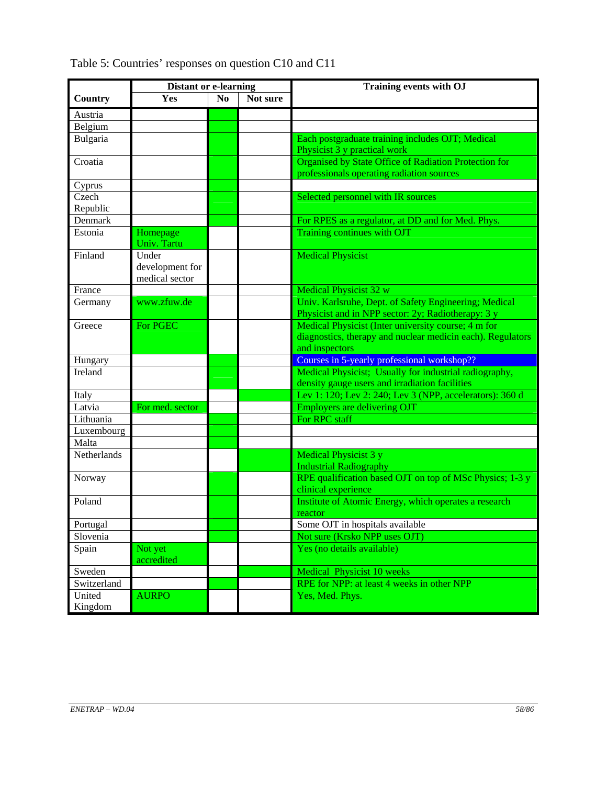|             | <b>Distant or e-learning</b> |                |          | <b>Training events with OJ</b>                                                                              |  |  |
|-------------|------------------------------|----------------|----------|-------------------------------------------------------------------------------------------------------------|--|--|
| Country     | <b>Yes</b>                   | N <sub>0</sub> | Not sure |                                                                                                             |  |  |
| Austria     |                              |                |          |                                                                                                             |  |  |
| Belgium     |                              |                |          |                                                                                                             |  |  |
| Bulgaria    |                              |                |          | Each postgraduate training includes OJT; Medical                                                            |  |  |
|             |                              |                |          | Physicist 3 y practical work                                                                                |  |  |
| Croatia     |                              |                |          | Organised by State Office of Radiation Protection for                                                       |  |  |
|             |                              |                |          | professionals operating radiation sources                                                                   |  |  |
| Cyprus      |                              |                |          |                                                                                                             |  |  |
| Czech       |                              |                |          | Selected personnel with IR sources                                                                          |  |  |
| Republic    |                              |                |          |                                                                                                             |  |  |
| Denmark     |                              |                |          | For RPES as a regulator, at DD and for Med. Phys.                                                           |  |  |
| Estonia     | Homepage<br>Univ. Tartu      |                |          | Training continues with OJT                                                                                 |  |  |
| Finland     | Under                        |                |          | <b>Medical Physicist</b>                                                                                    |  |  |
|             | development for              |                |          |                                                                                                             |  |  |
|             | medical sector               |                |          |                                                                                                             |  |  |
| France      |                              |                |          | <b>Medical Physicist 32 w</b>                                                                               |  |  |
| Germany     | www.zfuw.de                  |                |          | Univ. Karlsruhe, Dept. of Safety Engineering; Medical<br>Physicist and in NPP sector: 2y; Radiotherapy: 3 y |  |  |
| Greece      | <b>For PGEC</b>              |                |          | Medical Physicist (Inter university course; 4 m for                                                         |  |  |
|             |                              |                |          | diagnostics, therapy and nuclear medicin each). Regulators                                                  |  |  |
|             |                              |                |          | and inspectors                                                                                              |  |  |
| Hungary     |                              |                |          | Courses in 5-yearly professional workshop??                                                                 |  |  |
| Ireland     |                              |                |          | Medical Physicist; Usually for industrial radiography,                                                      |  |  |
|             |                              |                |          | density gauge users and irradiation facilities                                                              |  |  |
| Italy       |                              |                |          | Lev 1: 120; Lev 2: 240; Lev 3 (NPP, accelerators): 360 d                                                    |  |  |
| Latvia      | For med. sector              |                |          | Employers are delivering OJT                                                                                |  |  |
| Lithuania   |                              |                |          | For RPC staff                                                                                               |  |  |
| Luxembourg  |                              |                |          |                                                                                                             |  |  |
| Malta       |                              |                |          |                                                                                                             |  |  |
| Netherlands |                              |                |          | Medical Physicist 3 y                                                                                       |  |  |
|             |                              |                |          | <b>Industrial Radiography</b>                                                                               |  |  |
| Norway      |                              |                |          | RPE qualification based OJT on top of MSc Physics; 1-3 y                                                    |  |  |
|             |                              |                |          | clinical experience                                                                                         |  |  |
| Poland      |                              |                |          | Institute of Atomic Energy, which operates a research<br>reactor                                            |  |  |
| Portugal    |                              |                |          | Some OJT in hospitals available                                                                             |  |  |
| Slovenia    |                              |                |          | Not sure (Krsko NPP uses OJT)                                                                               |  |  |
| Spain       | Not yet<br>accredited        |                |          | Yes (no details available)                                                                                  |  |  |
| Sweden      |                              |                |          | Medical Physicist 10 weeks                                                                                  |  |  |
| Switzerland |                              |                |          | RPE for NPP: at least 4 weeks in other NPP                                                                  |  |  |
| United      | <b>AURPO</b>                 |                |          | Yes, Med. Phys.                                                                                             |  |  |
| Kingdom     |                              |                |          |                                                                                                             |  |  |

Table 5: Countries' responses on question C10 and C11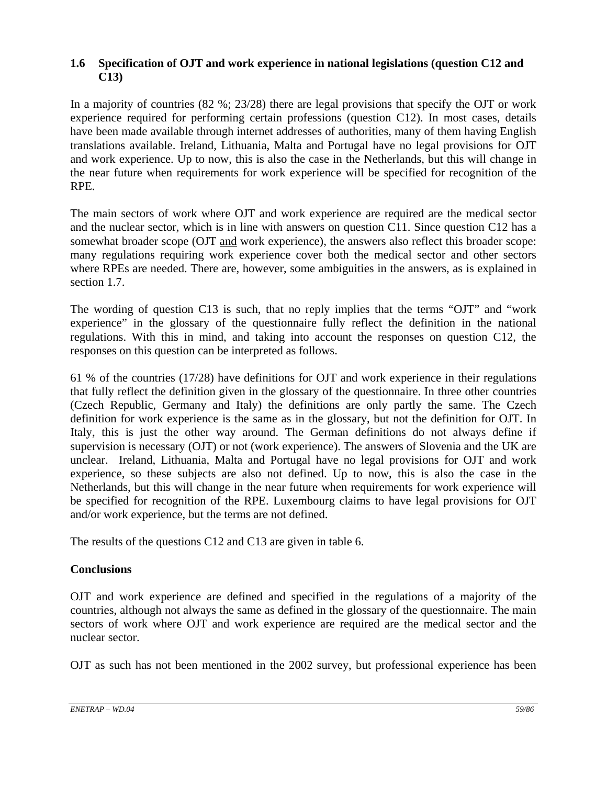# **1.6 Specification of OJT and work experience in national legislations (question C12 and C13)**

In a majority of countries (82 %; 23/28) there are legal provisions that specify the OJT or work experience required for performing certain professions (question C12). In most cases, details have been made available through internet addresses of authorities, many of them having English translations available. Ireland, Lithuania, Malta and Portugal have no legal provisions for OJT and work experience. Up to now, this is also the case in the Netherlands, but this will change in the near future when requirements for work experience will be specified for recognition of the RPE.

The main sectors of work where OJT and work experience are required are the medical sector and the nuclear sector, which is in line with answers on question C11. Since question C12 has a somewhat broader scope (OJT and work experience), the answers also reflect this broader scope: many regulations requiring work experience cover both the medical sector and other sectors where RPEs are needed. There are, however, some ambiguities in the answers, as is explained in section 1.7.

The wording of question C13 is such, that no reply implies that the terms "OJT" and "work experience" in the glossary of the questionnaire fully reflect the definition in the national regulations. With this in mind, and taking into account the responses on question C12, the responses on this question can be interpreted as follows.

61 % of the countries (17/28) have definitions for OJT and work experience in their regulations that fully reflect the definition given in the glossary of the questionnaire. In three other countries (Czech Republic, Germany and Italy) the definitions are only partly the same. The Czech definition for work experience is the same as in the glossary, but not the definition for OJT. In Italy, this is just the other way around. The German definitions do not always define if supervision is necessary (OJT) or not (work experience). The answers of Slovenia and the UK are unclear. Ireland, Lithuania, Malta and Portugal have no legal provisions for OJT and work experience, so these subjects are also not defined. Up to now, this is also the case in the Netherlands, but this will change in the near future when requirements for work experience will be specified for recognition of the RPE. Luxembourg claims to have legal provisions for OJT and/or work experience, but the terms are not defined.

The results of the questions C12 and C13 are given in table 6.

# **Conclusions**

OJT and work experience are defined and specified in the regulations of a majority of the countries, although not always the same as defined in the glossary of the questionnaire. The main sectors of work where OJT and work experience are required are the medical sector and the nuclear sector.

OJT as such has not been mentioned in the 2002 survey, but professional experience has been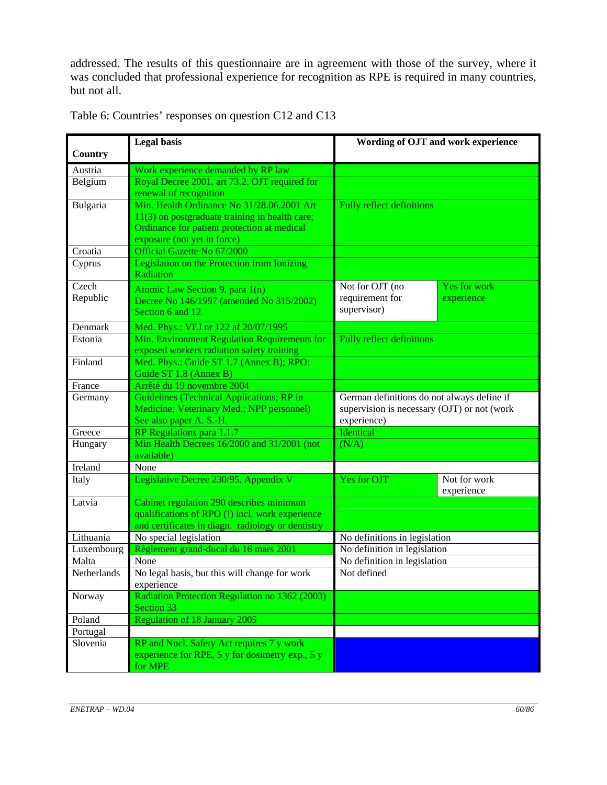addressed. The results of this questionnaire are in agreement with those of the survey, where it was concluded that professional experience for recognition as RPE is required in many countries, but not all.

|             | <b>Legal</b> basis                                                   | Wording of OJT and work experience          |                     |  |  |
|-------------|----------------------------------------------------------------------|---------------------------------------------|---------------------|--|--|
| Country     |                                                                      |                                             |                     |  |  |
| Austria     | Work experience demanded by RP law                                   |                                             |                     |  |  |
| Belgium     | Royal Decree 2001, art 73.2. OJT required for                        |                                             |                     |  |  |
|             | renewal of recognition<br>Min. Health Ordinance No 31/28.06.2001 Art |                                             |                     |  |  |
| Bulgaria    | 11(3) on postgraduate training in health care;                       | <b>Fully reflect definitions</b>            |                     |  |  |
|             | Ordinance for patient protection at medical                          |                                             |                     |  |  |
|             | exposure (not yet in force)                                          |                                             |                     |  |  |
| Croatia     | Official Gazette No 67/2000                                          |                                             |                     |  |  |
| Cyprus      | Legislation on the Protection from Ionizing                          |                                             |                     |  |  |
|             | Radiation                                                            |                                             |                     |  |  |
| Czech       | Atomic Law Section 9, para 1(n)                                      | Not for OJT (no                             | <b>Yes for work</b> |  |  |
| Republic    | Decree No 146/1997 (amended No 315/2002)                             | requirement for                             | experience          |  |  |
|             | Section 6 and 12                                                     | supervisor)                                 |                     |  |  |
| Denmark     | Med. Phys.: VEJ nr 122 af 20/07/1995                                 |                                             |                     |  |  |
| Estonia     | Min. Environment Regulation Requirements for                         | <b>Fully reflect definitions</b>            |                     |  |  |
|             | exposed workers radiation safety training                            |                                             |                     |  |  |
| Finland     | Med. Phys.: Guide ST 1.7 (Annex B); RPO:                             |                                             |                     |  |  |
|             | Guide ST 1.8 (Annex B)                                               |                                             |                     |  |  |
| France      | Arrêté du 19 novembre 2004                                           |                                             |                     |  |  |
| Germany     | Guidelines (Technical Applications; RP in                            | German definitions do not always define if  |                     |  |  |
|             | Medicine; Veterinary Med.; NPP personnel)                            | supervision is necessary (OJT) or not (work |                     |  |  |
|             | See also paper A. S.-H.                                              | experience)                                 |                     |  |  |
| Greece      | RP Regulations para 1.1.7                                            | Identical                                   |                     |  |  |
| Hungary     | Min Health Decrees 16/2000 and 31/2001 (not                          | (N/A)                                       |                     |  |  |
| Ireland     | available)<br>None                                                   |                                             |                     |  |  |
| Italy       | Legislative Decree 230/95, Appendix V                                | Yes for OJT                                 | Not for work        |  |  |
|             |                                                                      |                                             | experience          |  |  |
| Latvia      | Cabinet regulation 290 describes minimum                             |                                             |                     |  |  |
|             | qualifications of RPO (!) incl. work experience                      |                                             |                     |  |  |
|             | and certificates in diagn. radiology or dentistry                    |                                             |                     |  |  |
| Lithuania   | No special legislation                                               | No definitions in legislation               |                     |  |  |
| Luxembourg  | Règlement grand-ducal du 16 mars 2001                                | No definition in legislation                |                     |  |  |
| Malta       | None                                                                 | No definition in legislation                |                     |  |  |
| Netherlands | No legal basis, but this will change for work<br>experience          | Not defined                                 |                     |  |  |
| Norway      | <b>Radiation Protection Regulation no 1362 (2003)</b>                |                                             |                     |  |  |
|             | Section 33                                                           |                                             |                     |  |  |
| Poland      | <b>Regulation of 18 January 2005</b>                                 |                                             |                     |  |  |
| Portugal    |                                                                      |                                             |                     |  |  |
| Slovenia    | RP and Nucl. Safety Act requires 7 y work                            |                                             |                     |  |  |
|             | experience for RPE, 5 y for dosimetry exp., 5 y                      |                                             |                     |  |  |
|             | for MPE                                                              |                                             |                     |  |  |

Table 6: Countries' responses on question C12 and C13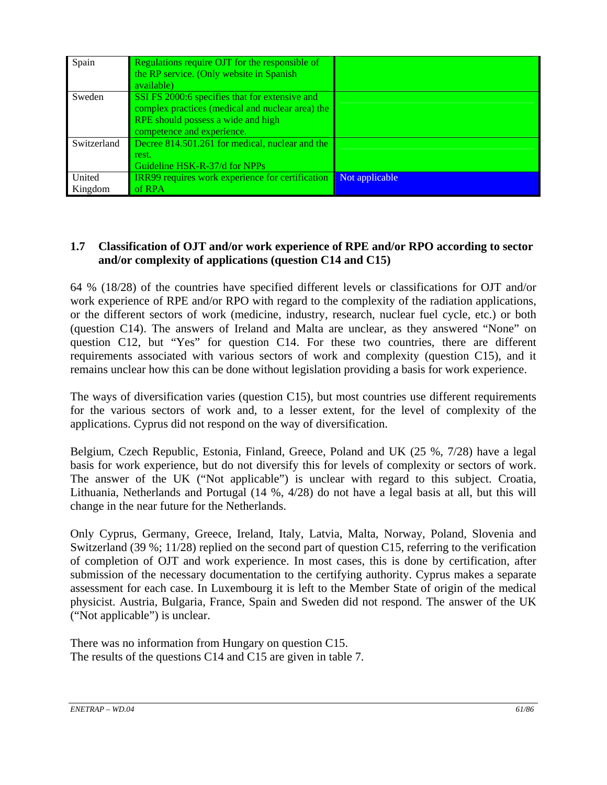| Spain         | Regulations require OJT for the responsible of   |                |
|---------------|--------------------------------------------------|----------------|
|               | the RP service. (Only website in Spanish)        |                |
|               | available)                                       |                |
| Sweden        | SSI FS 2000:6 specifies that for extensive and   |                |
|               | complex practices (medical and nuclear area) the |                |
|               | RPE should possess a wide and high               |                |
|               | competence and experience.                       |                |
| Switzerland   | Decree 814.501.261 for medical, nuclear and the  |                |
|               | rest.                                            |                |
|               | Guideline HSK-R-37/d for NPPs                    |                |
| <b>United</b> | IRR99 requires work experience for certification | Not applicable |
| Kingdom       | of RPA                                           |                |

### **1.7 Classification of OJT and/or work experience of RPE and/or RPO according to sector and/or complexity of applications (question C14 and C15)**

64 % (18/28) of the countries have specified different levels or classifications for OJT and/or work experience of RPE and/or RPO with regard to the complexity of the radiation applications, or the different sectors of work (medicine, industry, research, nuclear fuel cycle, etc.) or both (question C14). The answers of Ireland and Malta are unclear, as they answered "None" on question C12, but "Yes" for question C14. For these two countries, there are different requirements associated with various sectors of work and complexity (question C15), and it remains unclear how this can be done without legislation providing a basis for work experience.

The ways of diversification varies (question C15), but most countries use different requirements for the various sectors of work and, to a lesser extent, for the level of complexity of the applications. Cyprus did not respond on the way of diversification.

Belgium, Czech Republic, Estonia, Finland, Greece, Poland and UK (25 %, 7/28) have a legal basis for work experience, but do not diversify this for levels of complexity or sectors of work. The answer of the UK ("Not applicable") is unclear with regard to this subject. Croatia, Lithuania, Netherlands and Portugal (14 %, 4/28) do not have a legal basis at all, but this will change in the near future for the Netherlands.

Only Cyprus, Germany, Greece, Ireland, Italy, Latvia, Malta, Norway, Poland, Slovenia and Switzerland (39 %; 11/28) replied on the second part of question C15, referring to the verification of completion of OJT and work experience. In most cases, this is done by certification, after submission of the necessary documentation to the certifying authority. Cyprus makes a separate assessment for each case. In Luxembourg it is left to the Member State of origin of the medical physicist. Austria, Bulgaria, France, Spain and Sweden did not respond. The answer of the UK ("Not applicable") is unclear.

There was no information from Hungary on question C15. The results of the questions C14 and C15 are given in table 7.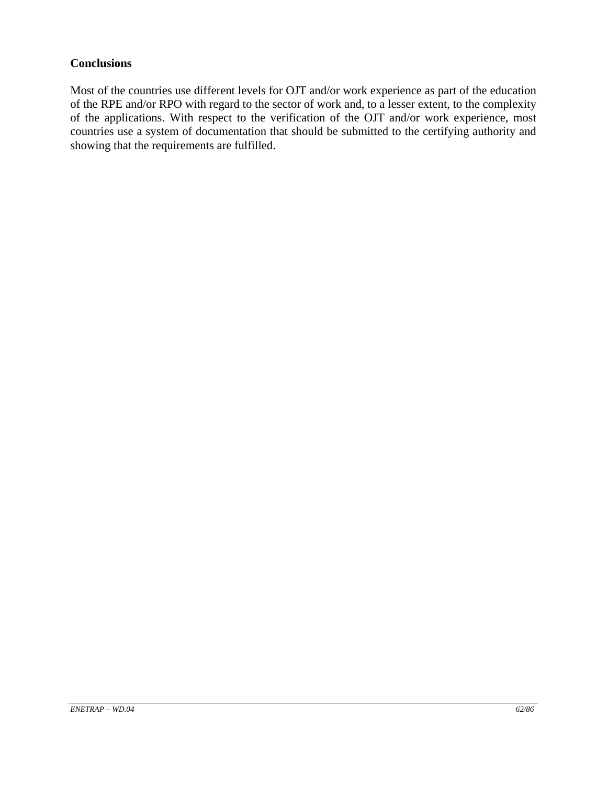#### **Conclusions**

Most of the countries use different levels for OJT and/or work experience as part of the education of the RPE and/or RPO with regard to the sector of work and, to a lesser extent, to the complexity of the applications. With respect to the verification of the OJT and/or work experience, most countries use a system of documentation that should be submitted to the certifying authority and showing that the requirements are fulfilled.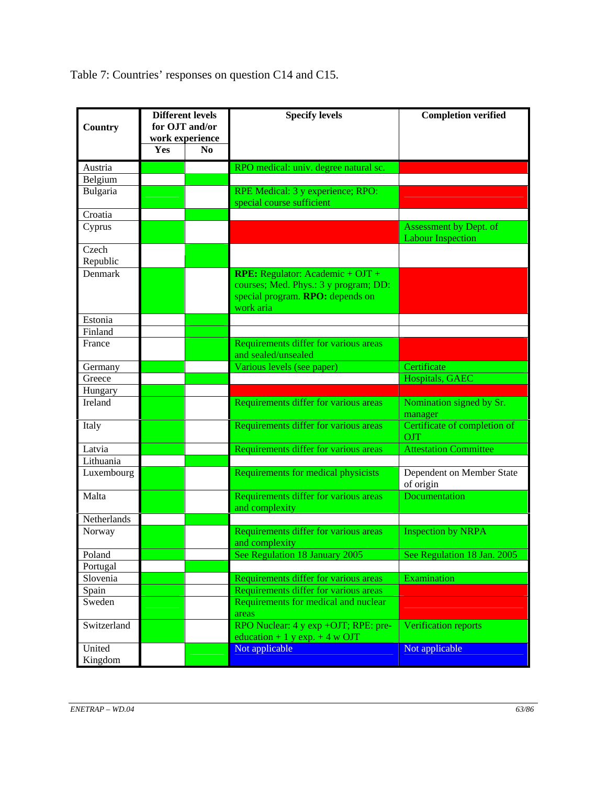Table 7: Countries' responses on question C14 and C15.

| Country           | <b>Different levels</b><br>for OJT and/or<br>work experience |                | <b>Specify levels</b>                                                                                                               | <b>Completion verified</b>                         |
|-------------------|--------------------------------------------------------------|----------------|-------------------------------------------------------------------------------------------------------------------------------------|----------------------------------------------------|
| Yes               |                                                              | N <sub>0</sub> |                                                                                                                                     |                                                    |
| Austria           |                                                              |                | RPO medical: univ. degree natural sc.                                                                                               |                                                    |
| Belgium           |                                                              |                |                                                                                                                                     |                                                    |
| Bulgaria          |                                                              |                | RPE Medical: 3 y experience; RPO:                                                                                                   |                                                    |
|                   |                                                              |                | special course sufficient                                                                                                           |                                                    |
| Croatia           |                                                              |                |                                                                                                                                     |                                                    |
| Cyprus            |                                                              |                |                                                                                                                                     | Assessment by Dept. of<br><b>Labour Inspection</b> |
| Czech<br>Republic |                                                              |                |                                                                                                                                     |                                                    |
| Denmark           |                                                              |                | <b>RPE:</b> Regulator: Academic + $OJT +$<br>courses; Med. Phys.: 3 y program; DD:<br>special program. RPO: depends on<br>work aria |                                                    |
| Estonia           |                                                              |                |                                                                                                                                     |                                                    |
| Finland           |                                                              |                |                                                                                                                                     |                                                    |
| France            |                                                              |                | Requirements differ for various areas<br>and sealed/unsealed                                                                        |                                                    |
| Germany           |                                                              |                | Various levels (see paper)                                                                                                          | Certificate                                        |
| Greece            |                                                              |                |                                                                                                                                     | Hospitals, GAEC                                    |
| Hungary           |                                                              |                |                                                                                                                                     |                                                    |
| Ireland           |                                                              |                | Requirements differ for various areas                                                                                               | Nomination signed by Sr.<br>manager                |
| Italy             |                                                              |                | Requirements differ for various areas                                                                                               | Certificate of completion of<br>OJT                |
| Latvia            |                                                              |                | Requirements differ for various areas                                                                                               | <b>Attestation Committee</b>                       |
| Lithuania         |                                                              |                |                                                                                                                                     |                                                    |
| Luxembourg        |                                                              |                | Requirements for medical physicists                                                                                                 | Dependent on Member State<br>of origin             |
| Malta             |                                                              |                | Requirements differ for various areas<br>and complexity                                                                             | Documentation                                      |
| Netherlands       |                                                              |                |                                                                                                                                     |                                                    |
| Norway            |                                                              |                | Requirements differ for various areas<br>and complexity                                                                             | <b>Inspection by NRPA</b>                          |
| Poland            |                                                              |                | See Regulation 18 January 2005                                                                                                      | See Regulation 18 Jan. 2005                        |
| Portugal          |                                                              |                |                                                                                                                                     |                                                    |
| Slovenia          |                                                              |                | Requirements differ for various areas                                                                                               | Examination                                        |
| Spain             |                                                              |                | Requirements differ for various areas                                                                                               |                                                    |
| Sweden            |                                                              |                | Requirements for medical and nuclear<br>areas                                                                                       |                                                    |
| Switzerland       |                                                              |                | RPO Nuclear: 4 y exp +OJT; RPE: pre-<br>education + 1 y exp. + 4 w OJT                                                              | Verification reports                               |
| United<br>Kingdom |                                                              |                | Not applicable                                                                                                                      | Not applicable                                     |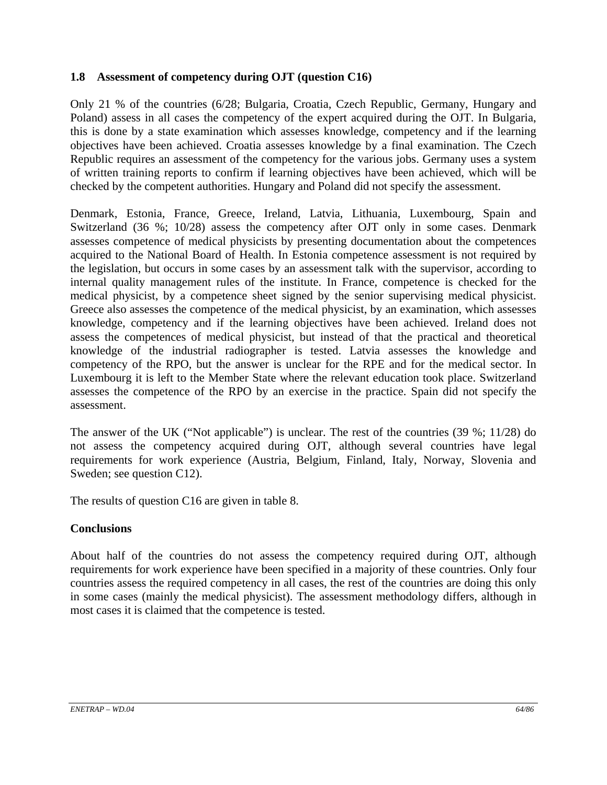# **1.8 Assessment of competency during OJT (question C16)**

Only 21 % of the countries (6/28; Bulgaria, Croatia, Czech Republic, Germany, Hungary and Poland) assess in all cases the competency of the expert acquired during the OJT. In Bulgaria, this is done by a state examination which assesses knowledge, competency and if the learning objectives have been achieved. Croatia assesses knowledge by a final examination. The Czech Republic requires an assessment of the competency for the various jobs. Germany uses a system of written training reports to confirm if learning objectives have been achieved, which will be checked by the competent authorities. Hungary and Poland did not specify the assessment.

Denmark, Estonia, France, Greece, Ireland, Latvia, Lithuania, Luxembourg, Spain and Switzerland (36 %; 10/28) assess the competency after OJT only in some cases. Denmark assesses competence of medical physicists by presenting documentation about the competences acquired to the National Board of Health. In Estonia competence assessment is not required by the legislation, but occurs in some cases by an assessment talk with the supervisor, according to internal quality management rules of the institute. In France, competence is checked for the medical physicist, by a competence sheet signed by the senior supervising medical physicist. Greece also assesses the competence of the medical physicist, by an examination, which assesses knowledge, competency and if the learning objectives have been achieved. Ireland does not assess the competences of medical physicist, but instead of that the practical and theoretical knowledge of the industrial radiographer is tested. Latvia assesses the knowledge and competency of the RPO, but the answer is unclear for the RPE and for the medical sector. In Luxembourg it is left to the Member State where the relevant education took place. Switzerland assesses the competence of the RPO by an exercise in the practice. Spain did not specify the assessment.

The answer of the UK ("Not applicable") is unclear. The rest of the countries (39 %; 11/28) do not assess the competency acquired during OJT, although several countries have legal requirements for work experience (Austria, Belgium, Finland, Italy, Norway, Slovenia and Sweden; see question C12).

The results of question C16 are given in table 8.

# **Conclusions**

About half of the countries do not assess the competency required during OJT, although requirements for work experience have been specified in a majority of these countries. Only four countries assess the required competency in all cases, the rest of the countries are doing this only in some cases (mainly the medical physicist). The assessment methodology differs, although in most cases it is claimed that the competence is tested.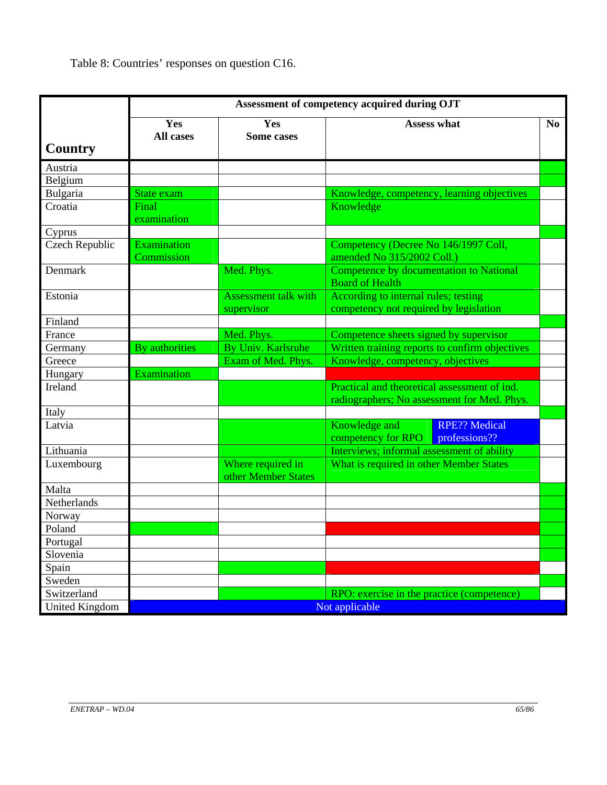Table 8: Countries' responses on question C16.

|                       | Assessment of competency acquired during OJT |                                           |                                                                                             |                                       |  |  |
|-----------------------|----------------------------------------------|-------------------------------------------|---------------------------------------------------------------------------------------------|---------------------------------------|--|--|
|                       | Yes<br><b>All cases</b>                      | Yes<br><b>Some cases</b>                  | <b>Assess what</b>                                                                          |                                       |  |  |
| <b>Country</b>        |                                              |                                           |                                                                                             |                                       |  |  |
| Austria               |                                              |                                           |                                                                                             |                                       |  |  |
| Belgium               |                                              |                                           |                                                                                             |                                       |  |  |
| Bulgaria              | State exam                                   |                                           | Knowledge, competency, learning objectives                                                  |                                       |  |  |
| Croatia               | Final<br>examination                         |                                           | Knowledge                                                                                   |                                       |  |  |
| Cyprus                |                                              |                                           |                                                                                             |                                       |  |  |
| <b>Czech Republic</b> | Examination<br>Commission                    |                                           | Competency (Decree No 146/1997 Coll,<br>amended No 315/2002 Coll.)                          |                                       |  |  |
| Denmark               |                                              | Med. Phys.                                | Competence by documentation to National<br><b>Board of Health</b>                           |                                       |  |  |
| Estonia               |                                              | <b>Assessment talk with</b><br>supervisor | According to internal rules; testing<br>competency not required by legislation              |                                       |  |  |
| Finland               |                                              |                                           |                                                                                             |                                       |  |  |
| France                |                                              | Med. Phys.                                | Competence sheets signed by supervisor                                                      |                                       |  |  |
| Germany               | By authorities                               | By Univ. Karlsruhe                        | Written training reports to confirm objectives                                              |                                       |  |  |
| Greece                |                                              | Exam of Med. Phys.                        | Knowledge, competency, objectives                                                           |                                       |  |  |
| Hungary               | Examination                                  |                                           |                                                                                             |                                       |  |  |
| Ireland               |                                              |                                           | Practical and theoretical assessment of ind.<br>radiographers; No assessment for Med. Phys. |                                       |  |  |
| Italy                 |                                              |                                           |                                                                                             |                                       |  |  |
| Latvia                |                                              |                                           | Knowledge and<br>competency for RPO                                                         | <b>RPE?? Medical</b><br>professions?? |  |  |
| Lithuania             |                                              |                                           | Interviews; informal assessment of ability                                                  |                                       |  |  |
| Luxembourg            |                                              | Where required in<br>other Member States  | What is required in other Member States                                                     |                                       |  |  |
| Malta                 |                                              |                                           |                                                                                             |                                       |  |  |
| Netherlands           |                                              |                                           |                                                                                             |                                       |  |  |
| Norway                |                                              |                                           |                                                                                             |                                       |  |  |
| Poland                |                                              |                                           |                                                                                             |                                       |  |  |
| Portugal              |                                              |                                           |                                                                                             |                                       |  |  |
| Slovenia              |                                              |                                           |                                                                                             |                                       |  |  |
| Spain                 |                                              |                                           |                                                                                             |                                       |  |  |
| Sweden                |                                              |                                           |                                                                                             |                                       |  |  |
| Switzerland           |                                              |                                           | RPO: exercise in the practice (competence)                                                  |                                       |  |  |
| <b>United Kingdom</b> | Not applicable                               |                                           |                                                                                             |                                       |  |  |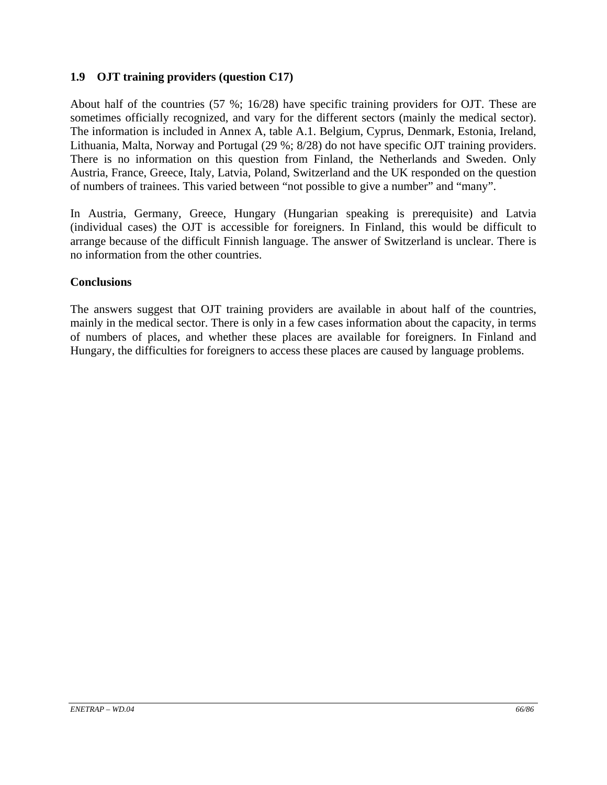# **1.9 OJT training providers (question C17)**

About half of the countries (57 %; 16/28) have specific training providers for OJT. These are sometimes officially recognized, and vary for the different sectors (mainly the medical sector). The information is included in Annex A, table A.1. Belgium, Cyprus, Denmark, Estonia, Ireland, Lithuania, Malta, Norway and Portugal (29 %; 8/28) do not have specific OJT training providers. There is no information on this question from Finland, the Netherlands and Sweden. Only Austria, France, Greece, Italy, Latvia, Poland, Switzerland and the UK responded on the question of numbers of trainees. This varied between "not possible to give a number" and "many".

In Austria, Germany, Greece, Hungary (Hungarian speaking is prerequisite) and Latvia (individual cases) the OJT is accessible for foreigners. In Finland, this would be difficult to arrange because of the difficult Finnish language. The answer of Switzerland is unclear. There is no information from the other countries.

#### **Conclusions**

The answers suggest that OJT training providers are available in about half of the countries, mainly in the medical sector. There is only in a few cases information about the capacity, in terms of numbers of places, and whether these places are available for foreigners. In Finland and Hungary, the difficulties for foreigners to access these places are caused by language problems.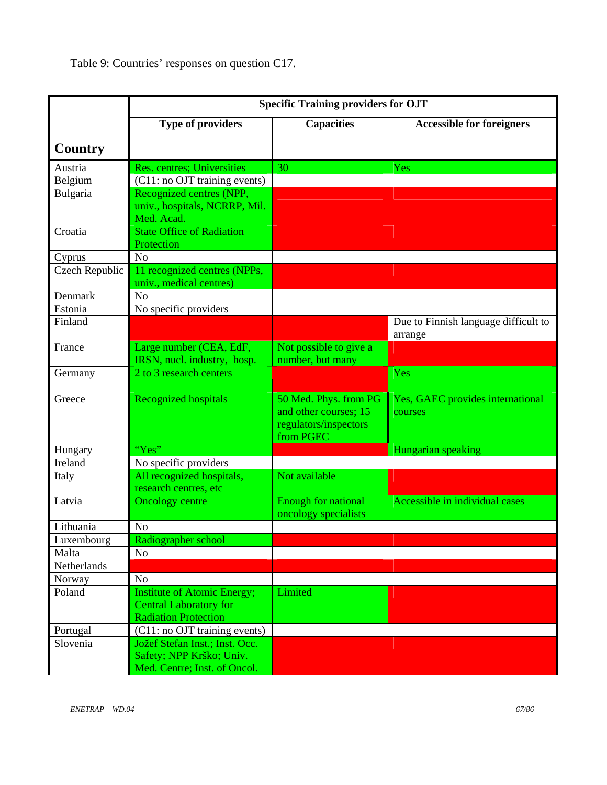Table 9: Countries' responses on question C17.

|                | <b>Specific Training providers for OJT</b>              |                                                                                      |                                                 |  |  |  |
|----------------|---------------------------------------------------------|--------------------------------------------------------------------------------------|-------------------------------------------------|--|--|--|
|                | Type of providers                                       | <b>Capacities</b>                                                                    | <b>Accessible for foreigners</b>                |  |  |  |
| <b>Country</b> |                                                         |                                                                                      |                                                 |  |  |  |
| Austria        | Res. centres; Universities                              | 30                                                                                   | Yes                                             |  |  |  |
| Belgium        | (C11: no OJT training events)                           |                                                                                      |                                                 |  |  |  |
| Bulgaria       | Recognized centres (NPP,                                |                                                                                      |                                                 |  |  |  |
|                | univ., hospitals, NCRRP, Mil.                           |                                                                                      |                                                 |  |  |  |
|                | Med. Acad.                                              |                                                                                      |                                                 |  |  |  |
| Croatia        | <b>State Office of Radiation</b>                        |                                                                                      |                                                 |  |  |  |
|                | Protection                                              |                                                                                      |                                                 |  |  |  |
| Cyprus         | N <sub>o</sub>                                          |                                                                                      |                                                 |  |  |  |
| Czech Republic | 11 recognized centres (NPPs,<br>univ., medical centres) |                                                                                      |                                                 |  |  |  |
| Denmark        | N <sub>o</sub>                                          |                                                                                      |                                                 |  |  |  |
| Estonia        | No specific providers                                   |                                                                                      |                                                 |  |  |  |
| Finland        |                                                         |                                                                                      | Due to Finnish language difficult to<br>arrange |  |  |  |
| France         | Large number (CEA, EdF,                                 | Not possible to give a                                                               |                                                 |  |  |  |
|                | IRSN, nucl. industry, hosp.                             | number, but many                                                                     |                                                 |  |  |  |
| Germany        | 2 to 3 research centers                                 |                                                                                      | Yes                                             |  |  |  |
| Greece         | <b>Recognized hospitals</b>                             | 50 Med. Phys. from PG<br>and other courses; 15<br>regulators/inspectors<br>from PGEC | Yes, GAEC provides international<br>courses     |  |  |  |
| Hungary        | "Yes"                                                   |                                                                                      | Hungarian speaking                              |  |  |  |
| Ireland        | No specific providers                                   |                                                                                      |                                                 |  |  |  |
| Italy          | All recognized hospitals,                               | Not available                                                                        |                                                 |  |  |  |
|                | research centres, etc                                   |                                                                                      |                                                 |  |  |  |
| Latvia         | <b>Oncology centre</b>                                  | <b>Enough for national</b><br>oncology specialists                                   | Accessible in individual cases                  |  |  |  |
| Lithuania      | N <sub>o</sub>                                          |                                                                                      |                                                 |  |  |  |
| Luxembourg     | Radiographer school                                     |                                                                                      |                                                 |  |  |  |
| Malta          | N <sub>0</sub>                                          |                                                                                      |                                                 |  |  |  |
| Netherlands    |                                                         |                                                                                      |                                                 |  |  |  |
| Norway         | N <sub>o</sub>                                          |                                                                                      |                                                 |  |  |  |
| Poland         | <b>Institute of Atomic Energy;</b>                      | Limited                                                                              |                                                 |  |  |  |
|                | <b>Central Laboratory for</b>                           |                                                                                      |                                                 |  |  |  |
|                | <b>Radiation Protection</b>                             |                                                                                      |                                                 |  |  |  |
| Portugal       | (C11: no OJT training events)                           |                                                                                      |                                                 |  |  |  |
| Slovenia       | Jožef Stefan Inst.; Inst. Occ.                          |                                                                                      |                                                 |  |  |  |
|                | Safety; NPP Krško; Univ.                                |                                                                                      |                                                 |  |  |  |
|                | Med. Centre; Inst. of Oncol.                            |                                                                                      |                                                 |  |  |  |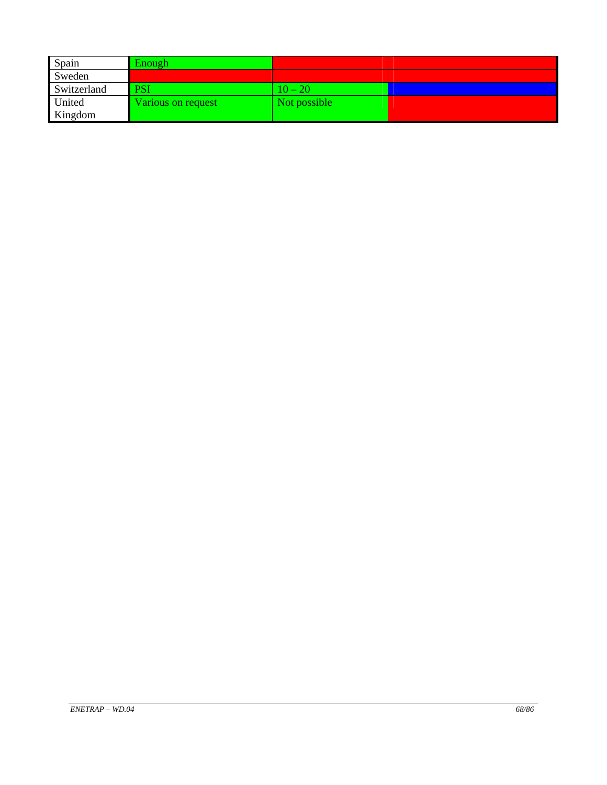| Spain       | Enough             |               |  |
|-------------|--------------------|---------------|--|
| Sweden      |                    |               |  |
| Switzerland | <b>PSI</b>         | $10\,{-}\,20$ |  |
| United      | Various on request | Not possible  |  |
| Kingdom     |                    |               |  |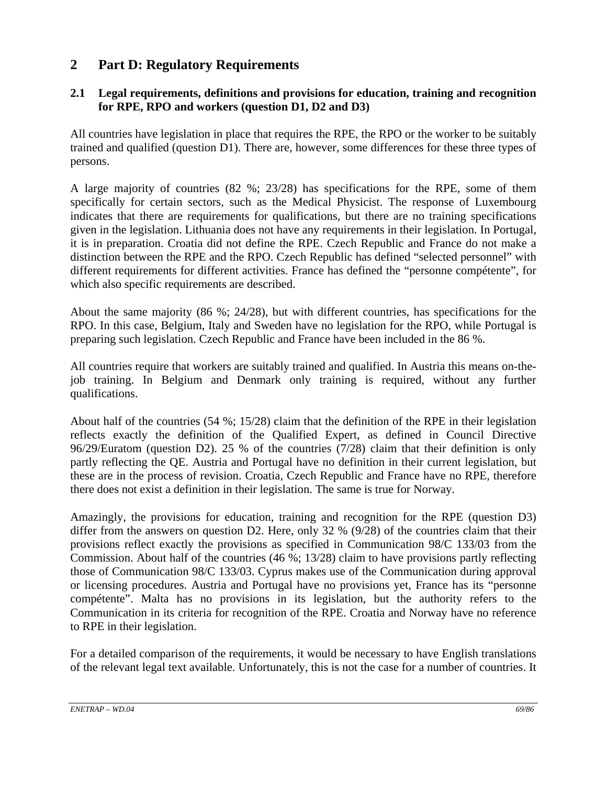# **2 Part D: Regulatory Requirements**

# **2.1 Legal requirements, definitions and provisions for education, training and recognition for RPE, RPO and workers (question D1, D2 and D3)**

All countries have legislation in place that requires the RPE, the RPO or the worker to be suitably trained and qualified (question D1). There are, however, some differences for these three types of persons.

A large majority of countries (82 %; 23/28) has specifications for the RPE, some of them specifically for certain sectors, such as the Medical Physicist. The response of Luxembourg indicates that there are requirements for qualifications, but there are no training specifications given in the legislation. Lithuania does not have any requirements in their legislation. In Portugal, it is in preparation. Croatia did not define the RPE. Czech Republic and France do not make a distinction between the RPE and the RPO. Czech Republic has defined "selected personnel" with different requirements for different activities. France has defined the "personne compétente", for which also specific requirements are described.

About the same majority (86 %; 24/28), but with different countries, has specifications for the RPO. In this case, Belgium, Italy and Sweden have no legislation for the RPO, while Portugal is preparing such legislation. Czech Republic and France have been included in the 86 %.

All countries require that workers are suitably trained and qualified. In Austria this means on-thejob training. In Belgium and Denmark only training is required, without any further qualifications.

About half of the countries (54 %; 15/28) claim that the definition of the RPE in their legislation reflects exactly the definition of the Qualified Expert, as defined in Council Directive 96/29/Euratom (question D2). 25 % of the countries (7/28) claim that their definition is only partly reflecting the QE. Austria and Portugal have no definition in their current legislation, but these are in the process of revision. Croatia, Czech Republic and France have no RPE, therefore there does not exist a definition in their legislation. The same is true for Norway.

Amazingly, the provisions for education, training and recognition for the RPE (question D3) differ from the answers on question D2. Here, only 32 % (9/28) of the countries claim that their provisions reflect exactly the provisions as specified in Communication 98/C 133/03 from the Commission. About half of the countries (46 %; 13/28) claim to have provisions partly reflecting those of Communication 98/C 133/03. Cyprus makes use of the Communication during approval or licensing procedures. Austria and Portugal have no provisions yet, France has its "personne compétente". Malta has no provisions in its legislation, but the authority refers to the Communication in its criteria for recognition of the RPE. Croatia and Norway have no reference to RPE in their legislation.

For a detailed comparison of the requirements, it would be necessary to have English translations of the relevant legal text available. Unfortunately, this is not the case for a number of countries. It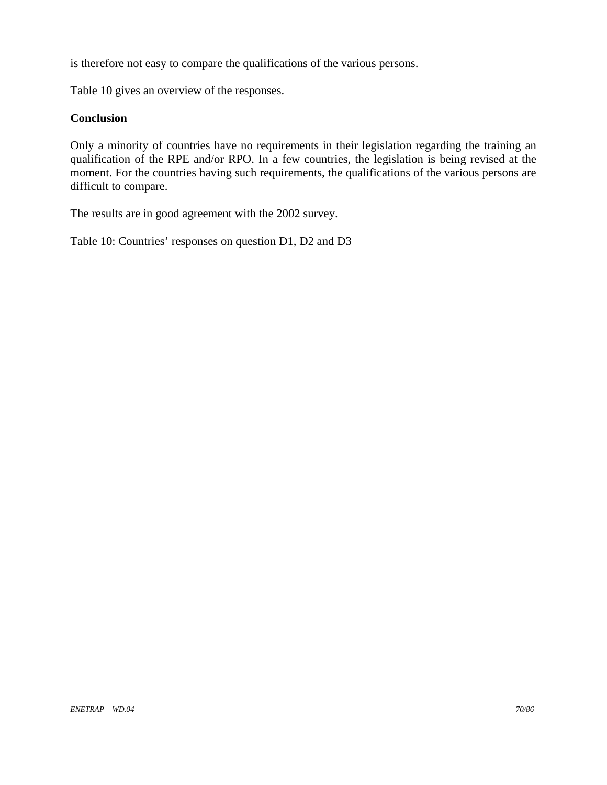is therefore not easy to compare the qualifications of the various persons.

Table 10 gives an overview of the responses.

#### **Conclusion**

Only a minority of countries have no requirements in their legislation regarding the training an qualification of the RPE and/or RPO. In a few countries, the legislation is being revised at the moment. For the countries having such requirements, the qualifications of the various persons are difficult to compare.

The results are in good agreement with the 2002 survey.

Table 10: Countries' responses on question D1, D2 and D3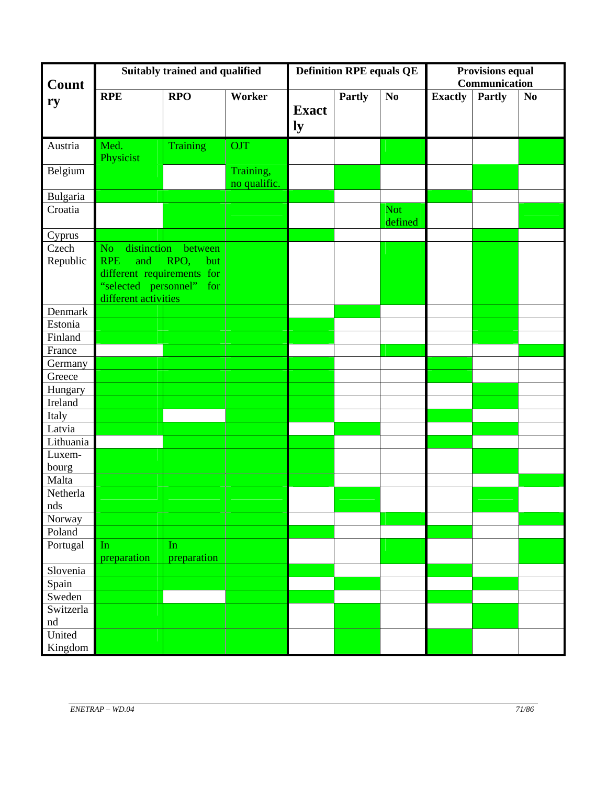| Count     | Suitably trained and qualified |                          |                           |                    | <b>Definition RPE equals QE</b> |                       |                | <b>Provisions equal</b><br>Communication |                |  |
|-----------|--------------------------------|--------------------------|---------------------------|--------------------|---------------------------------|-----------------------|----------------|------------------------------------------|----------------|--|
| ry        | <b>RPE</b>                     | <b>RPO</b>               | Worker                    | <b>Exact</b><br>ly | <b>Partly</b>                   | No                    | <b>Exactly</b> | <b>Partly</b>                            | N <sub>0</sub> |  |
| Austria   | Med.<br>Physicist              | Training                 | <b>OJT</b>                |                    |                                 |                       |                |                                          |                |  |
| Belgium   |                                |                          | Training,<br>no qualific. |                    |                                 |                       |                |                                          |                |  |
| Bulgaria  |                                |                          |                           |                    |                                 |                       |                |                                          |                |  |
| Croatia   |                                |                          |                           |                    |                                 | <b>Not</b><br>defined |                |                                          |                |  |
| Cyprus    |                                |                          |                           |                    |                                 |                       |                |                                          |                |  |
| Czech     | distinction<br>No.             | between                  |                           |                    |                                 |                       |                |                                          |                |  |
| Republic  | <b>RPE</b><br>and              | RPO,<br>but              |                           |                    |                                 |                       |                |                                          |                |  |
|           | different requirements for     |                          |                           |                    |                                 |                       |                |                                          |                |  |
|           |                                | "selected personnel" for |                           |                    |                                 |                       |                |                                          |                |  |
|           | different activities           |                          |                           |                    |                                 |                       |                |                                          |                |  |
| Denmark   |                                |                          |                           |                    |                                 |                       |                |                                          |                |  |
| Estonia   |                                |                          |                           |                    |                                 |                       |                |                                          |                |  |
| Finland   |                                |                          |                           |                    |                                 |                       |                |                                          |                |  |
| France    |                                |                          |                           |                    |                                 |                       |                |                                          |                |  |
| Germany   |                                |                          |                           |                    |                                 |                       |                |                                          |                |  |
| Greece    |                                |                          |                           |                    |                                 |                       |                |                                          |                |  |
| Hungary   |                                |                          |                           |                    |                                 |                       |                |                                          |                |  |
| Ireland   |                                |                          |                           |                    |                                 |                       |                |                                          |                |  |
| Italy     |                                |                          |                           |                    |                                 |                       |                |                                          |                |  |
| Latvia    |                                |                          |                           |                    |                                 |                       |                |                                          |                |  |
| Lithuania |                                |                          |                           |                    |                                 |                       |                |                                          |                |  |
| Luxem-    |                                |                          |                           |                    |                                 |                       |                |                                          |                |  |
| bourg     |                                |                          |                           |                    |                                 |                       |                |                                          |                |  |
| Malta     |                                |                          |                           |                    |                                 |                       |                |                                          |                |  |
| Netherla  |                                |                          |                           |                    |                                 |                       |                |                                          |                |  |
| nds       |                                |                          |                           |                    |                                 |                       |                |                                          |                |  |
| Norway    |                                |                          |                           |                    |                                 |                       |                |                                          |                |  |
| Poland    |                                |                          |                           |                    |                                 |                       |                |                                          |                |  |
| Portugal  | In                             | In                       |                           |                    |                                 |                       |                |                                          |                |  |
|           | preparation                    | preparation              |                           |                    |                                 |                       |                |                                          |                |  |
| Slovenia  |                                |                          |                           |                    |                                 |                       |                |                                          |                |  |
| Spain     |                                |                          |                           |                    |                                 |                       |                |                                          |                |  |
| Sweden    |                                |                          |                           |                    |                                 |                       |                |                                          |                |  |
| Switzerla |                                |                          |                           |                    |                                 |                       |                |                                          |                |  |
| nd        |                                |                          |                           |                    |                                 |                       |                |                                          |                |  |
| United    |                                |                          |                           |                    |                                 |                       |                |                                          |                |  |
| Kingdom   |                                |                          |                           |                    |                                 |                       |                |                                          |                |  |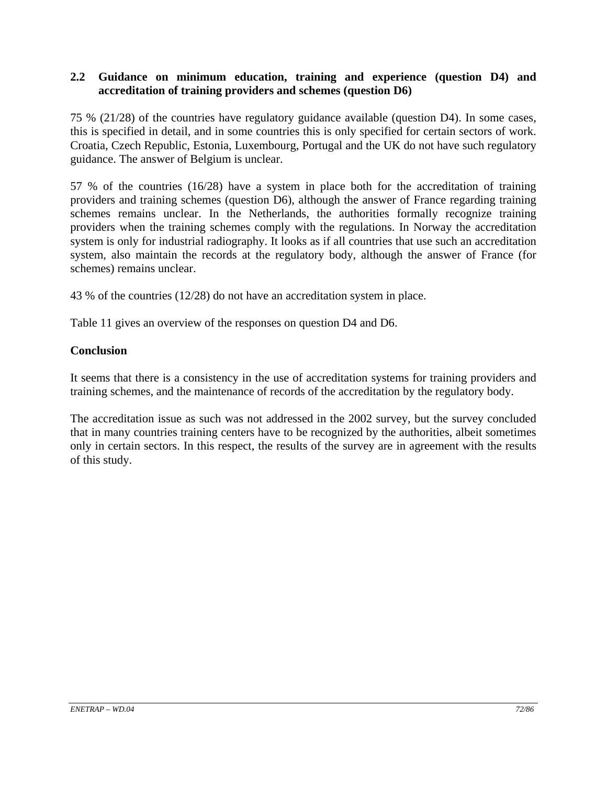#### **2.2 Guidance on minimum education, training and experience (question D4) and accreditation of training providers and schemes (question D6)**

75 % (21/28) of the countries have regulatory guidance available (question D4). In some cases, this is specified in detail, and in some countries this is only specified for certain sectors of work. Croatia, Czech Republic, Estonia, Luxembourg, Portugal and the UK do not have such regulatory guidance. The answer of Belgium is unclear.

57 % of the countries (16/28) have a system in place both for the accreditation of training providers and training schemes (question D6), although the answer of France regarding training schemes remains unclear. In the Netherlands, the authorities formally recognize training providers when the training schemes comply with the regulations. In Norway the accreditation system is only for industrial radiography. It looks as if all countries that use such an accreditation system, also maintain the records at the regulatory body, although the answer of France (for schemes) remains unclear.

43 % of the countries (12/28) do not have an accreditation system in place.

Table 11 gives an overview of the responses on question D4 and D6.

### **Conclusion**

It seems that there is a consistency in the use of accreditation systems for training providers and training schemes, and the maintenance of records of the accreditation by the regulatory body.

The accreditation issue as such was not addressed in the 2002 survey, but the survey concluded that in many countries training centers have to be recognized by the authorities, albeit sometimes only in certain sectors. In this respect, the results of the survey are in agreement with the results of this study.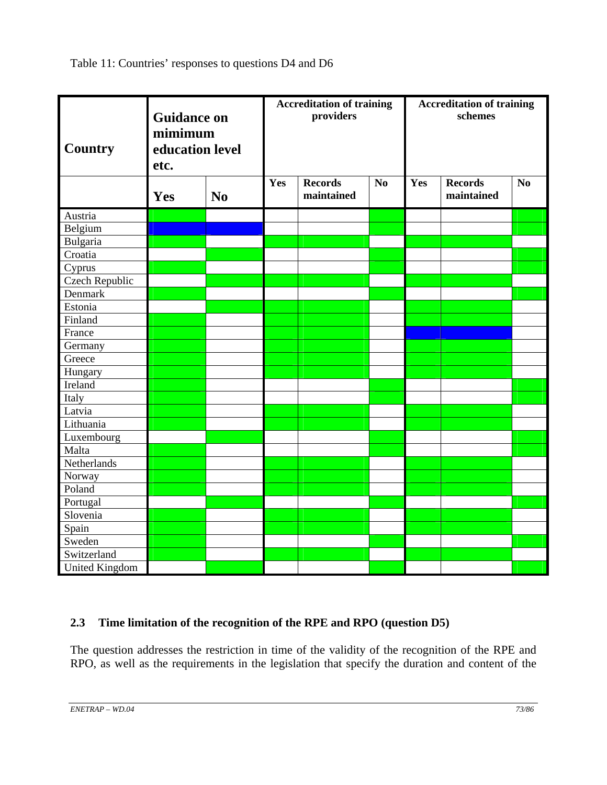Table 11: Countries' responses to questions D4 and D6

| <b>Country</b>        | <b>Guidance on</b><br>mimimum<br>education level<br>etc. |                |     | <b>Accreditation of training</b><br>providers |    |     | <b>Accreditation of training</b><br>schemes |    |  |
|-----------------------|----------------------------------------------------------|----------------|-----|-----------------------------------------------|----|-----|---------------------------------------------|----|--|
|                       | Yes                                                      | N <sub>0</sub> | Yes | <b>Records</b><br>maintained                  | No | Yes | <b>Records</b><br>maintained                | No |  |
| Austria               |                                                          |                |     |                                               |    |     |                                             |    |  |
| Belgium               |                                                          |                |     |                                               |    |     |                                             |    |  |
| Bulgaria              |                                                          |                |     |                                               |    |     |                                             |    |  |
| Croatia               |                                                          |                |     |                                               |    |     |                                             |    |  |
| Cyprus                |                                                          |                |     |                                               |    |     |                                             |    |  |
| Czech Republic        |                                                          |                |     |                                               |    |     |                                             |    |  |
| Denmark               |                                                          |                |     |                                               |    |     |                                             |    |  |
| Estonia               |                                                          |                |     |                                               |    |     |                                             |    |  |
| Finland               |                                                          |                |     |                                               |    |     |                                             |    |  |
| France                |                                                          |                |     |                                               |    |     |                                             |    |  |
| Germany               |                                                          |                |     |                                               |    |     |                                             |    |  |
| Greece                |                                                          |                |     |                                               |    |     |                                             |    |  |
| Hungary               |                                                          |                |     |                                               |    |     |                                             |    |  |
| Ireland               |                                                          |                |     |                                               |    |     |                                             |    |  |
| Italy                 |                                                          |                |     |                                               |    |     |                                             |    |  |
| Latvia                |                                                          |                |     |                                               |    |     |                                             |    |  |
| Lithuania             |                                                          |                |     |                                               |    |     |                                             |    |  |
| Luxembourg            |                                                          |                |     |                                               |    |     |                                             |    |  |
| Malta                 |                                                          |                |     |                                               |    |     |                                             |    |  |
| Netherlands           |                                                          |                |     |                                               |    |     |                                             |    |  |
| Norway                |                                                          |                |     |                                               |    |     |                                             |    |  |
| Poland                |                                                          |                |     |                                               |    |     |                                             |    |  |
| Portugal              |                                                          |                |     |                                               |    |     |                                             |    |  |
| Slovenia              |                                                          |                |     |                                               |    |     |                                             |    |  |
| Spain                 |                                                          |                |     |                                               |    |     |                                             |    |  |
| Sweden                |                                                          |                |     |                                               |    |     |                                             |    |  |
| Switzerland           |                                                          |                |     |                                               |    |     |                                             |    |  |
| <b>United Kingdom</b> |                                                          |                |     |                                               |    |     |                                             |    |  |

## **2.3 Time limitation of the recognition of the RPE and RPO (question D5)**

The question addresses the restriction in time of the validity of the recognition of the RPE and RPO, as well as the requirements in the legislation that specify the duration and content of the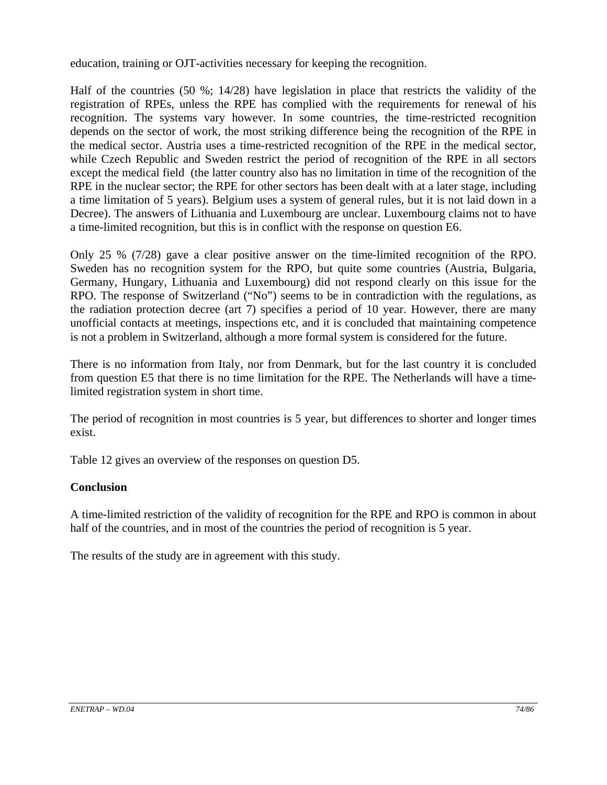education, training or OJT-activities necessary for keeping the recognition.

Half of the countries (50 %; 14/28) have legislation in place that restricts the validity of the registration of RPEs, unless the RPE has complied with the requirements for renewal of his recognition. The systems vary however. In some countries, the time-restricted recognition depends on the sector of work, the most striking difference being the recognition of the RPE in the medical sector. Austria uses a time-restricted recognition of the RPE in the medical sector, while Czech Republic and Sweden restrict the period of recognition of the RPE in all sectors except the medical field (the latter country also has no limitation in time of the recognition of the RPE in the nuclear sector; the RPE for other sectors has been dealt with at a later stage, including a time limitation of 5 years). Belgium uses a system of general rules, but it is not laid down in a Decree). The answers of Lithuania and Luxembourg are unclear. Luxembourg claims not to have a time-limited recognition, but this is in conflict with the response on question E6.

Only 25 % (7/28) gave a clear positive answer on the time-limited recognition of the RPO. Sweden has no recognition system for the RPO, but quite some countries (Austria, Bulgaria, Germany, Hungary, Lithuania and Luxembourg) did not respond clearly on this issue for the RPO. The response of Switzerland ("No") seems to be in contradiction with the regulations, as the radiation protection decree (art 7) specifies a period of 10 year. However, there are many unofficial contacts at meetings, inspections etc, and it is concluded that maintaining competence is not a problem in Switzerland, although a more formal system is considered for the future.

There is no information from Italy, nor from Denmark, but for the last country it is concluded from question E5 that there is no time limitation for the RPE. The Netherlands will have a timelimited registration system in short time.

The period of recognition in most countries is 5 year, but differences to shorter and longer times exist.

Table 12 gives an overview of the responses on question D5.

#### **Conclusion**

A time-limited restriction of the validity of recognition for the RPE and RPO is common in about half of the countries, and in most of the countries the period of recognition is 5 year.

The results of the study are in agreement with this study.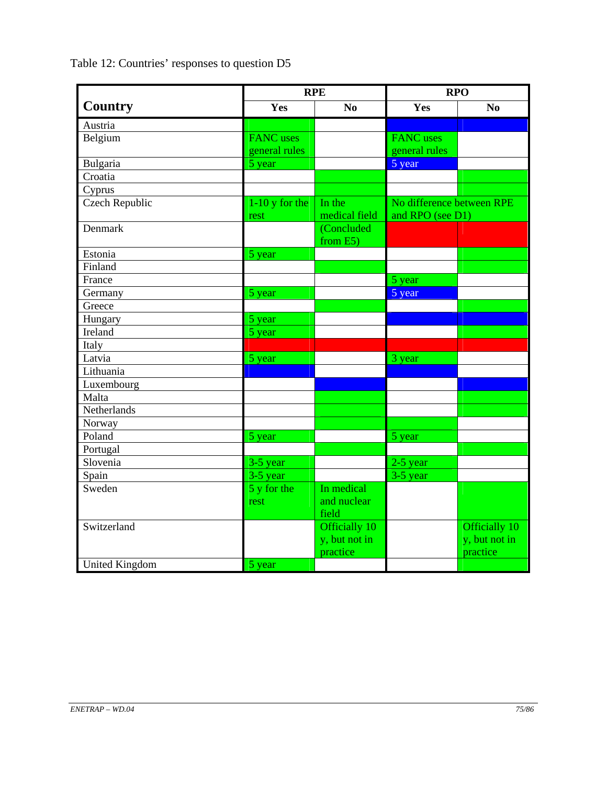Table 12: Countries' responses to question D5

|                       |                  | <b>RPE</b>     | <b>RPO</b>                |               |  |
|-----------------------|------------------|----------------|---------------------------|---------------|--|
| <b>Country</b>        | Yes              | N <sub>0</sub> | Yes                       | $\bf No$      |  |
| Austria               |                  |                |                           |               |  |
| Belgium               | <b>FANC</b> uses |                | <b>FANC</b> uses          |               |  |
|                       | general rules    |                | general rules             |               |  |
| Bulgaria              | 5 year           |                | 5 year                    |               |  |
| Croatia               |                  |                |                           |               |  |
| Cyprus                |                  |                |                           |               |  |
| <b>Czech Republic</b> | $1-10$ y for the | In the         | No difference between RPE |               |  |
|                       | rest             | medical field  | and RPO (see D1)          |               |  |
| Denmark               |                  | (Concluded     |                           |               |  |
|                       |                  | from E5)       |                           |               |  |
| Estonia               | 5 year           |                |                           |               |  |
| Finland               |                  |                |                           |               |  |
| France                |                  |                | 5 year                    |               |  |
| Germany               | 5 year           |                | 5 year                    |               |  |
| Greece                |                  |                |                           |               |  |
| Hungary               | 5 year           |                |                           |               |  |
| Ireland               | 5 year           |                |                           |               |  |
| Italy                 |                  |                |                           |               |  |
| Latvia                | 5 year           |                | 3 year                    |               |  |
| Lithuania             |                  |                |                           |               |  |
| Luxembourg            |                  |                |                           |               |  |
| Malta                 |                  |                |                           |               |  |
| Netherlands           |                  |                |                           |               |  |
| Norway                |                  |                |                           |               |  |
| Poland                | 5 year           |                | 5 year                    |               |  |
| Portugal              |                  |                |                           |               |  |
| Slovenia              | 3-5 year         |                | $2-5$ year                |               |  |
| Spain                 | 3-5 year         |                | $3-5$ year                |               |  |
| Sweden                | 5 y for the      | In medical     |                           |               |  |
|                       | rest             | and nuclear    |                           |               |  |
|                       |                  | field          |                           |               |  |
| Switzerland           |                  | Officially 10  |                           | Officially 10 |  |
|                       |                  | y, but not in  |                           | y, but not in |  |
|                       |                  | practice       |                           | practice      |  |
| <b>United Kingdom</b> | 5 year           |                |                           |               |  |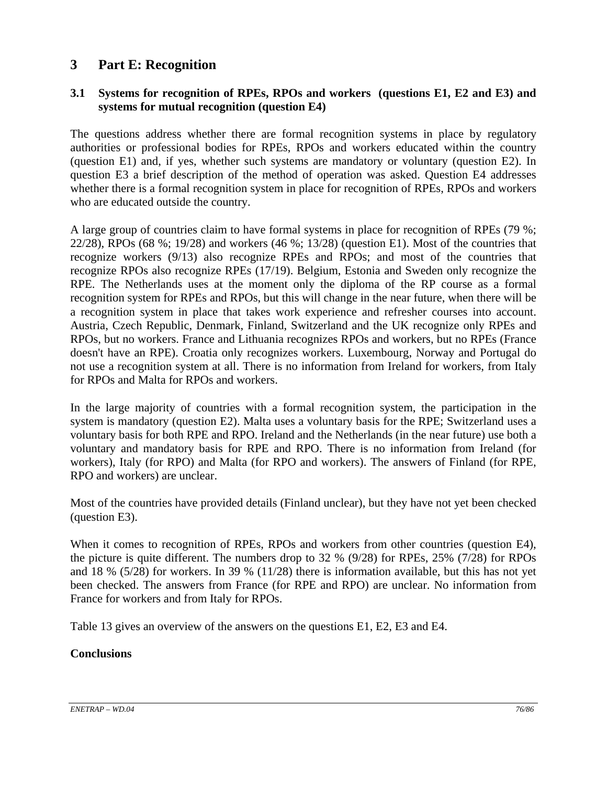## **3 Part E: Recognition**

#### **3.1 Systems for recognition of RPEs, RPOs and workers (questions E1, E2 and E3) and systems for mutual recognition (question E4)**

The questions address whether there are formal recognition systems in place by regulatory authorities or professional bodies for RPEs, RPOs and workers educated within the country (question E1) and, if yes, whether such systems are mandatory or voluntary (question E2). In question E3 a brief description of the method of operation was asked. Question E4 addresses whether there is a formal recognition system in place for recognition of RPEs, RPOs and workers who are educated outside the country.

A large group of countries claim to have formal systems in place for recognition of RPEs (79 %; 22/28), RPOs (68 %; 19/28) and workers (46 %; 13/28) (question E1). Most of the countries that recognize workers (9/13) also recognize RPEs and RPOs; and most of the countries that recognize RPOs also recognize RPEs (17/19). Belgium, Estonia and Sweden only recognize the RPE. The Netherlands uses at the moment only the diploma of the RP course as a formal recognition system for RPEs and RPOs, but this will change in the near future, when there will be a recognition system in place that takes work experience and refresher courses into account. Austria, Czech Republic, Denmark, Finland, Switzerland and the UK recognize only RPEs and RPOs, but no workers. France and Lithuania recognizes RPOs and workers, but no RPEs (France doesn't have an RPE). Croatia only recognizes workers. Luxembourg, Norway and Portugal do not use a recognition system at all. There is no information from Ireland for workers, from Italy for RPOs and Malta for RPOs and workers.

In the large majority of countries with a formal recognition system, the participation in the system is mandatory (question E2). Malta uses a voluntary basis for the RPE; Switzerland uses a voluntary basis for both RPE and RPO. Ireland and the Netherlands (in the near future) use both a voluntary and mandatory basis for RPE and RPO. There is no information from Ireland (for workers), Italy (for RPO) and Malta (for RPO and workers). The answers of Finland (for RPE, RPO and workers) are unclear.

Most of the countries have provided details (Finland unclear), but they have not yet been checked (question E3).

When it comes to recognition of RPEs, RPOs and workers from other countries (question E4), the picture is quite different. The numbers drop to 32 % (9/28) for RPEs, 25% (7/28) for RPOs and 18 % (5/28) for workers. In 39 % (11/28) there is information available, but this has not yet been checked. The answers from France (for RPE and RPO) are unclear. No information from France for workers and from Italy for RPOs.

Table 13 gives an overview of the answers on the questions E1, E2, E3 and E4.

#### **Conclusions**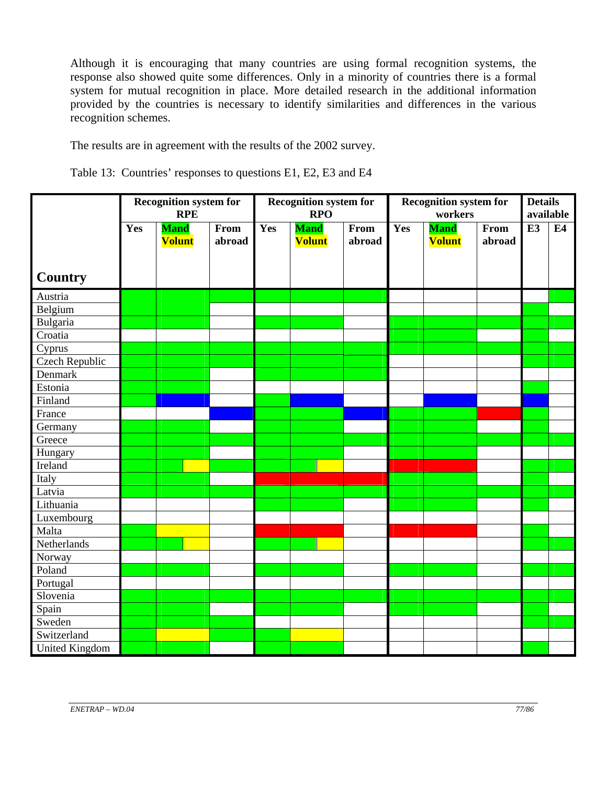Although it is encouraging that many countries are using formal recognition systems, the response also showed quite some differences. Only in a minority of countries there is a formal system for mutual recognition in place. More detailed research in the additional information provided by the countries is necessary to identify similarities and differences in the various recognition schemes.

The results are in agreement with the results of the 2002 survey.

Table 13: Countries' responses to questions E1, E2, E3 and E4

|                       | <b>Recognition system for</b><br><b>RPE</b> |                              |                | Recognition system for<br><b>RPO</b> |                              | <b>Recognition system for</b><br>workers |     |                              | <b>Details</b><br>available |    |    |
|-----------------------|---------------------------------------------|------------------------------|----------------|--------------------------------------|------------------------------|------------------------------------------|-----|------------------------------|-----------------------------|----|----|
|                       | Yes                                         | <b>Mand</b><br><b>Volunt</b> | From<br>abroad | Yes                                  | <b>Mand</b><br><b>Volunt</b> | From<br>abroad                           | Yes | <b>Mand</b><br><b>Volunt</b> | From<br>abroad              | E3 | E4 |
| <b>Country</b>        |                                             |                              |                |                                      |                              |                                          |     |                              |                             |    |    |
| Austria               |                                             |                              |                |                                      |                              |                                          |     |                              |                             |    |    |
| Belgium               |                                             |                              |                |                                      |                              |                                          |     |                              |                             |    |    |
| Bulgaria              |                                             |                              |                |                                      |                              |                                          |     |                              |                             |    |    |
| Croatia               |                                             |                              |                |                                      |                              |                                          |     |                              |                             |    |    |
| Cyprus                |                                             |                              |                |                                      |                              |                                          |     |                              |                             |    |    |
| <b>Czech Republic</b> |                                             |                              |                |                                      |                              |                                          |     |                              |                             |    |    |
| Denmark               |                                             |                              |                |                                      |                              |                                          |     |                              |                             |    |    |
| Estonia               |                                             |                              |                |                                      |                              |                                          |     |                              |                             |    |    |
| Finland               |                                             |                              |                |                                      |                              |                                          |     |                              |                             |    |    |
| France                |                                             |                              |                |                                      |                              |                                          |     |                              |                             |    |    |
| Germany               |                                             |                              |                |                                      |                              |                                          |     |                              |                             |    |    |
| Greece                |                                             |                              |                |                                      |                              |                                          |     |                              |                             |    |    |
| Hungary               |                                             |                              |                |                                      |                              |                                          |     |                              |                             |    |    |
| Ireland               |                                             |                              |                |                                      |                              |                                          |     |                              |                             |    |    |
| Italy                 |                                             |                              |                |                                      |                              |                                          |     |                              |                             |    |    |
| Latvia                |                                             |                              |                |                                      |                              |                                          |     |                              |                             |    |    |
| Lithuania             |                                             |                              |                |                                      |                              |                                          |     |                              |                             |    |    |
| Luxembourg            |                                             |                              |                |                                      |                              |                                          |     |                              |                             |    |    |
| Malta                 |                                             |                              |                |                                      |                              |                                          |     |                              |                             |    |    |
| Netherlands           |                                             |                              |                |                                      |                              |                                          |     |                              |                             |    |    |
| Norway                |                                             |                              |                |                                      |                              |                                          |     |                              |                             |    |    |
| Poland                |                                             |                              |                |                                      |                              |                                          |     |                              |                             |    |    |
| Portugal              |                                             |                              |                |                                      |                              |                                          |     |                              |                             |    |    |
| Slovenia              |                                             |                              |                |                                      |                              |                                          |     |                              |                             |    |    |
| Spain                 |                                             |                              |                |                                      |                              |                                          |     |                              |                             |    |    |
| Sweden                |                                             |                              |                |                                      |                              |                                          |     |                              |                             |    |    |
| Switzerland           |                                             |                              |                |                                      |                              |                                          |     |                              |                             |    |    |
| <b>United Kingdom</b> |                                             |                              |                |                                      |                              |                                          |     |                              |                             |    |    |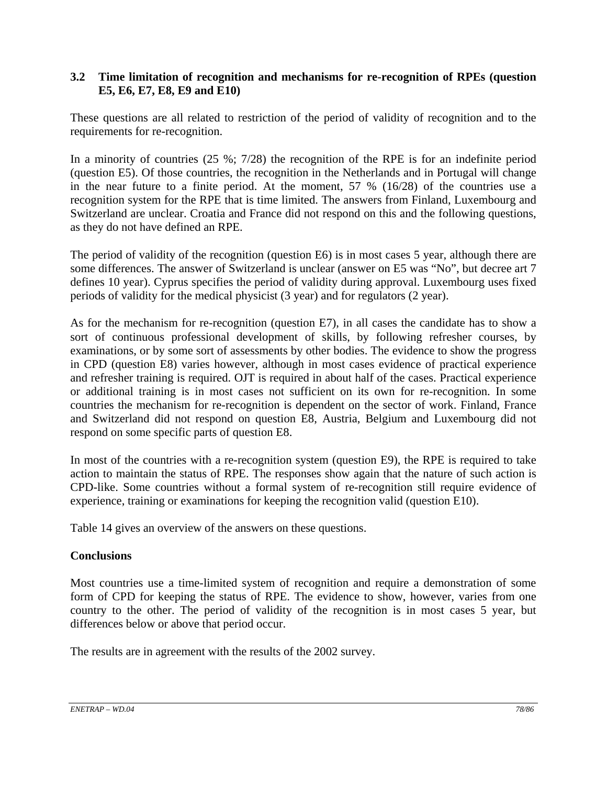#### **3.2 Time limitation of recognition and mechanisms for re-recognition of RPEs (question E5, E6, E7, E8, E9 and E10)**

These questions are all related to restriction of the period of validity of recognition and to the requirements for re-recognition.

In a minority of countries (25 %; 7/28) the recognition of the RPE is for an indefinite period (question E5). Of those countries, the recognition in the Netherlands and in Portugal will change in the near future to a finite period. At the moment, 57 % (16/28) of the countries use a recognition system for the RPE that is time limited. The answers from Finland, Luxembourg and Switzerland are unclear. Croatia and France did not respond on this and the following questions, as they do not have defined an RPE.

The period of validity of the recognition (question E6) is in most cases 5 year, although there are some differences. The answer of Switzerland is unclear (answer on E5 was "No", but decree art 7 defines 10 year). Cyprus specifies the period of validity during approval. Luxembourg uses fixed periods of validity for the medical physicist (3 year) and for regulators (2 year).

As for the mechanism for re-recognition (question E7), in all cases the candidate has to show a sort of continuous professional development of skills, by following refresher courses, by examinations, or by some sort of assessments by other bodies. The evidence to show the progress in CPD (question E8) varies however, although in most cases evidence of practical experience and refresher training is required. OJT is required in about half of the cases. Practical experience or additional training is in most cases not sufficient on its own for re-recognition. In some countries the mechanism for re-recognition is dependent on the sector of work. Finland, France and Switzerland did not respond on question E8, Austria, Belgium and Luxembourg did not respond on some specific parts of question E8.

In most of the countries with a re-recognition system (question E9), the RPE is required to take action to maintain the status of RPE. The responses show again that the nature of such action is CPD-like. Some countries without a formal system of re-recognition still require evidence of experience, training or examinations for keeping the recognition valid (question E10).

Table 14 gives an overview of the answers on these questions.

#### **Conclusions**

Most countries use a time-limited system of recognition and require a demonstration of some form of CPD for keeping the status of RPE. The evidence to show, however, varies from one country to the other. The period of validity of the recognition is in most cases 5 year, but differences below or above that period occur.

The results are in agreement with the results of the 2002 survey.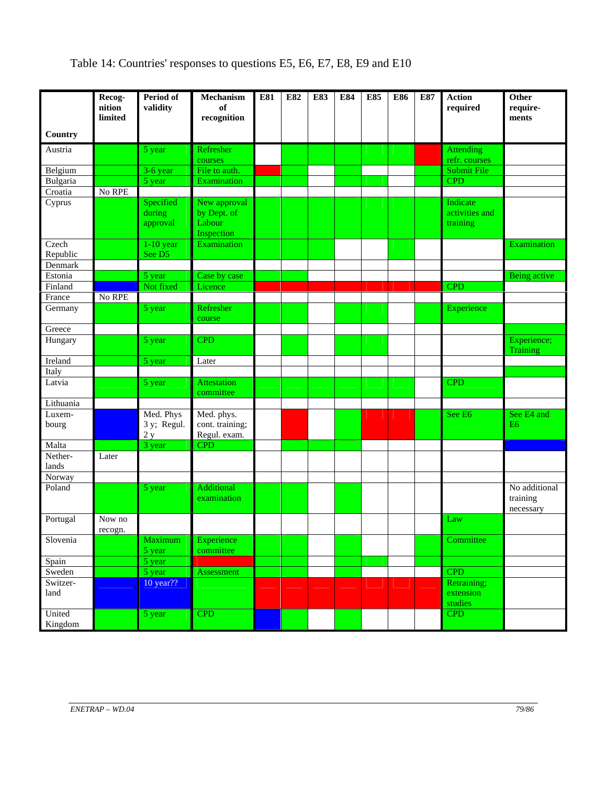# Table 14: Countries' responses to questions E5, E6, E7, E8, E9 and E10

|                   | Recog-<br>nition<br>limited | Period of<br>validity           | Mechanism<br>of<br>recognition                      | E81 | E82 | E83 | E84 | E85 | E86 | E87 | <b>Action</b><br>required              | Other<br>require-<br>ments             |
|-------------------|-----------------------------|---------------------------------|-----------------------------------------------------|-----|-----|-----|-----|-----|-----|-----|----------------------------------------|----------------------------------------|
| Country           |                             |                                 |                                                     |     |     |     |     |     |     |     |                                        |                                        |
| Austria           |                             | 5 year                          | Refresher<br>courses                                |     |     |     |     |     |     |     | <b>Attending</b><br>refr. courses      |                                        |
| Belgium           |                             | 3-6 year                        | File to auth.                                       |     |     |     |     |     |     |     | Submit File                            |                                        |
| Bulgaria          |                             | $\overline{5}$ year             | Examination                                         |     |     |     |     |     |     |     | <b>CPD</b>                             |                                        |
| Croatia           | No RPE                      |                                 |                                                     |     |     |     |     |     |     |     |                                        |                                        |
| Cyprus            |                             | Specified<br>during<br>approval | New approval<br>by Dept. of<br>Labour<br>Inspection |     |     |     |     |     |     |     | Indicate<br>activities and<br>training |                                        |
| Czech             |                             | $1-10$ year                     | Examination                                         |     |     |     |     |     |     |     |                                        | Examination                            |
| Republic          |                             | See D5                          |                                                     |     |     |     |     |     |     |     |                                        |                                        |
| Denmark           |                             |                                 |                                                     |     |     |     |     |     |     |     |                                        |                                        |
| Estonia           |                             | 5 year                          | Case by case                                        |     |     |     |     |     |     |     |                                        | <b>Being</b> active                    |
| Finland           |                             | Not fixed                       | Licence                                             |     |     |     |     |     |     |     | <b>CPD</b>                             |                                        |
| France            | No RPE                      |                                 |                                                     |     |     |     |     |     |     |     |                                        |                                        |
| Germany           |                             | 5 year                          | Refresher<br>course                                 |     |     |     |     |     |     |     | Experience                             |                                        |
| Greece            |                             |                                 |                                                     |     |     |     |     |     |     |     |                                        |                                        |
| Hungary           |                             | 5 year                          | <b>CPD</b>                                          |     |     |     |     |     |     |     |                                        | Experience;<br>Training                |
| Ireland           |                             | 5 year                          | Later                                               |     |     |     |     |     |     |     |                                        |                                        |
| Italy             |                             |                                 |                                                     |     |     |     |     |     |     |     |                                        |                                        |
| Latvia            |                             | 5 year                          | <b>Attestation</b><br>committee                     |     |     |     |     |     |     |     | <b>CPD</b>                             |                                        |
| Lithuania         |                             |                                 |                                                     |     |     |     |     |     |     |     |                                        |                                        |
| Luxem-<br>bourg   |                             | Med. Phys<br>3 y; Regul.        | Med. phys.<br>cont. training;                       |     |     |     |     |     |     |     | See E <sub>6</sub>                     | See E4 and<br>E <sub>6</sub>           |
|                   |                             | 2y                              | Regul. exam.                                        |     |     |     |     |     |     |     |                                        |                                        |
| Malta<br>Nether-  | Later                       | 3 year                          | <b>CPD</b>                                          |     |     |     |     |     |     |     |                                        |                                        |
| lands             |                             |                                 |                                                     |     |     |     |     |     |     |     |                                        |                                        |
| Norway            |                             |                                 |                                                     |     |     |     |     |     |     |     |                                        |                                        |
| Poland            |                             | 5 year                          | <b>Additional</b><br>examination                    |     |     |     |     |     |     |     |                                        | No additional<br>training<br>necessary |
| Portugal          | Now no<br>recogn.           |                                 |                                                     |     |     |     |     |     |     |     | Law                                    |                                        |
| Slovenia          |                             | Maximum<br>5 year               | Experience<br>committee                             |     |     |     |     |     |     |     | Committee                              |                                        |
| Spain             |                             | 5 year                          |                                                     |     |     |     |     |     |     |     |                                        |                                        |
| Sweden            |                             | $5$ year                        | Assessment                                          |     |     |     |     |     |     |     | <b>CPD</b>                             |                                        |
| Switzer-<br>land  |                             | 10 year??                       |                                                     |     |     |     |     |     |     |     | Retraining;<br>extension<br>studies    |                                        |
| United<br>Kingdom |                             | 5 year                          | <b>CPD</b>                                          |     |     |     |     |     |     |     | <b>CPD</b>                             |                                        |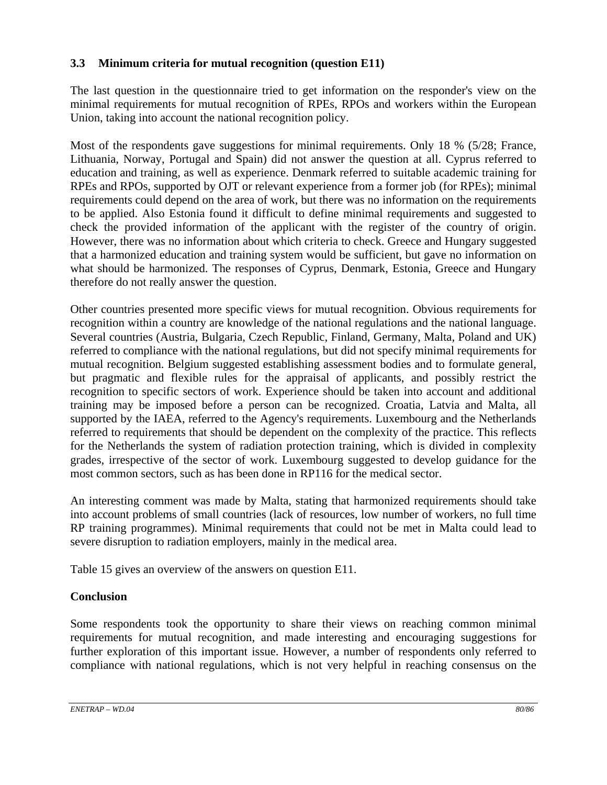### **3.3 Minimum criteria for mutual recognition (question E11)**

The last question in the questionnaire tried to get information on the responder's view on the minimal requirements for mutual recognition of RPEs, RPOs and workers within the European Union, taking into account the national recognition policy.

Most of the respondents gave suggestions for minimal requirements. Only 18 % (5/28; France, Lithuania, Norway, Portugal and Spain) did not answer the question at all. Cyprus referred to education and training, as well as experience. Denmark referred to suitable academic training for RPEs and RPOs, supported by OJT or relevant experience from a former job (for RPEs); minimal requirements could depend on the area of work, but there was no information on the requirements to be applied. Also Estonia found it difficult to define minimal requirements and suggested to check the provided information of the applicant with the register of the country of origin. However, there was no information about which criteria to check. Greece and Hungary suggested that a harmonized education and training system would be sufficient, but gave no information on what should be harmonized. The responses of Cyprus, Denmark, Estonia, Greece and Hungary therefore do not really answer the question.

Other countries presented more specific views for mutual recognition. Obvious requirements for recognition within a country are knowledge of the national regulations and the national language. Several countries (Austria, Bulgaria, Czech Republic, Finland, Germany, Malta, Poland and UK) referred to compliance with the national regulations, but did not specify minimal requirements for mutual recognition. Belgium suggested establishing assessment bodies and to formulate general, but pragmatic and flexible rules for the appraisal of applicants, and possibly restrict the recognition to specific sectors of work. Experience should be taken into account and additional training may be imposed before a person can be recognized. Croatia, Latvia and Malta, all supported by the IAEA, referred to the Agency's requirements. Luxembourg and the Netherlands referred to requirements that should be dependent on the complexity of the practice. This reflects for the Netherlands the system of radiation protection training, which is divided in complexity grades, irrespective of the sector of work. Luxembourg suggested to develop guidance for the most common sectors, such as has been done in RP116 for the medical sector.

An interesting comment was made by Malta, stating that harmonized requirements should take into account problems of small countries (lack of resources, low number of workers, no full time RP training programmes). Minimal requirements that could not be met in Malta could lead to severe disruption to radiation employers, mainly in the medical area.

Table 15 gives an overview of the answers on question E11.

### **Conclusion**

Some respondents took the opportunity to share their views on reaching common minimal requirements for mutual recognition, and made interesting and encouraging suggestions for further exploration of this important issue. However, a number of respondents only referred to compliance with national regulations, which is not very helpful in reaching consensus on the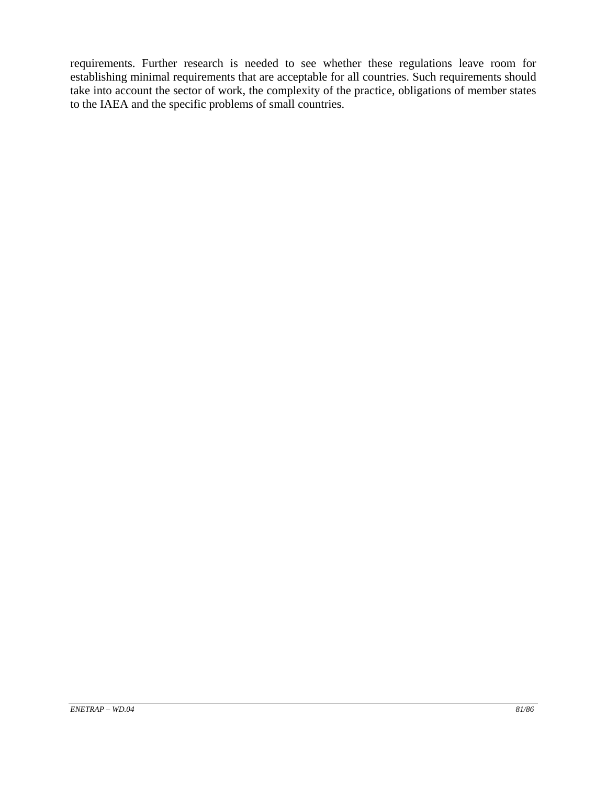requirements. Further research is needed to see whether these regulations leave room for establishing minimal requirements that are acceptable for all countries. Such requirements should take into account the sector of work, the complexity of the practice, obligations of member states to the IAEA and the specific problems of small countries.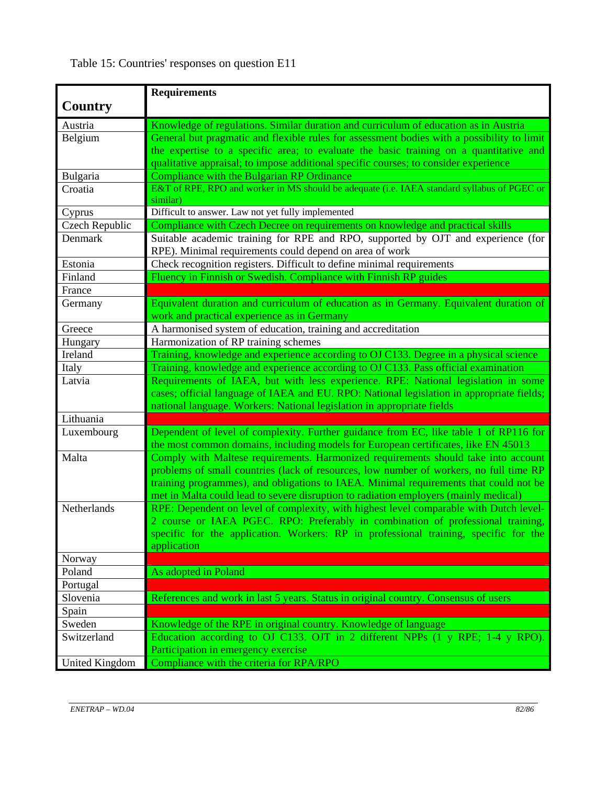|                | <b>Requirements</b>                                                                                     |
|----------------|---------------------------------------------------------------------------------------------------------|
| Country        |                                                                                                         |
|                |                                                                                                         |
| Austria        | Knowledge of regulations. Similar duration and curriculum of education as in Austria                    |
| Belgium        | General but pragmatic and flexible rules for assessment bodies with a possibility to limit              |
|                | the expertise to a specific area; to evaluate the basic training on a quantitative and                  |
|                | qualitative appraisal; to impose additional specific courses; to consider experience                    |
| Bulgaria       | Compliance with the Bulgarian RP Ordinance                                                              |
| Croatia        | E&T of RPE, RPO and worker in MS should be adequate (i.e. IAEA standard syllabus of PGEC or<br>similar) |
| Cyprus         | Difficult to answer. Law not yet fully implemented                                                      |
| Czech Republic | Compliance with Czech Decree on requirements on knowledge and practical skills                          |
| Denmark        | Suitable academic training for RPE and RPO, supported by OJT and experience (for                        |
|                | RPE). Minimal requirements could depend on area of work                                                 |
| Estonia        | Check recognition registers. Difficult to define minimal requirements                                   |
| Finland        | Fluency in Finnish or Swedish. Compliance with Finnish RP guides                                        |
| France         |                                                                                                         |
| Germany        | Equivalent duration and curriculum of education as in Germany. Equivalent duration of                   |
|                | work and practical experience as in Germany                                                             |
| Greece         | A harmonised system of education, training and accreditation                                            |
| Hungary        | Harmonization of RP training schemes                                                                    |
| Ireland        | Training, knowledge and experience according to OJ C133. Degree in a physical science                   |
| Italy          | Training, knowledge and experience according to OJ C133. Pass official examination                      |
| Latvia         | Requirements of IAEA, but with less experience. RPE: National legislation in some                       |
|                | cases; official language of IAEA and EU. RPO: National legislation in appropriate fields;               |
|                | national language. Workers: National legislation in appropriate fields                                  |
| Lithuania      |                                                                                                         |
| Luxembourg     | Dependent of level of complexity. Further guidance from EC, like table 1 of RP116 for                   |
|                | the most common domains, including models for European certificates, like EN 45013                      |
| Malta          | Comply with Maltese requirements. Harmonized requirements should take into account                      |
|                | problems of small countries (lack of resources, low number of workers, no full time RP                  |
|                | training programmes), and obligations to IAEA. Minimal requirements that could not be                   |
|                | met in Malta could lead to severe disruption to radiation employers (mainly medical)                    |
| Netherlands    | RPE: Dependent on level of complexity, with highest level comparable with Dutch level-                  |
|                | 2 course or IAEA PGEC. RPO: Preferably in combination of professional training,                         |
|                | specific for the application. Workers: RP in professional training, specific for the                    |
|                | application                                                                                             |
| Norway         |                                                                                                         |
| Poland         | As adopted in Poland                                                                                    |
| Portugal       |                                                                                                         |
| Slovenia       | References and work in last 5 years. Status in original country. Consensus of users                     |
| Spain          |                                                                                                         |
| Sweden         | Knowledge of the RPE in original country. Knowledge of language                                         |
| Switzerland    | Education according to OJ C133. OJT in 2 different NPPs (1 y RPE; 1-4 y RPO).                           |
|                | Participation in emergency exercise                                                                     |
| United Kingdom | Compliance with the criteria for RPA/RPO                                                                |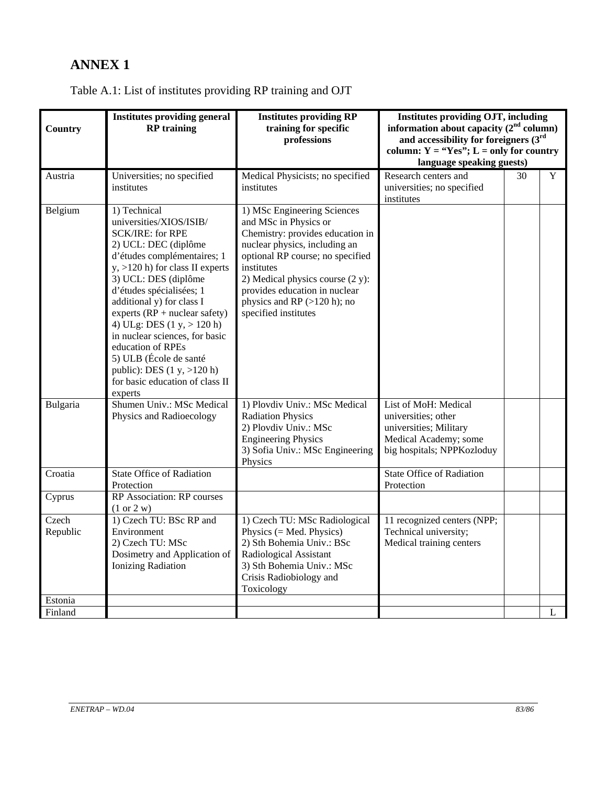## **ANNEX 1**

## Table A.1: List of institutes providing RP training and OJT

| <b>Country</b>               | <b>Institutes providing general</b><br><b>RP</b> training                                                                                                                                                                                                                                                                                                                                                                                                                         | <b>Institutes providing RP</b><br>training for specific<br>professions                                                                                                                                                                                                                                     | Institutes providing OJT, including<br>information about capacity $(2nd$ column)<br>and accessibility for foreigners $(3rd$<br>column: $Y = "Yes"; L = only for country$<br>language speaking guests) |    |   |
|------------------------------|-----------------------------------------------------------------------------------------------------------------------------------------------------------------------------------------------------------------------------------------------------------------------------------------------------------------------------------------------------------------------------------------------------------------------------------------------------------------------------------|------------------------------------------------------------------------------------------------------------------------------------------------------------------------------------------------------------------------------------------------------------------------------------------------------------|-------------------------------------------------------------------------------------------------------------------------------------------------------------------------------------------------------|----|---|
| Austria                      | Universities; no specified<br>institutes                                                                                                                                                                                                                                                                                                                                                                                                                                          | Medical Physicists; no specified<br>institutes                                                                                                                                                                                                                                                             | Research centers and<br>universities; no specified<br>institutes                                                                                                                                      | 30 | Y |
| Belgium                      | 1) Technical<br>universities/XIOS/ISIB/<br><b>SCK/IRE: for RPE</b><br>2) UCL: DEC (diplôme<br>d'études complémentaires; 1<br>$y, >120$ h) for class II experts<br>3) UCL: DES (diplôme<br>d'études spécialisées; 1<br>additional y) for class I<br>experts $(RP + nuclear safety)$<br>4) ULg: DES $(1 y, > 120 h)$<br>in nuclear sciences, for basic<br>education of RPEs<br>5) ULB (École de santé<br>public): DES $(1 y, >120 h)$<br>for basic education of class II<br>experts | 1) MSc Engineering Sciences<br>and MSc in Physics or<br>Chemistry: provides education in<br>nuclear physics, including an<br>optional RP course; no specified<br>institutes<br>2) Medical physics course (2 y):<br>provides education in nuclear<br>physics and RP $(>120 h)$ ; no<br>specified institutes |                                                                                                                                                                                                       |    |   |
| Bulgaria                     | Shumen Univ.: MSc Medical<br>Physics and Radioecology                                                                                                                                                                                                                                                                                                                                                                                                                             | 1) Plovdiv Univ.: MSc Medical<br><b>Radiation Physics</b><br>2) Plovdiv Univ.: MSc<br><b>Engineering Physics</b><br>3) Sofia Univ.: MSc Engineering<br>Physics                                                                                                                                             | List of MoH: Medical<br>universities; other<br>universities; Military<br>Medical Academy; some<br>big hospitals; NPPKozloduy                                                                          |    |   |
| Croatia                      | <b>State Office of Radiation</b><br>Protection                                                                                                                                                                                                                                                                                                                                                                                                                                    |                                                                                                                                                                                                                                                                                                            | <b>State Office of Radiation</b><br>Protection                                                                                                                                                        |    |   |
| Cyprus                       | RP Association: RP courses<br>(1 or 2 w)                                                                                                                                                                                                                                                                                                                                                                                                                                          |                                                                                                                                                                                                                                                                                                            |                                                                                                                                                                                                       |    |   |
| Czech<br>Republic<br>Estonia | 1) Czech TU: BSc RP and<br>Environment<br>2) Czech TU: MSc<br>Dosimetry and Application of<br><b>Ionizing Radiation</b>                                                                                                                                                                                                                                                                                                                                                           | 1) Czech TU: MSc Radiological<br>Physics $(= Med. Physics)$<br>2) Sth Bohemia Univ.: BSc<br>Radiological Assistant<br>3) Sth Bohemia Univ.: MSc<br>Crisis Radiobiology and<br>Toxicology                                                                                                                   | 11 recognized centers (NPP;<br>Technical university;<br>Medical training centers                                                                                                                      |    |   |
| Finland                      |                                                                                                                                                                                                                                                                                                                                                                                                                                                                                   |                                                                                                                                                                                                                                                                                                            |                                                                                                                                                                                                       |    | L |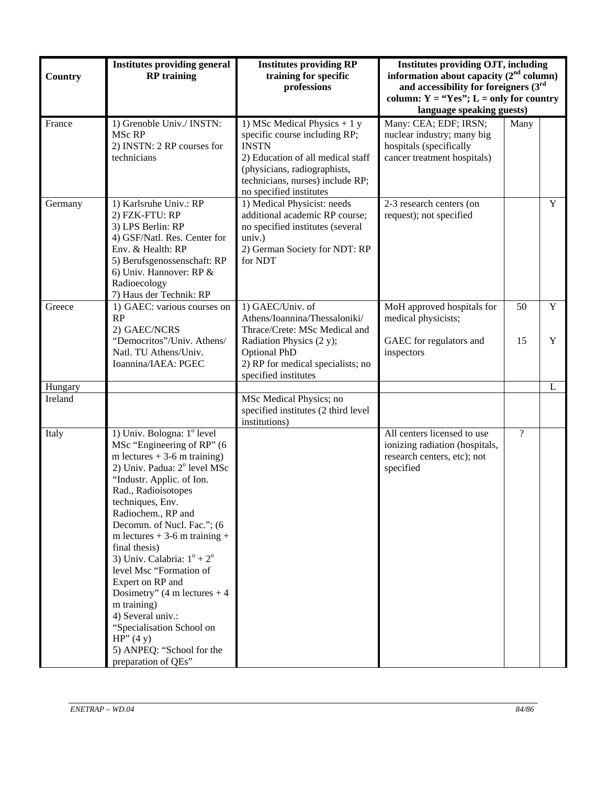| Country | <b>Institutes providing general</b><br><b>RP</b> training                                                                                                                                                                                                                                                                                                                                                                                                                                                                                                                          | <b>Institutes providing RP</b><br>training for specific<br>professions                                                                                                                                            | <b>Institutes providing OJT, including</b><br>information about capacity $(2nd$ column)<br>and accessibility for foreigners $(3rd$<br>column: $Y = "Yes"; L = only for country$<br>language speaking guests) |          |                  |
|---------|------------------------------------------------------------------------------------------------------------------------------------------------------------------------------------------------------------------------------------------------------------------------------------------------------------------------------------------------------------------------------------------------------------------------------------------------------------------------------------------------------------------------------------------------------------------------------------|-------------------------------------------------------------------------------------------------------------------------------------------------------------------------------------------------------------------|--------------------------------------------------------------------------------------------------------------------------------------------------------------------------------------------------------------|----------|------------------|
| France  | 1) Grenoble Univ./ INSTN:<br>MSc RP<br>2) INSTN: 2 RP courses for<br>technicians                                                                                                                                                                                                                                                                                                                                                                                                                                                                                                   | 1) MSc Medical Physics $+1y$<br>specific course including RP;<br><b>INSTN</b><br>2) Education of all medical staff<br>(physicians, radiographists,<br>technicians, nurses) include RP;<br>no specified institutes | Many: CEA; EDF; IRSN;<br>nuclear industry; many big<br>hospitals (specifically<br>cancer treatment hospitals)                                                                                                | Many     |                  |
| Germany | 1) Karlsruhe Univ.: RP<br>2) FZK-FTU: RP<br>3) LPS Berlin: RP<br>4) GSF/Natl. Res. Center for<br>Env. & Health: RP<br>5) Berufsgenossenschaft: RP<br>6) Univ. Hannover: RP &<br>Radioecology<br>7) Haus der Technik: RP                                                                                                                                                                                                                                                                                                                                                            | 1) Medical Physicist: needs<br>additional academic RP course;<br>no specified institutes (several<br>univ.)<br>2) German Society for NDT: RP<br>for NDT                                                           | 2-3 research centers (on<br>request); not specified                                                                                                                                                          |          | Y                |
| Greece  | 1) GAEC: various courses on<br>RP<br>2) GAEC/NCRS<br>"Democritos"/Univ. Athens/<br>Natl. TU Athens/Univ.<br>Ioannina/IAEA: PGEC                                                                                                                                                                                                                                                                                                                                                                                                                                                    | 1) GAEC/Univ. of<br>Athens/Ioannina/Thessaloniki/<br>Thrace/Crete: MSc Medical and<br>Radiation Physics (2 y);<br><b>Optional PhD</b><br>2) RP for medical specialists; no<br>specified institutes                | MoH approved hospitals for<br>medical physicists;<br>GAEC for regulators and<br>inspectors                                                                                                                   | 50<br>15 | $\mathbf Y$<br>Y |
| Hungary |                                                                                                                                                                                                                                                                                                                                                                                                                                                                                                                                                                                    |                                                                                                                                                                                                                   |                                                                                                                                                                                                              |          | L                |
| Ireland |                                                                                                                                                                                                                                                                                                                                                                                                                                                                                                                                                                                    | MSc Medical Physics; no<br>specified institutes (2 third level<br>institutions)                                                                                                                                   |                                                                                                                                                                                                              |          |                  |
| Italy   | 1) Univ. Bologna: 1º level<br>MSc "Engineering of RP" (6<br>m lectures $+3$ -6 m training)<br>2) Univ. Padua: 2° level MSc<br>"Industr. Applic. of Ion.<br>Rad., Radioisotopes<br>techniques, Env.<br>Radiochem., RP and<br>Decomm. of Nucl. Fac."; (6<br>m lectures $+3$ -6 m training $+$<br>final thesis)<br>3) Univ. Calabria: $1^\circ + 2^\circ$<br>level Msc "Formation of<br>Expert on RP and<br>Dosimetry" $(4 \text{ m lectures} + 4)$<br>m training)<br>4) Several univ.:<br>"Specialisation School on<br>HP''(4 y)<br>5) ANPEQ: "School for the<br>preparation of QEs" |                                                                                                                                                                                                                   | All centers licensed to use<br>ionizing radiation (hospitals,<br>research centers, etc); not<br>specified                                                                                                    | $\gamma$ |                  |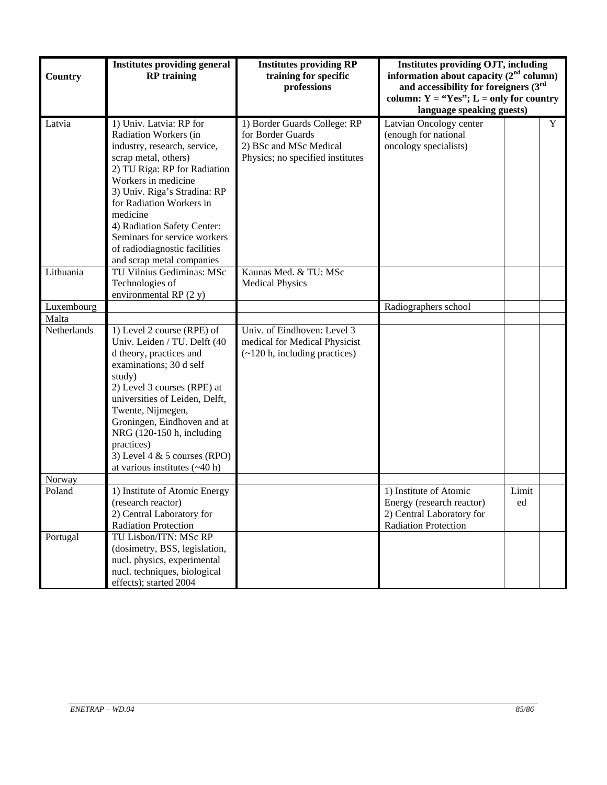| Country               | <b>Institutes providing general</b><br><b>RP</b> training                                                                                                                                                                                                                                                                                                            | <b>Institutes providing RP</b><br>training for specific<br>professions                                          | <b>Institutes providing OJT, including</b><br>information about capacity $(2nd$ column)<br>and accessibility for foreigners $(3rd$<br>column: $Y = "Yes"; L = only for country$<br>language speaking guests) |             |   |
|-----------------------|----------------------------------------------------------------------------------------------------------------------------------------------------------------------------------------------------------------------------------------------------------------------------------------------------------------------------------------------------------------------|-----------------------------------------------------------------------------------------------------------------|--------------------------------------------------------------------------------------------------------------------------------------------------------------------------------------------------------------|-------------|---|
| Latvia                | 1) Univ. Latvia: RP for<br>Radiation Workers (in<br>industry, research, service,<br>scrap metal, others)<br>2) TU Riga: RP for Radiation<br>Workers in medicine<br>3) Univ. Riga's Stradina: RP<br>for Radiation Workers in<br>medicine<br>4) Radiation Safety Center:<br>Seminars for service workers<br>of radiodiagnostic facilities<br>and scrap metal companies | 1) Border Guards College: RP<br>for Border Guards<br>2) BSc and MSc Medical<br>Physics; no specified institutes | Latvian Oncology center<br>(enough for national<br>oncology specialists)                                                                                                                                     |             | Y |
| Lithuania             | TU Vilnius Gediminas: MSc<br>Technologies of<br>environmental RP $(2 y)$                                                                                                                                                                                                                                                                                             | Kaunas Med. & TU: MSc<br><b>Medical Physics</b>                                                                 |                                                                                                                                                                                                              |             |   |
| Luxembourg            |                                                                                                                                                                                                                                                                                                                                                                      |                                                                                                                 | Radiographers school                                                                                                                                                                                         |             |   |
| Malta                 |                                                                                                                                                                                                                                                                                                                                                                      |                                                                                                                 |                                                                                                                                                                                                              |             |   |
| Netherlands<br>Norway | 1) Level 2 course (RPE) of<br>Univ. Leiden / TU. Delft (40<br>d theory, practices and<br>examinations; 30 d self<br>study)<br>2) Level 3 courses (RPE) at<br>universities of Leiden, Delft,<br>Twente, Nijmegen,<br>Groningen, Eindhoven and at<br>NRG (120-150 h, including<br>practices)<br>3) Level 4 $&$ 5 courses (RPO)<br>at various institutes $(-40 h)$      | Univ. of Eindhoven: Level 3<br>medical for Medical Physicist<br>$(-120 h,$ including practices)                 |                                                                                                                                                                                                              |             |   |
|                       |                                                                                                                                                                                                                                                                                                                                                                      |                                                                                                                 |                                                                                                                                                                                                              |             |   |
| Poland                | 1) Institute of Atomic Energy<br>(research reactor)<br>2) Central Laboratory for<br><b>Radiation Protection</b>                                                                                                                                                                                                                                                      |                                                                                                                 | 1) Institute of Atomic<br>Energy (research reactor)<br>2) Central Laboratory for<br><b>Radiation Protection</b>                                                                                              | Limit<br>ed |   |
| Portugal              | TU Lisbon/ITN: MSc RP<br>(dosimetry, BSS, legislation,<br>nucl. physics, experimental<br>nucl. techniques, biological<br>effects); started 2004                                                                                                                                                                                                                      |                                                                                                                 |                                                                                                                                                                                                              |             |   |